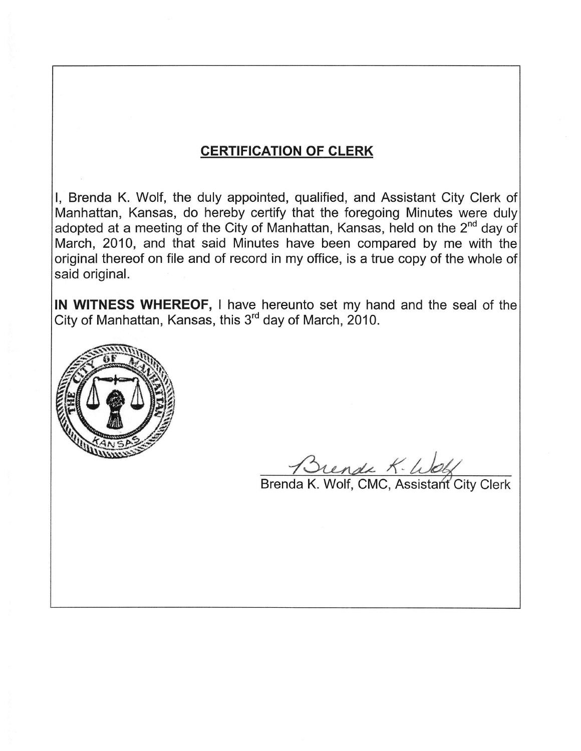# **CERTIFICATION OF CLERK**

I, Brenda K. Wolf, the duly appointed, qualified, and Assistant City Clerk of Manhattan, Kansas, do hereby certify that the foregoing Minutes were duly adopted at a meeting of the City of Manhattan, Kansas, held on the 2<sup>nd</sup> day of March, 2010, and that said Minutes have been compared by me with the original thereof on file and of record in my office, is a true copy of the whole of said original.

IN WITNESS WHEREOF, I have hereunto set my hand and the seal of the City of Manhattan, Kansas, this 3<sup>rd</sup> day of March, 2010.



Brende K- Wolf<br>Brenda K. Wolf, CMC, Assistant City Clerk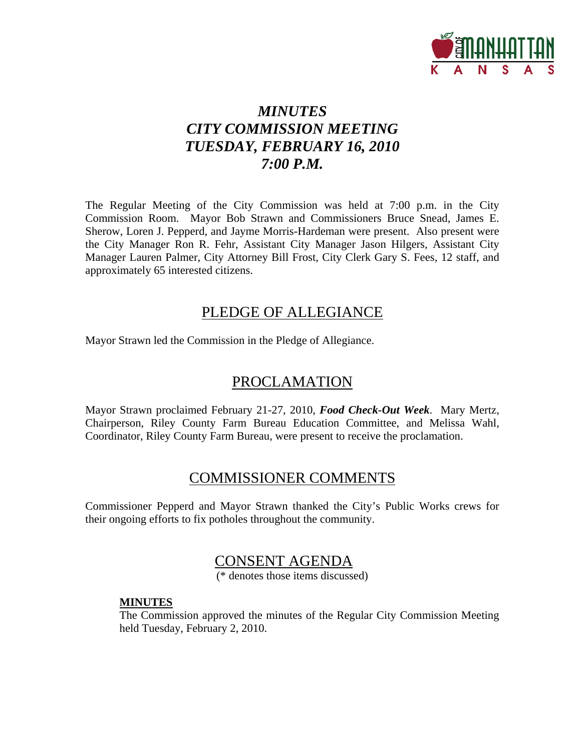

# *MINUTES CITY COMMISSION MEETING TUESDAY, FEBRUARY 16, 2010 7:00 P.M.*

The Regular Meeting of the City Commission was held at 7:00 p.m. in the City Commission Room. Mayor Bob Strawn and Commissioners Bruce Snead, James E. Sherow, Loren J. Pepperd, and Jayme Morris-Hardeman were present. Also present were the City Manager Ron R. Fehr, Assistant City Manager Jason Hilgers, Assistant City Manager Lauren Palmer, City Attorney Bill Frost, City Clerk Gary S. Fees, 12 staff, and approximately 65 interested citizens.

# PLEDGE OF ALLEGIANCE

Mayor Strawn led the Commission in the Pledge of Allegiance.

# PROCLAMATION

Mayor Strawn proclaimed February 21-27, 2010, *Food Check-Out Week*. Mary Mertz, Chairperson, Riley County Farm Bureau Education Committee, and Melissa Wahl, Coordinator, Riley County Farm Bureau, were present to receive the proclamation.

# COMMISSIONER COMMENTS

Commissioner Pepperd and Mayor Strawn thanked the City's Public Works crews for their ongoing efforts to fix potholes throughout the community.

# CONSENT AGENDA

(\* denotes those items discussed)

#### **MINUTES**

The Commission approved the minutes of the Regular City Commission Meeting held Tuesday, February 2, 2010.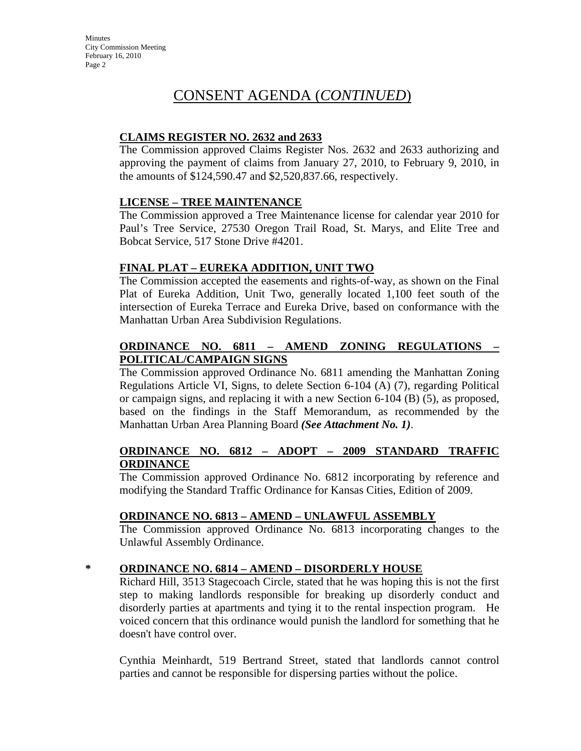### **CLAIMS REGISTER NO. 2632 and 2633**

The Commission approved Claims Register Nos. 2632 and 2633 authorizing and approving the payment of claims from January 27, 2010, to February 9, 2010, in the amounts of \$124,590.47 and \$2,520,837.66, respectively.

#### **LICENSE – TREE MAINTENANCE**

The Commission approved a Tree Maintenance license for calendar year 2010 for Paul's Tree Service, 27530 Oregon Trail Road, St. Marys, and Elite Tree and Bobcat Service, 517 Stone Drive #4201.

### **FINAL PLAT – EUREKA ADDITION, UNIT TWO**

The Commission accepted the easements and rights-of-way, as shown on the Final Plat of Eureka Addition, Unit Two, generally located 1,100 feet south of the intersection of Eureka Terrace and Eureka Drive, based on conformance with the Manhattan Urban Area Subdivision Regulations.

### **ORDINANCE NO. 6811 – AMEND ZONING REGULATIONS – POLITICAL/CAMPAIGN SIGNS**

The Commission approved Ordinance No. 6811 amending the Manhattan Zoning Regulations Article VI, Signs, to delete Section 6-104 (A) (7), regarding Political or campaign signs, and replacing it with a new Section 6-104 (B) (5), as proposed, based on the findings in the Staff Memorandum, as recommended by the Manhattan Urban Area Planning Board *(See Attachment No. 1)*.

#### **ORDINANCE NO. 6812 – ADOPT – 2009 STANDARD TRAFFIC ORDINANCE**

The Commission approved Ordinance No. 6812 incorporating by reference and modifying the Standard Traffic Ordinance for Kansas Cities, Edition of 2009.

### **ORDINANCE NO. 6813 – AMEND – UNLAWFUL ASSEMBLY**

The Commission approved Ordinance No. 6813 incorporating changes to the Unlawful Assembly Ordinance.

#### **\* ORDINANCE NO. 6814 – AMEND – DISORDERLY HOUSE**

Richard Hill, 3513 Stagecoach Circle, stated that he was hoping this is not the first step to making landlords responsible for breaking up disorderly conduct and disorderly parties at apartments and tying it to the rental inspection program. He voiced concern that this ordinance would punish the landlord for something that he doesn't have control over.

Cynthia Meinhardt, 519 Bertrand Street, stated that landlords cannot control parties and cannot be responsible for dispersing parties without the police.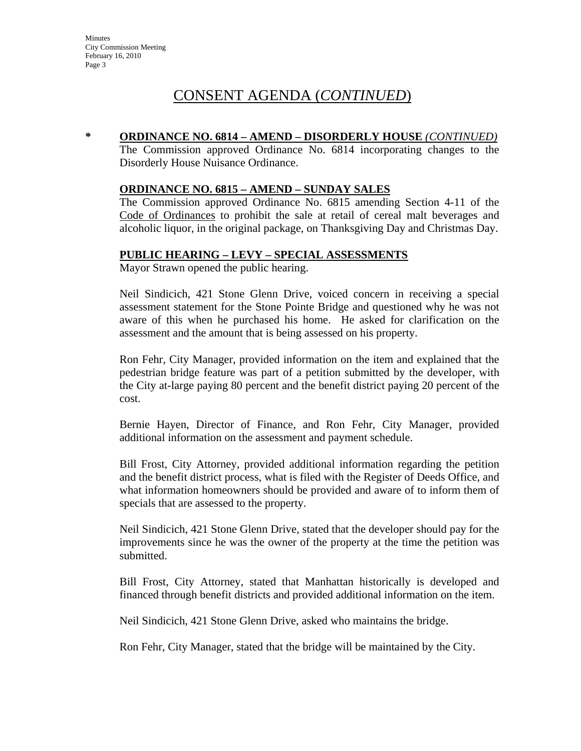#### **\* ORDINANCE NO. 6814 – AMEND – DISORDERLY HOUSE** *(CONTINUED)*

The Commission approved Ordinance No. 6814 incorporating changes to the Disorderly House Nuisance Ordinance.

#### **ORDINANCE NO. 6815 – AMEND – SUNDAY SALES**

The Commission approved Ordinance No. 6815 amending Section 4-11 of the Code of Ordinances to prohibit the sale at retail of cereal malt beverages and alcoholic liquor, in the original package, on Thanksgiving Day and Christmas Day.

#### **PUBLIC HEARING – LEVY – SPECIAL ASSESSMENTS**

Mayor Strawn opened the public hearing.

Neil Sindicich, 421 Stone Glenn Drive, voiced concern in receiving a special assessment statement for the Stone Pointe Bridge and questioned why he was not aware of this when he purchased his home. He asked for clarification on the assessment and the amount that is being assessed on his property.

Ron Fehr, City Manager, provided information on the item and explained that the pedestrian bridge feature was part of a petition submitted by the developer, with the City at-large paying 80 percent and the benefit district paying 20 percent of the cost.

Bernie Hayen, Director of Finance, and Ron Fehr, City Manager, provided additional information on the assessment and payment schedule.

Bill Frost, City Attorney, provided additional information regarding the petition and the benefit district process, what is filed with the Register of Deeds Office, and what information homeowners should be provided and aware of to inform them of specials that are assessed to the property.

Neil Sindicich, 421 Stone Glenn Drive, stated that the developer should pay for the improvements since he was the owner of the property at the time the petition was submitted.

Bill Frost, City Attorney, stated that Manhattan historically is developed and financed through benefit districts and provided additional information on the item.

Neil Sindicich, 421 Stone Glenn Drive, asked who maintains the bridge.

Ron Fehr, City Manager, stated that the bridge will be maintained by the City.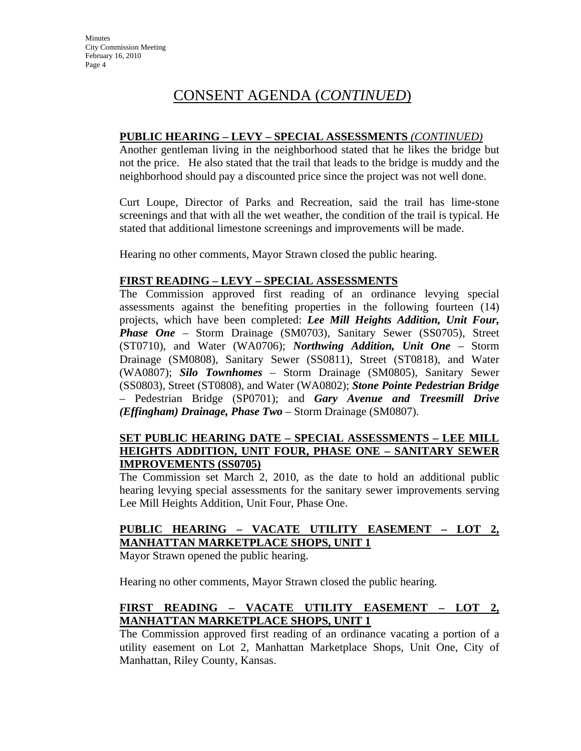#### **PUBLIC HEARING – LEVY – SPECIAL ASSESSMENTS** *(CONTINUED)*

Another gentleman living in the neighborhood stated that he likes the bridge but not the price. He also stated that the trail that leads to the bridge is muddy and the neighborhood should pay a discounted price since the project was not well done.

Curt Loupe, Director of Parks and Recreation, said the trail has lime-stone screenings and that with all the wet weather, the condition of the trail is typical. He stated that additional limestone screenings and improvements will be made.

Hearing no other comments, Mayor Strawn closed the public hearing.

#### **FIRST READING – LEVY – SPECIAL ASSESSMENTS**

The Commission approved first reading of an ordinance levying special assessments against the benefiting properties in the following fourteen (14) projects, which have been completed: *Lee Mill Heights Addition, Unit Four, Phase One* – Storm Drainage (SM0703), Sanitary Sewer (SS0705), Street (ST0710), and Water (WA0706); *Northwing Addition, Unit One* – Storm Drainage (SM0808), Sanitary Sewer (SS0811), Street (ST0818), and Water (WA0807); *Silo Townhomes* – Storm Drainage (SM0805), Sanitary Sewer (SS0803), Street (ST0808), and Water (WA0802); *Stone Pointe Pedestrian Bridge* – Pedestrian Bridge (SP0701); and *Gary Avenue and Treesmill Drive (Effingham) Drainage, Phase Two* – Storm Drainage (SM0807).

#### **SET PUBLIC HEARING DATE – SPECIAL ASSESSMENTS – LEE MILL HEIGHTS ADDITION, UNIT FOUR, PHASE ONE – SANITARY SEWER IMPROVEMENTS (SS0705)**

The Commission set March 2, 2010, as the date to hold an additional public hearing levying special assessments for the sanitary sewer improvements serving Lee Mill Heights Addition, Unit Four, Phase One.

### **PUBLIC HEARING – VACATE UTILITY EASEMENT – LOT 2, MANHATTAN MARKETPLACE SHOPS, UNIT 1**

Mayor Strawn opened the public hearing.

Hearing no other comments, Mayor Strawn closed the public hearing.

### **FIRST READING – VACATE UTILITY EASEMENT – LOT 2, MANHATTAN MARKETPLACE SHOPS, UNIT 1**

The Commission approved first reading of an ordinance vacating a portion of a utility easement on Lot 2, Manhattan Marketplace Shops, Unit One, City of Manhattan, Riley County, Kansas.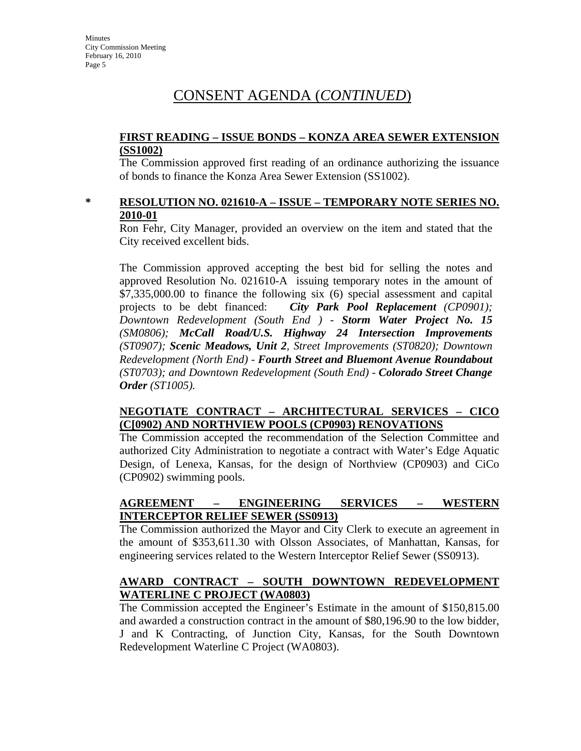#### **FIRST READING – ISSUE BONDS – KONZA AREA SEWER EXTENSION (SS1002)**

The Commission approved first reading of an ordinance authorizing the issuance of bonds to finance the Konza Area Sewer Extension (SS1002).

#### **\* RESOLUTION NO. 021610-A – ISSUE – TEMPORARY NOTE SERIES NO. 2010-01**

Ron Fehr, City Manager, provided an overview on the item and stated that the City received excellent bids.

The Commission approved accepting the best bid for selling the notes and approved Resolution No. 021610-A issuing temporary notes in the amount of \$7,335,000.00 to finance the following six (6) special assessment and capital projects to be debt financed: *City Park Pool Replacement (CP0901); Downtown Redevelopment (South End ) - Storm Water Project No. 15 (SM0806); McCall Road/U.S. Highway 24 Intersection Improvements (ST0907); Scenic Meadows, Unit 2, Street Improvements (ST0820); Downtown Redevelopment (North End) - Fourth Street and Bluemont Avenue Roundabout (ST0703); and Downtown Redevelopment (South End) - Colorado Street Change Order (ST1005).*

#### **NEGOTIATE CONTRACT – ARCHITECTURAL SERVICES – CICO (C[0902) AND NORTHVIEW POOLS (CP0903) RENOVATIONS**

The Commission accepted the recommendation of the Selection Committee and authorized City Administration to negotiate a contract with Water's Edge Aquatic Design, of Lenexa, Kansas, for the design of Northview (CP0903) and CiCo (CP0902) swimming pools.

#### **AGREEMENT – ENGINEERING SERVICES – WESTERN INTERCEPTOR RELIEF SEWER (SS0913)**

The Commission authorized the Mayor and City Clerk to execute an agreement in the amount of \$353,611.30 with Olsson Associates, of Manhattan, Kansas, for engineering services related to the Western Interceptor Relief Sewer (SS0913).

#### **AWARD CONTRACT – SOUTH DOWNTOWN REDEVELOPMENT WATERLINE C PROJECT (WA0803)**

The Commission accepted the Engineer's Estimate in the amount of \$150,815.00 and awarded a construction contract in the amount of \$80,196.90 to the low bidder, J and K Contracting, of Junction City, Kansas, for the South Downtown Redevelopment Waterline C Project (WA0803).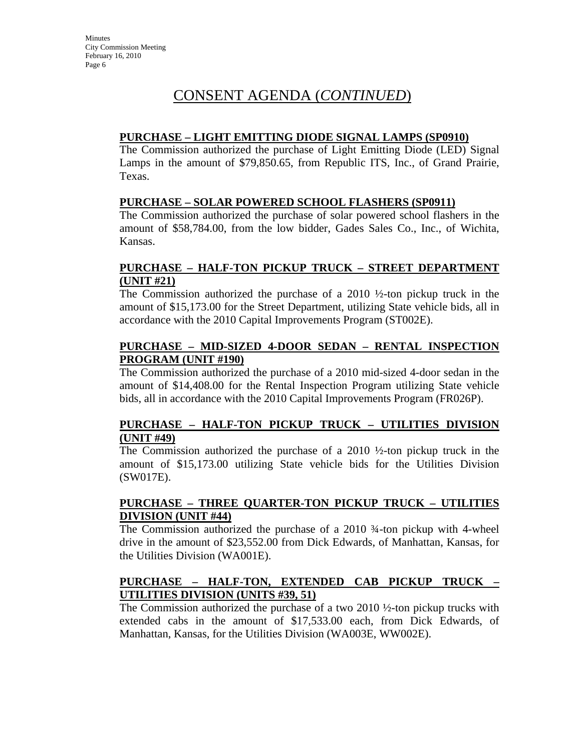#### **PURCHASE – LIGHT EMITTING DIODE SIGNAL LAMPS (SP0910)**

The Commission authorized the purchase of Light Emitting Diode (LED) Signal Lamps in the amount of \$79,850.65, from Republic ITS, Inc., of Grand Prairie, Texas.

#### **PURCHASE – SOLAR POWERED SCHOOL FLASHERS (SP0911)**

The Commission authorized the purchase of solar powered school flashers in the amount of \$58,784.00, from the low bidder, Gades Sales Co., Inc., of Wichita, Kansas.

#### **PURCHASE – HALF-TON PICKUP TRUCK – STREET DEPARTMENT (UNIT #21)**

The Commission authorized the purchase of a 2010  $\frac{1}{2}$ -ton pickup truck in the amount of \$15,173.00 for the Street Department, utilizing State vehicle bids, all in accordance with the 2010 Capital Improvements Program (ST002E).

#### **PURCHASE – MID-SIZED 4-DOOR SEDAN – RENTAL INSPECTION PROGRAM (UNIT #190)**

The Commission authorized the purchase of a 2010 mid-sized 4-door sedan in the amount of \$14,408.00 for the Rental Inspection Program utilizing State vehicle bids, all in accordance with the 2010 Capital Improvements Program (FR026P).

### **PURCHASE – HALF-TON PICKUP TRUCK – UTILITIES DIVISION (UNIT #49)**

The Commission authorized the purchase of a 2010 ½-ton pickup truck in the amount of \$15,173.00 utilizing State vehicle bids for the Utilities Division (SW017E).

### **PURCHASE – THREE QUARTER-TON PICKUP TRUCK – UTILITIES DIVISION (UNIT #44)**

The Commission authorized the purchase of a 2010 ¾-ton pickup with 4-wheel drive in the amount of \$23,552.00 from Dick Edwards, of Manhattan, Kansas, for the Utilities Division (WA001E).

#### **PURCHASE – HALF-TON, EXTENDED CAB PICKUP TRUCK – UTILITIES DIVISION (UNITS #39, 51)**

The Commission authorized the purchase of a two 2010 ½-ton pickup trucks with extended cabs in the amount of \$17,533.00 each, from Dick Edwards, of Manhattan, Kansas, for the Utilities Division (WA003E, WW002E).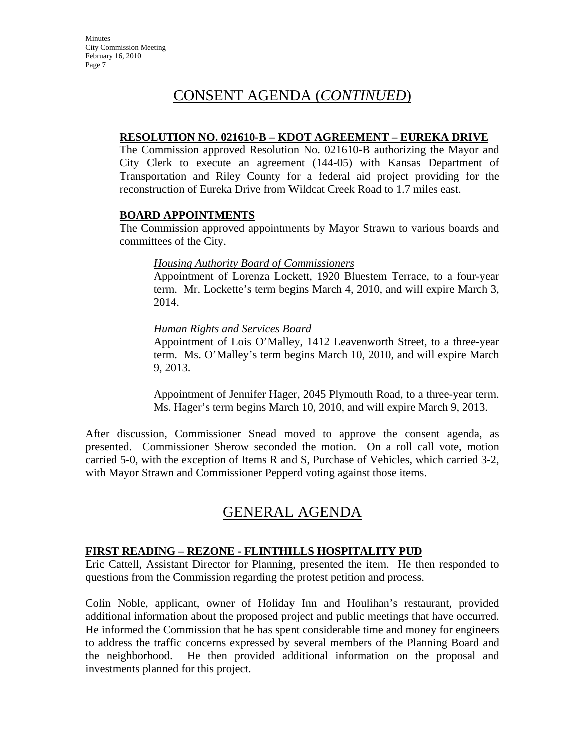#### **RESOLUTION NO. 021610-B – KDOT AGREEMENT – EUREKA DRIVE**

The Commission approved Resolution No. 021610-B authorizing the Mayor and City Clerk to execute an agreement (144-05) with Kansas Department of Transportation and Riley County for a federal aid project providing for the reconstruction of Eureka Drive from Wildcat Creek Road to 1.7 miles east.

#### **BOARD APPOINTMENTS**

The Commission approved appointments by Mayor Strawn to various boards and committees of the City.

#### *Housing Authority Board of Commissioners*

Appointment of Lorenza Lockett, 1920 Bluestem Terrace, to a four-year term. Mr. Lockette's term begins March 4, 2010, and will expire March 3, 2014.

#### *Human Rights and Services Board*

Appointment of Lois O'Malley, 1412 Leavenworth Street, to a three-year term. Ms. O'Malley's term begins March 10, 2010, and will expire March 9, 2013.

Appointment of Jennifer Hager, 2045 Plymouth Road, to a three-year term. Ms. Hager's term begins March 10, 2010, and will expire March 9, 2013.

After discussion, Commissioner Snead moved to approve the consent agenda, as presented. Commissioner Sherow seconded the motion. On a roll call vote, motion carried 5-0, with the exception of Items R and S, Purchase of Vehicles, which carried 3-2, with Mayor Strawn and Commissioner Pepperd voting against those items.

# GENERAL AGENDA

#### **FIRST READING – REZONE - FLINTHILLS HOSPITALITY PUD**

Eric Cattell, Assistant Director for Planning, presented the item. He then responded to questions from the Commission regarding the protest petition and process.

Colin Noble, applicant, owner of Holiday Inn and Houlihan's restaurant, provided additional information about the proposed project and public meetings that have occurred. He informed the Commission that he has spent considerable time and money for engineers to address the traffic concerns expressed by several members of the Planning Board and the neighborhood. He then provided additional information on the proposal and investments planned for this project.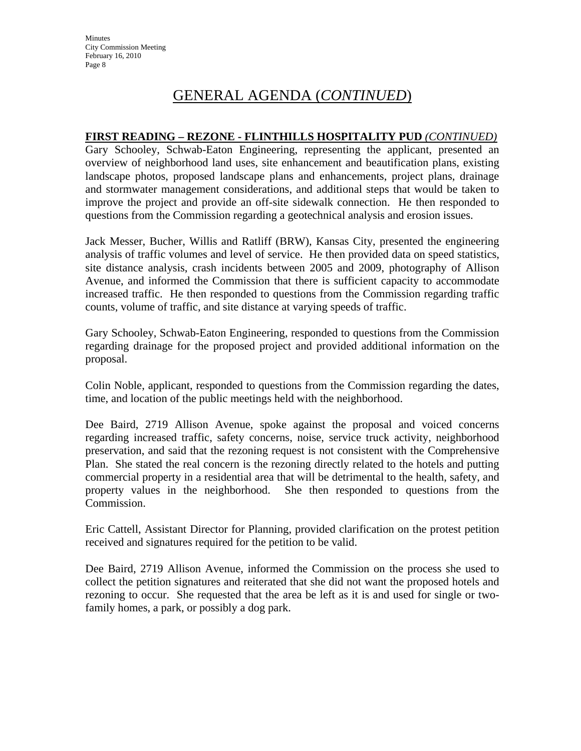#### **FIRST READING – REZONE - FLINTHILLS HOSPITALITY PUD** *(CONTINUED)*

Gary Schooley, Schwab-Eaton Engineering, representing the applicant, presented an overview of neighborhood land uses, site enhancement and beautification plans, existing landscape photos, proposed landscape plans and enhancements, project plans, drainage and stormwater management considerations, and additional steps that would be taken to improve the project and provide an off-site sidewalk connection. He then responded to questions from the Commission regarding a geotechnical analysis and erosion issues.

Jack Messer, Bucher, Willis and Ratliff (BRW), Kansas City, presented the engineering analysis of traffic volumes and level of service. He then provided data on speed statistics, site distance analysis, crash incidents between 2005 and 2009, photography of Allison Avenue, and informed the Commission that there is sufficient capacity to accommodate increased traffic. He then responded to questions from the Commission regarding traffic counts, volume of traffic, and site distance at varying speeds of traffic.

Gary Schooley, Schwab-Eaton Engineering, responded to questions from the Commission regarding drainage for the proposed project and provided additional information on the proposal.

Colin Noble, applicant, responded to questions from the Commission regarding the dates, time, and location of the public meetings held with the neighborhood.

Dee Baird, 2719 Allison Avenue, spoke against the proposal and voiced concerns regarding increased traffic, safety concerns, noise, service truck activity, neighborhood preservation, and said that the rezoning request is not consistent with the Comprehensive Plan. She stated the real concern is the rezoning directly related to the hotels and putting commercial property in a residential area that will be detrimental to the health, safety, and property values in the neighborhood. She then responded to questions from the Commission.

Eric Cattell, Assistant Director for Planning, provided clarification on the protest petition received and signatures required for the petition to be valid.

Dee Baird, 2719 Allison Avenue, informed the Commission on the process she used to collect the petition signatures and reiterated that she did not want the proposed hotels and rezoning to occur. She requested that the area be left as it is and used for single or twofamily homes, a park, or possibly a dog park.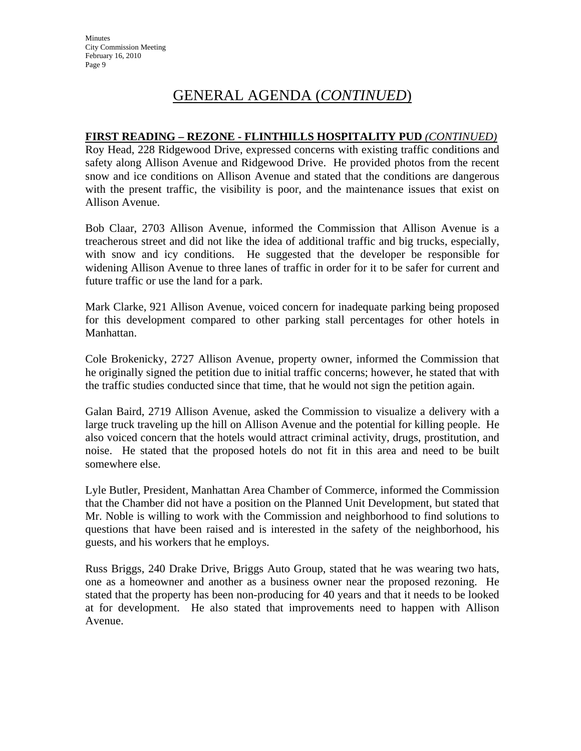#### **FIRST READING – REZONE - FLINTHILLS HOSPITALITY PUD** *(CONTINUED)*

Roy Head, 228 Ridgewood Drive, expressed concerns with existing traffic conditions and safety along Allison Avenue and Ridgewood Drive. He provided photos from the recent snow and ice conditions on Allison Avenue and stated that the conditions are dangerous with the present traffic, the visibility is poor, and the maintenance issues that exist on Allison Avenue.

Bob Claar, 2703 Allison Avenue, informed the Commission that Allison Avenue is a treacherous street and did not like the idea of additional traffic and big trucks, especially, with snow and icy conditions. He suggested that the developer be responsible for widening Allison Avenue to three lanes of traffic in order for it to be safer for current and future traffic or use the land for a park.

Mark Clarke, 921 Allison Avenue, voiced concern for inadequate parking being proposed for this development compared to other parking stall percentages for other hotels in Manhattan.

Cole Brokenicky, 2727 Allison Avenue, property owner, informed the Commission that he originally signed the petition due to initial traffic concerns; however, he stated that with the traffic studies conducted since that time, that he would not sign the petition again.

Galan Baird, 2719 Allison Avenue, asked the Commission to visualize a delivery with a large truck traveling up the hill on Allison Avenue and the potential for killing people. He also voiced concern that the hotels would attract criminal activity, drugs, prostitution, and noise. He stated that the proposed hotels do not fit in this area and need to be built somewhere else.

Lyle Butler, President, Manhattan Area Chamber of Commerce, informed the Commission that the Chamber did not have a position on the Planned Unit Development, but stated that Mr. Noble is willing to work with the Commission and neighborhood to find solutions to questions that have been raised and is interested in the safety of the neighborhood, his guests, and his workers that he employs.

Russ Briggs, 240 Drake Drive, Briggs Auto Group, stated that he was wearing two hats, one as a homeowner and another as a business owner near the proposed rezoning. He stated that the property has been non-producing for 40 years and that it needs to be looked at for development. He also stated that improvements need to happen with Allison Avenue.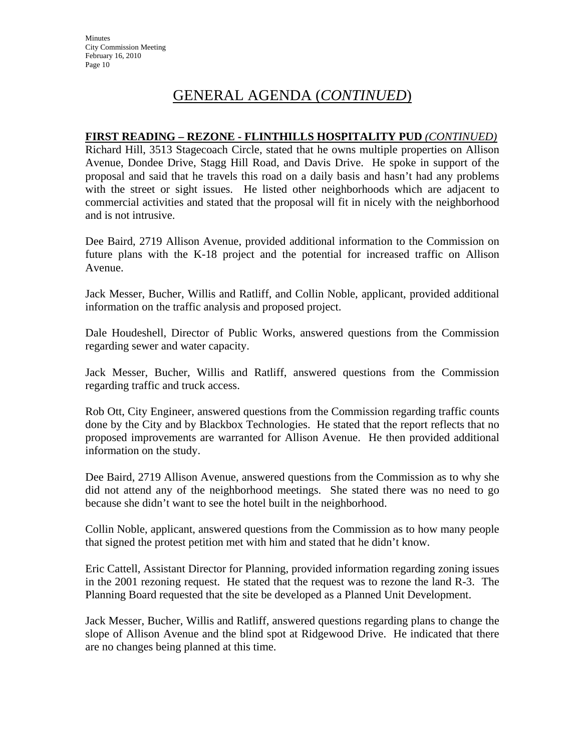#### **FIRST READING – REZONE - FLINTHILLS HOSPITALITY PUD** *(CONTINUED)*

Richard Hill, 3513 Stagecoach Circle, stated that he owns multiple properties on Allison Avenue, Dondee Drive, Stagg Hill Road, and Davis Drive. He spoke in support of the proposal and said that he travels this road on a daily basis and hasn't had any problems with the street or sight issues. He listed other neighborhoods which are adjacent to commercial activities and stated that the proposal will fit in nicely with the neighborhood and is not intrusive.

Dee Baird, 2719 Allison Avenue, provided additional information to the Commission on future plans with the K-18 project and the potential for increased traffic on Allison Avenue.

Jack Messer, Bucher, Willis and Ratliff, and Collin Noble, applicant, provided additional information on the traffic analysis and proposed project.

Dale Houdeshell, Director of Public Works, answered questions from the Commission regarding sewer and water capacity.

Jack Messer, Bucher, Willis and Ratliff, answered questions from the Commission regarding traffic and truck access.

Rob Ott, City Engineer, answered questions from the Commission regarding traffic counts done by the City and by Blackbox Technologies. He stated that the report reflects that no proposed improvements are warranted for Allison Avenue. He then provided additional information on the study.

Dee Baird, 2719 Allison Avenue, answered questions from the Commission as to why she did not attend any of the neighborhood meetings. She stated there was no need to go because she didn't want to see the hotel built in the neighborhood.

Collin Noble, applicant, answered questions from the Commission as to how many people that signed the protest petition met with him and stated that he didn't know.

Eric Cattell, Assistant Director for Planning, provided information regarding zoning issues in the 2001 rezoning request. He stated that the request was to rezone the land R-3. The Planning Board requested that the site be developed as a Planned Unit Development.

Jack Messer, Bucher, Willis and Ratliff, answered questions regarding plans to change the slope of Allison Avenue and the blind spot at Ridgewood Drive. He indicated that there are no changes being planned at this time.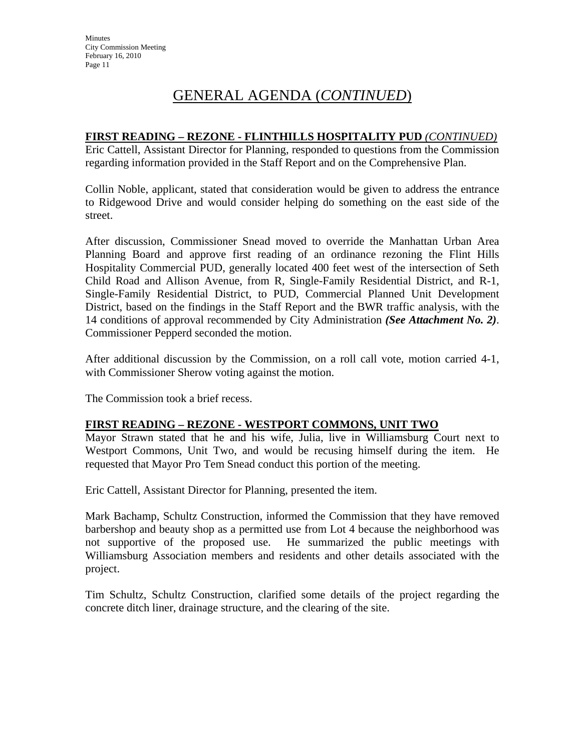#### **FIRST READING – REZONE - FLINTHILLS HOSPITALITY PUD** *(CONTINUED)*

Eric Cattell, Assistant Director for Planning, responded to questions from the Commission regarding information provided in the Staff Report and on the Comprehensive Plan.

Collin Noble, applicant, stated that consideration would be given to address the entrance to Ridgewood Drive and would consider helping do something on the east side of the street.

After discussion, Commissioner Snead moved to override the Manhattan Urban Area Planning Board and approve first reading of an ordinance rezoning the Flint Hills Hospitality Commercial PUD, generally located 400 feet west of the intersection of Seth Child Road and Allison Avenue, from R, Single-Family Residential District, and R-1, Single-Family Residential District, to PUD, Commercial Planned Unit Development District, based on the findings in the Staff Report and the BWR traffic analysis, with the 14 conditions of approval recommended by City Administration *(See Attachment No. 2)*. Commissioner Pepperd seconded the motion.

After additional discussion by the Commission, on a roll call vote, motion carried 4-1, with Commissioner Sherow voting against the motion.

The Commission took a brief recess.

### **FIRST READING – REZONE - WESTPORT COMMONS, UNIT TWO**

Mayor Strawn stated that he and his wife, Julia, live in Williamsburg Court next to Westport Commons, Unit Two, and would be recusing himself during the item. He requested that Mayor Pro Tem Snead conduct this portion of the meeting.

Eric Cattell, Assistant Director for Planning, presented the item.

Mark Bachamp, Schultz Construction, informed the Commission that they have removed barbershop and beauty shop as a permitted use from Lot 4 because the neighborhood was not supportive of the proposed use. He summarized the public meetings with Williamsburg Association members and residents and other details associated with the project.

Tim Schultz, Schultz Construction, clarified some details of the project regarding the concrete ditch liner, drainage structure, and the clearing of the site.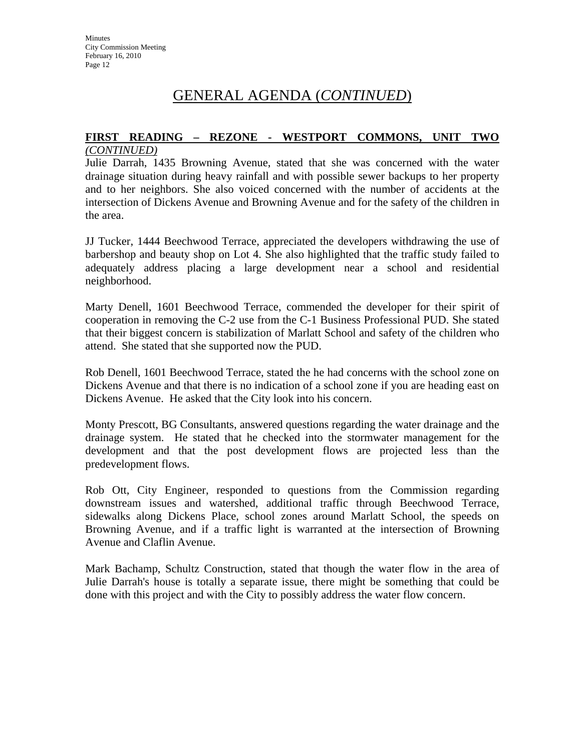#### **FIRST READING – REZONE - WESTPORT COMMONS, UNIT TWO** *(CONTINUED)*

Julie Darrah, 1435 Browning Avenue, stated that she was concerned with the water drainage situation during heavy rainfall and with possible sewer backups to her property and to her neighbors. She also voiced concerned with the number of accidents at the intersection of Dickens Avenue and Browning Avenue and for the safety of the children in the area.

JJ Tucker, 1444 Beechwood Terrace, appreciated the developers withdrawing the use of barbershop and beauty shop on Lot 4. She also highlighted that the traffic study failed to adequately address placing a large development near a school and residential neighborhood.

Marty Denell, 1601 Beechwood Terrace, commended the developer for their spirit of cooperation in removing the C-2 use from the C-1 Business Professional PUD. She stated that their biggest concern is stabilization of Marlatt School and safety of the children who attend. She stated that she supported now the PUD.

Rob Denell, 1601 Beechwood Terrace, stated the he had concerns with the school zone on Dickens Avenue and that there is no indication of a school zone if you are heading east on Dickens Avenue. He asked that the City look into his concern.

Monty Prescott, BG Consultants, answered questions regarding the water drainage and the drainage system. He stated that he checked into the stormwater management for the development and that the post development flows are projected less than the predevelopment flows.

Rob Ott, City Engineer, responded to questions from the Commission regarding downstream issues and watershed, additional traffic through Beechwood Terrace, sidewalks along Dickens Place, school zones around Marlatt School, the speeds on Browning Avenue, and if a traffic light is warranted at the intersection of Browning Avenue and Claflin Avenue.

Mark Bachamp, Schultz Construction, stated that though the water flow in the area of Julie Darrah's house is totally a separate issue, there might be something that could be done with this project and with the City to possibly address the water flow concern.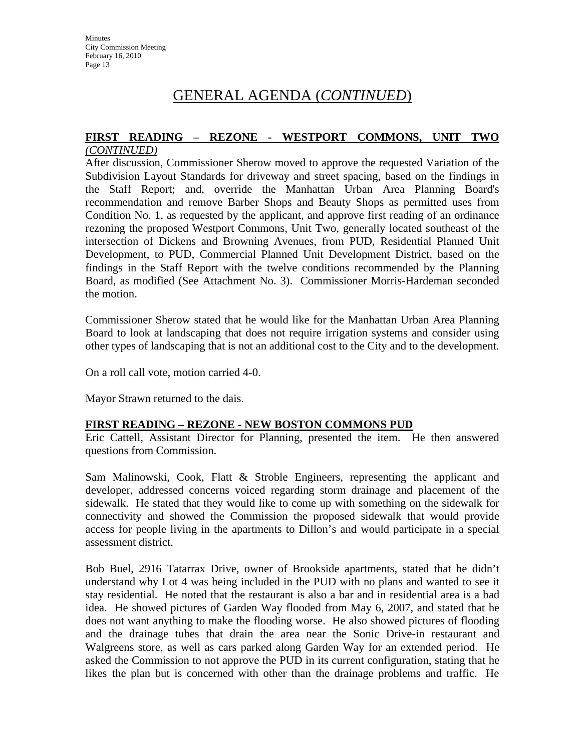# **FIRST READING – REZONE - WESTPORT COMMONS, UNIT TWO**

#### *(CONTINUED)*

After discussion, Commissioner Sherow moved to approve the requested Variation of the Subdivision Layout Standards for driveway and street spacing, based on the findings in the Staff Report; and, override the Manhattan Urban Area Planning Board's recommendation and remove Barber Shops and Beauty Shops as permitted uses from Condition No. 1, as requested by the applicant, and approve first reading of an ordinance rezoning the proposed Westport Commons, Unit Two, generally located southeast of the intersection of Dickens and Browning Avenues, from PUD, Residential Planned Unit Development, to PUD, Commercial Planned Unit Development District, based on the findings in the Staff Report with the twelve conditions recommended by the Planning Board, as modified (See Attachment No. 3). Commissioner Morris-Hardeman seconded the motion.

Commissioner Sherow stated that he would like for the Manhattan Urban Area Planning Board to look at landscaping that does not require irrigation systems and consider using other types of landscaping that is not an additional cost to the City and to the development.

On a roll call vote, motion carried 4-0.

Mayor Strawn returned to the dais.

#### **FIRST READING – REZONE - NEW BOSTON COMMONS PUD**

Eric Cattell, Assistant Director for Planning, presented the item. He then answered questions from Commission.

Sam Malinowski, Cook, Flatt & Stroble Engineers, representing the applicant and developer, addressed concerns voiced regarding storm drainage and placement of the sidewalk. He stated that they would like to come up with something on the sidewalk for connectivity and showed the Commission the proposed sidewalk that would provide access for people living in the apartments to Dillon's and would participate in a special assessment district.

Bob Buel, 2916 Tatarrax Drive, owner of Brookside apartments, stated that he didn't understand why Lot 4 was being included in the PUD with no plans and wanted to see it stay residential. He noted that the restaurant is also a bar and in residential area is a bad idea. He showed pictures of Garden Way flooded from May 6, 2007, and stated that he does not want anything to make the flooding worse. He also showed pictures of flooding and the drainage tubes that drain the area near the Sonic Drive-in restaurant and Walgreens store, as well as cars parked along Garden Way for an extended period. He asked the Commission to not approve the PUD in its current configuration, stating that he likes the plan but is concerned with other than the drainage problems and traffic. He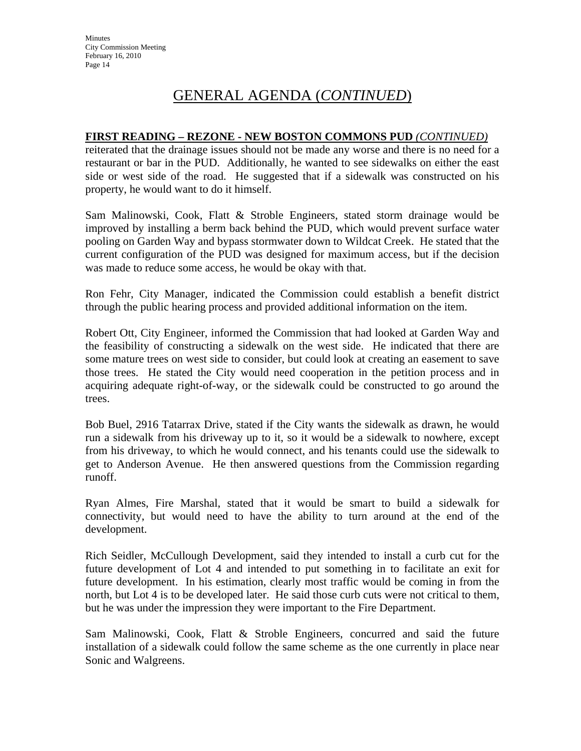#### **FIRST READING – REZONE - NEW BOSTON COMMONS PUD** *(CONTINUED)*

reiterated that the drainage issues should not be made any worse and there is no need for a restaurant or bar in the PUD. Additionally, he wanted to see sidewalks on either the east side or west side of the road. He suggested that if a sidewalk was constructed on his property, he would want to do it himself.

Sam Malinowski, Cook, Flatt & Stroble Engineers, stated storm drainage would be improved by installing a berm back behind the PUD, which would prevent surface water pooling on Garden Way and bypass stormwater down to Wildcat Creek. He stated that the current configuration of the PUD was designed for maximum access, but if the decision was made to reduce some access, he would be okay with that.

Ron Fehr, City Manager, indicated the Commission could establish a benefit district through the public hearing process and provided additional information on the item.

Robert Ott, City Engineer, informed the Commission that had looked at Garden Way and the feasibility of constructing a sidewalk on the west side. He indicated that there are some mature trees on west side to consider, but could look at creating an easement to save those trees. He stated the City would need cooperation in the petition process and in acquiring adequate right-of-way, or the sidewalk could be constructed to go around the trees.

Bob Buel, 2916 Tatarrax Drive, stated if the City wants the sidewalk as drawn, he would run a sidewalk from his driveway up to it, so it would be a sidewalk to nowhere, except from his driveway, to which he would connect, and his tenants could use the sidewalk to get to Anderson Avenue. He then answered questions from the Commission regarding runoff.

Ryan Almes, Fire Marshal, stated that it would be smart to build a sidewalk for connectivity, but would need to have the ability to turn around at the end of the development.

Rich Seidler, McCullough Development, said they intended to install a curb cut for the future development of Lot 4 and intended to put something in to facilitate an exit for future development. In his estimation, clearly most traffic would be coming in from the north, but Lot 4 is to be developed later. He said those curb cuts were not critical to them, but he was under the impression they were important to the Fire Department.

Sam Malinowski, Cook, Flatt & Stroble Engineers, concurred and said the future installation of a sidewalk could follow the same scheme as the one currently in place near Sonic and Walgreens.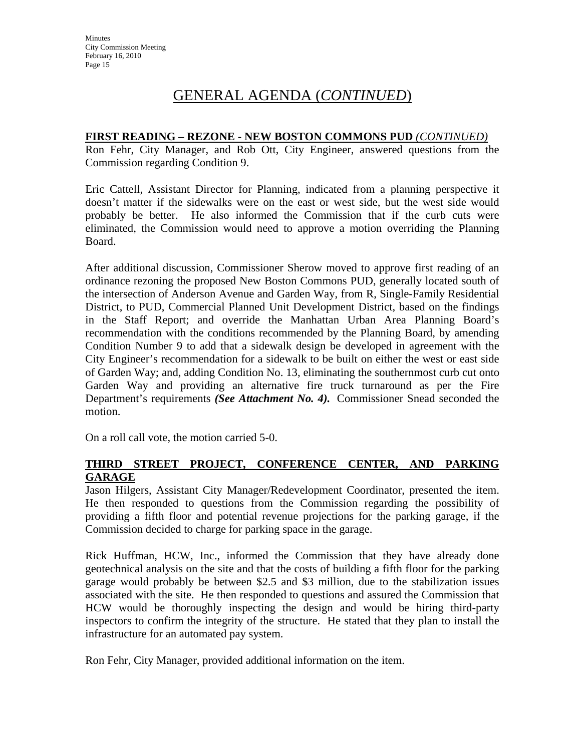#### **FIRST READING – REZONE - NEW BOSTON COMMONS PUD** *(CONTINUED)*

Ron Fehr, City Manager, and Rob Ott, City Engineer, answered questions from the Commission regarding Condition 9.

Eric Cattell, Assistant Director for Planning, indicated from a planning perspective it doesn't matter if the sidewalks were on the east or west side, but the west side would probably be better. He also informed the Commission that if the curb cuts were eliminated, the Commission would need to approve a motion overriding the Planning Board.

After additional discussion, Commissioner Sherow moved to approve first reading of an ordinance rezoning the proposed New Boston Commons PUD, generally located south of the intersection of Anderson Avenue and Garden Way, from R, Single-Family Residential District, to PUD, Commercial Planned Unit Development District, based on the findings in the Staff Report; and override the Manhattan Urban Area Planning Board's recommendation with the conditions recommended by the Planning Board, by amending Condition Number 9 to add that a sidewalk design be developed in agreement with the City Engineer's recommendation for a sidewalk to be built on either the west or east side of Garden Way; and, adding Condition No. 13, eliminating the southernmost curb cut onto Garden Way and providing an alternative fire truck turnaround as per the Fire Department's requirements *(See Attachment No. 4).* Commissioner Snead seconded the motion.

On a roll call vote, the motion carried 5-0.

### **THIRD STREET PROJECT, CONFERENCE CENTER, AND PARKING GARAGE**

Jason Hilgers, Assistant City Manager/Redevelopment Coordinator, presented the item. He then responded to questions from the Commission regarding the possibility of providing a fifth floor and potential revenue projections for the parking garage, if the Commission decided to charge for parking space in the garage.

Rick Huffman, HCW, Inc., informed the Commission that they have already done geotechnical analysis on the site and that the costs of building a fifth floor for the parking garage would probably be between \$2.5 and \$3 million, due to the stabilization issues associated with the site. He then responded to questions and assured the Commission that HCW would be thoroughly inspecting the design and would be hiring third-party inspectors to confirm the integrity of the structure. He stated that they plan to install the infrastructure for an automated pay system.

Ron Fehr, City Manager, provided additional information on the item.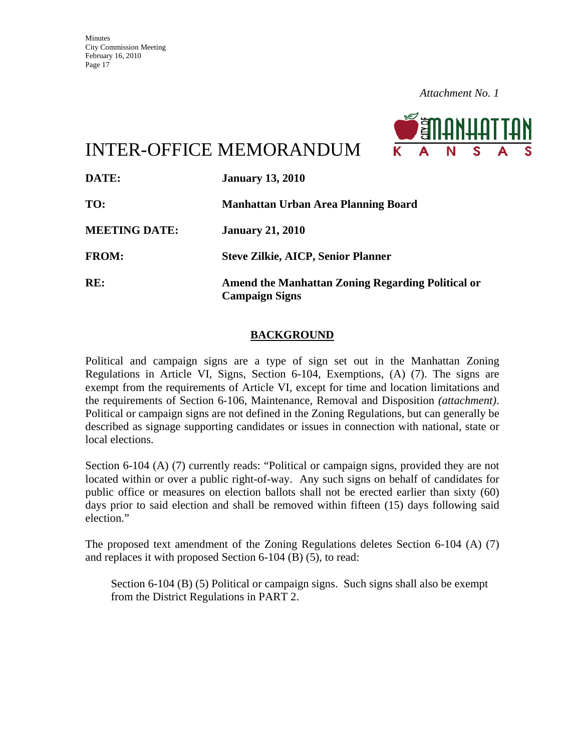

# INTER-OFFICE MEMORANDUM

| DATE:                | <b>January 13, 2010</b>                                                           |
|----------------------|-----------------------------------------------------------------------------------|
| TO:                  | <b>Manhattan Urban Area Planning Board</b>                                        |
| <b>MEETING DATE:</b> | <b>January 21, 2010</b>                                                           |
| <b>FROM:</b>         | <b>Steve Zilkie, AICP, Senior Planner</b>                                         |
| RE:                  | <b>Amend the Manhattan Zoning Regarding Political or</b><br><b>Campaign Signs</b> |

### **BACKGROUND**

Political and campaign signs are a type of sign set out in the Manhattan Zoning Regulations in Article VI, Signs, Section 6-104, Exemptions, (A) (7). The signs are exempt from the requirements of Article VI, except for time and location limitations and the requirements of Section 6-106, Maintenance, Removal and Disposition *(attachment)*. Political or campaign signs are not defined in the Zoning Regulations, but can generally be described as signage supporting candidates or issues in connection with national, state or local elections.

Section 6-104 (A) (7) currently reads: "Political or campaign signs, provided they are not located within or over a public right-of-way. Any such signs on behalf of candidates for public office or measures on election ballots shall not be erected earlier than sixty (60) days prior to said election and shall be removed within fifteen (15) days following said election."

The proposed text amendment of the Zoning Regulations deletes Section 6-104 (A) (7) and replaces it with proposed Section 6-104 (B) (5), to read:

Section 6-104 (B) (5) Political or campaign signs. Such signs shall also be exempt from the District Regulations in PART 2.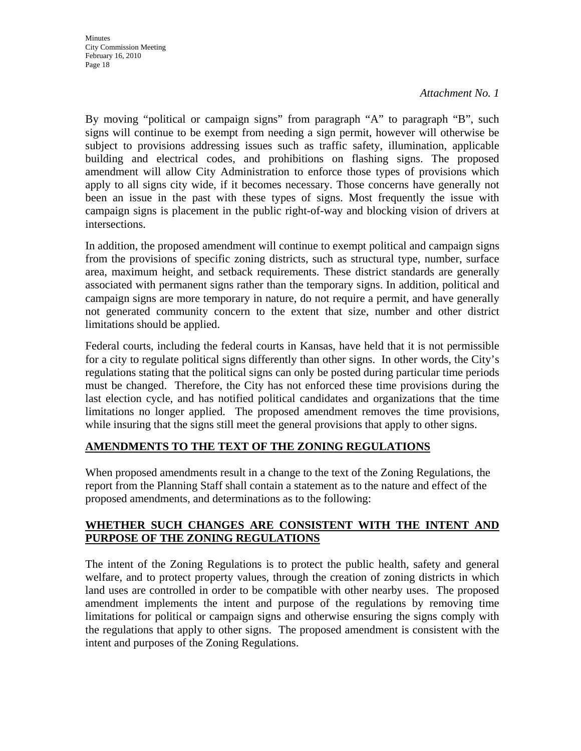By moving "political or campaign signs" from paragraph "A" to paragraph "B", such signs will continue to be exempt from needing a sign permit, however will otherwise be subject to provisions addressing issues such as traffic safety, illumination, applicable building and electrical codes, and prohibitions on flashing signs. The proposed amendment will allow City Administration to enforce those types of provisions which apply to all signs city wide, if it becomes necessary. Those concerns have generally not been an issue in the past with these types of signs. Most frequently the issue with campaign signs is placement in the public right-of-way and blocking vision of drivers at intersections.

In addition, the proposed amendment will continue to exempt political and campaign signs from the provisions of specific zoning districts, such as structural type, number, surface area, maximum height, and setback requirements. These district standards are generally associated with permanent signs rather than the temporary signs. In addition, political and campaign signs are more temporary in nature, do not require a permit, and have generally not generated community concern to the extent that size, number and other district limitations should be applied.

Federal courts, including the federal courts in Kansas, have held that it is not permissible for a city to regulate political signs differently than other signs. In other words, the City's regulations stating that the political signs can only be posted during particular time periods must be changed. Therefore, the City has not enforced these time provisions during the last election cycle, and has notified political candidates and organizations that the time limitations no longer applied. The proposed amendment removes the time provisions, while insuring that the signs still meet the general provisions that apply to other signs.

# **AMENDMENTS TO THE TEXT OF THE ZONING REGULATIONS**

When proposed amendments result in a change to the text of the Zoning Regulations, the report from the Planning Staff shall contain a statement as to the nature and effect of the proposed amendments, and determinations as to the following:

### **WHETHER SUCH CHANGES ARE CONSISTENT WITH THE INTENT AND PURPOSE OF THE ZONING REGULATIONS**

The intent of the Zoning Regulations is to protect the public health, safety and general welfare, and to protect property values, through the creation of zoning districts in which land uses are controlled in order to be compatible with other nearby uses. The proposed amendment implements the intent and purpose of the regulations by removing time limitations for political or campaign signs and otherwise ensuring the signs comply with the regulations that apply to other signs. The proposed amendment is consistent with the intent and purposes of the Zoning Regulations.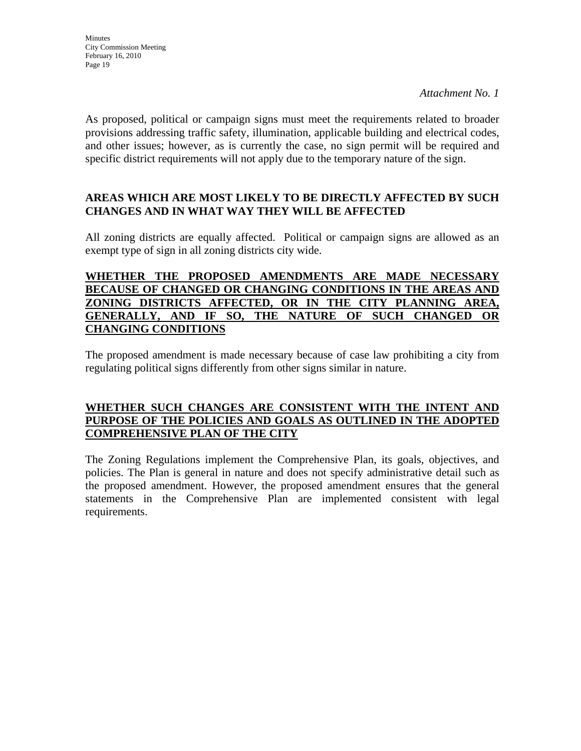As proposed, political or campaign signs must meet the requirements related to broader provisions addressing traffic safety, illumination, applicable building and electrical codes, and other issues; however, as is currently the case, no sign permit will be required and specific district requirements will not apply due to the temporary nature of the sign.

### **AREAS WHICH ARE MOST LIKELY TO BE DIRECTLY AFFECTED BY SUCH CHANGES AND IN WHAT WAY THEY WILL BE AFFECTED**

All zoning districts are equally affected. Political or campaign signs are allowed as an exempt type of sign in all zoning districts city wide.

#### **WHETHER THE PROPOSED AMENDMENTS ARE MADE NECESSARY BECAUSE OF CHANGED OR CHANGING CONDITIONS IN THE AREAS AND ZONING DISTRICTS AFFECTED, OR IN THE CITY PLANNING AREA, GENERALLY, AND IF SO, THE NATURE OF SUCH CHANGED OR CHANGING CONDITIONS**

The proposed amendment is made necessary because of case law prohibiting a city from regulating political signs differently from other signs similar in nature.

#### **WHETHER SUCH CHANGES ARE CONSISTENT WITH THE INTENT AND PURPOSE OF THE POLICIES AND GOALS AS OUTLINED IN THE ADOPTED COMPREHENSIVE PLAN OF THE CITY**

The Zoning Regulations implement the Comprehensive Plan, its goals, objectives, and policies. The Plan is general in nature and does not specify administrative detail such as the proposed amendment. However, the proposed amendment ensures that the general statements in the Comprehensive Plan are implemented consistent with legal requirements.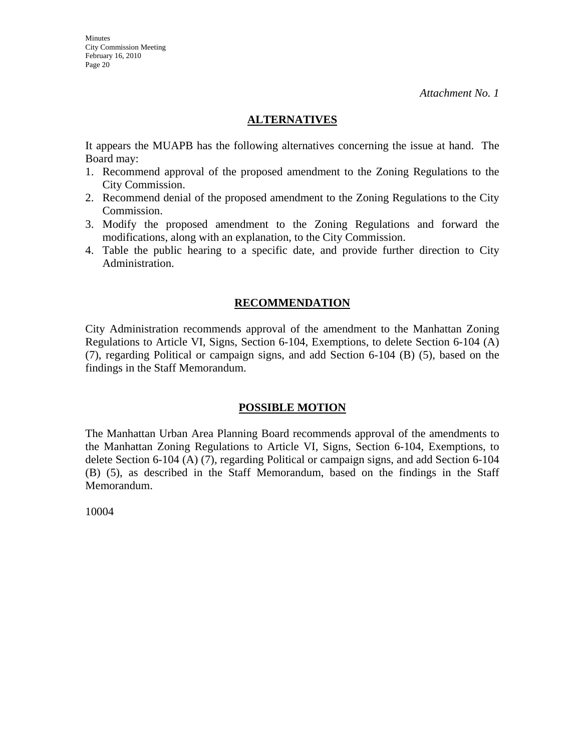### **ALTERNATIVES**

It appears the MUAPB has the following alternatives concerning the issue at hand. The Board may:

- 1. Recommend approval of the proposed amendment to the Zoning Regulations to the City Commission.
- 2. Recommend denial of the proposed amendment to the Zoning Regulations to the City Commission.
- 3. Modify the proposed amendment to the Zoning Regulations and forward the modifications, along with an explanation, to the City Commission.
- 4. Table the public hearing to a specific date, and provide further direction to City Administration.

#### **RECOMMENDATION**

City Administration recommends approval of the amendment to the Manhattan Zoning Regulations to Article VI, Signs, Section 6-104, Exemptions, to delete Section 6-104 (A) (7), regarding Political or campaign signs, and add Section 6-104 (B) (5), based on the findings in the Staff Memorandum.

#### **POSSIBLE MOTION**

The Manhattan Urban Area Planning Board recommends approval of the amendments to the Manhattan Zoning Regulations to Article VI, Signs, Section 6-104, Exemptions, to delete Section 6-104 (A) (7), regarding Political or campaign signs, and add Section 6-104 (B) (5), as described in the Staff Memorandum, based on the findings in the Staff Memorandum.

10004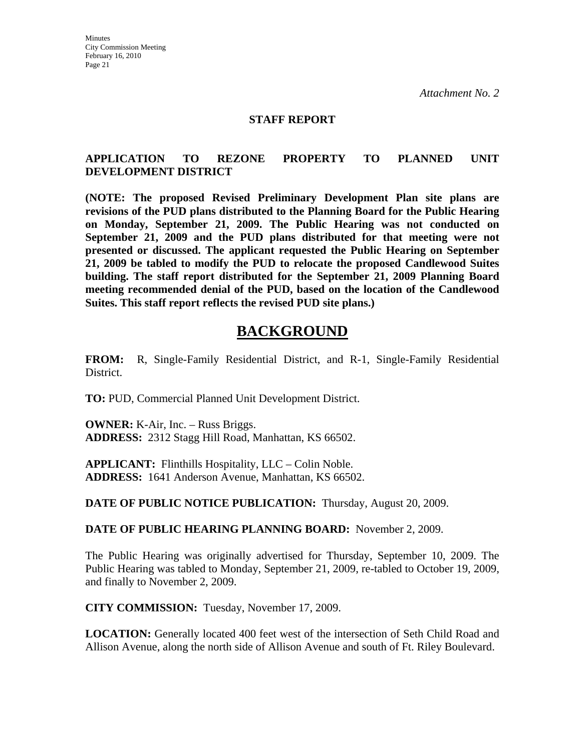#### **STAFF REPORT**

#### **APPLICATION TO REZONE PROPERTY TO PLANNED UNIT DEVELOPMENT DISTRICT**

**(NOTE: The proposed Revised Preliminary Development Plan site plans are revisions of the PUD plans distributed to the Planning Board for the Public Hearing on Monday, September 21, 2009. The Public Hearing was not conducted on September 21, 2009 and the PUD plans distributed for that meeting were not presented or discussed. The applicant requested the Public Hearing on September 21, 2009 be tabled to modify the PUD to relocate the proposed Candlewood Suites building. The staff report distributed for the September 21, 2009 Planning Board meeting recommended denial of the PUD, based on the location of the Candlewood Suites. This staff report reflects the revised PUD site plans.)** 

# **BACKGROUND**

**FROM:** R, Single-Family Residential District, and R-1, Single-Family Residential District.

**TO:** PUD, Commercial Planned Unit Development District.

**OWNER:** K-Air, Inc. – Russ Briggs. **ADDRESS:** 2312 Stagg Hill Road, Manhattan, KS 66502.

**APPLICANT:** Flinthills Hospitality, LLC – Colin Noble. **ADDRESS:** 1641 Anderson Avenue, Manhattan, KS 66502.

**DATE OF PUBLIC NOTICE PUBLICATION:** Thursday, August 20, 2009.

**DATE OF PUBLIC HEARING PLANNING BOARD:** November 2, 2009.

The Public Hearing was originally advertised for Thursday, September 10, 2009. The Public Hearing was tabled to Monday, September 21, 2009, re-tabled to October 19, 2009, and finally to November 2, 2009.

**CITY COMMISSION:** Tuesday, November 17, 2009.

**LOCATION:** Generally located 400 feet west of the intersection of Seth Child Road and Allison Avenue, along the north side of Allison Avenue and south of Ft. Riley Boulevard.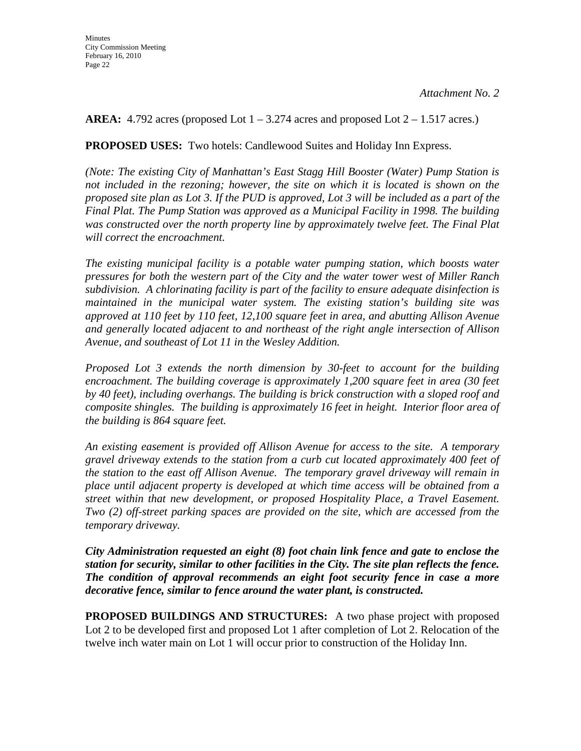**AREA:** 4.792 acres (proposed Lot  $1 - 3.274$  acres and proposed Lot  $2 - 1.517$  acres.)

**PROPOSED USES:** Two hotels: Candlewood Suites and Holiday Inn Express.

*(Note: The existing City of Manhattan's East Stagg Hill Booster (Water) Pump Station is not included in the rezoning; however, the site on which it is located is shown on the proposed site plan as Lot 3. If the PUD is approved, Lot 3 will be included as a part of the Final Plat. The Pump Station was approved as a Municipal Facility in 1998. The building was constructed over the north property line by approximately twelve feet. The Final Plat will correct the encroachment.* 

*The existing municipal facility is a potable water pumping station, which boosts water pressures for both the western part of the City and the water tower west of Miller Ranch subdivision. A chlorinating facility is part of the facility to ensure adequate disinfection is maintained in the municipal water system. The existing station's building site was approved at 110 feet by 110 feet, 12,100 square feet in area, and abutting Allison Avenue and generally located adjacent to and northeast of the right angle intersection of Allison Avenue, and southeast of Lot 11 in the Wesley Addition.* 

*Proposed Lot 3 extends the north dimension by 30-feet to account for the building encroachment. The building coverage is approximately 1,200 square feet in area (30 feet by 40 feet), including overhangs. The building is brick construction with a sloped roof and composite shingles. The building is approximately 16 feet in height. Interior floor area of the building is 864 square feet.* 

*An existing easement is provided off Allison Avenue for access to the site. A temporary gravel driveway extends to the station from a curb cut located approximately 400 feet of the station to the east off Allison Avenue. The temporary gravel driveway will remain in place until adjacent property is developed at which time access will be obtained from a street within that new development, or proposed Hospitality Place, a Travel Easement. Two (2) off-street parking spaces are provided on the site, which are accessed from the temporary driveway.* 

*City Administration requested an eight (8) foot chain link fence and gate to enclose the station for security, similar to other facilities in the City. The site plan reflects the fence. The condition of approval recommends an eight foot security fence in case a more decorative fence, similar to fence around the water plant, is constructed.* 

**PROPOSED BUILDINGS AND STRUCTURES:** A two phase project with proposed Lot 2 to be developed first and proposed Lot 1 after completion of Lot 2. Relocation of the twelve inch water main on Lot 1 will occur prior to construction of the Holiday Inn.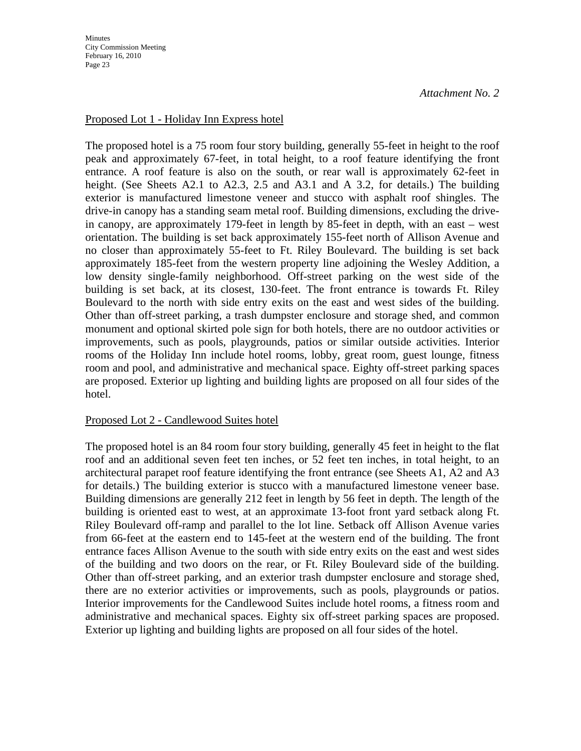**Minutes** City Commission Meeting February 16, 2010 Page 23

#### Proposed Lot 1 - Holiday Inn Express hotel

The proposed hotel is a 75 room four story building, generally 55-feet in height to the roof peak and approximately 67-feet, in total height, to a roof feature identifying the front entrance. A roof feature is also on the south, or rear wall is approximately 62-feet in height. (See Sheets A2.1 to A2.3, 2.5 and A3.1 and A 3.2, for details.) The building exterior is manufactured limestone veneer and stucco with asphalt roof shingles. The drive-in canopy has a standing seam metal roof. Building dimensions, excluding the drivein canopy, are approximately 179-feet in length by 85-feet in depth, with an east – west orientation. The building is set back approximately 155-feet north of Allison Avenue and no closer than approximately 55-feet to Ft. Riley Boulevard. The building is set back approximately 185-feet from the western property line adjoining the Wesley Addition, a low density single-family neighborhood. Off-street parking on the west side of the building is set back, at its closest, 130-feet. The front entrance is towards Ft. Riley Boulevard to the north with side entry exits on the east and west sides of the building. Other than off-street parking, a trash dumpster enclosure and storage shed, and common monument and optional skirted pole sign for both hotels, there are no outdoor activities or improvements, such as pools, playgrounds, patios or similar outside activities. Interior rooms of the Holiday Inn include hotel rooms, lobby, great room, guest lounge, fitness room and pool, and administrative and mechanical space. Eighty off-street parking spaces are proposed. Exterior up lighting and building lights are proposed on all four sides of the hotel.

#### Proposed Lot 2 - Candlewood Suites hotel

The proposed hotel is an 84 room four story building, generally 45 feet in height to the flat roof and an additional seven feet ten inches, or 52 feet ten inches, in total height, to an architectural parapet roof feature identifying the front entrance (see Sheets A1, A2 and A3 for details.) The building exterior is stucco with a manufactured limestone veneer base. Building dimensions are generally 212 feet in length by 56 feet in depth. The length of the building is oriented east to west, at an approximate 13-foot front yard setback along Ft. Riley Boulevard off-ramp and parallel to the lot line. Setback off Allison Avenue varies from 66-feet at the eastern end to 145-feet at the western end of the building. The front entrance faces Allison Avenue to the south with side entry exits on the east and west sides of the building and two doors on the rear, or Ft. Riley Boulevard side of the building. Other than off-street parking, and an exterior trash dumpster enclosure and storage shed, there are no exterior activities or improvements, such as pools, playgrounds or patios. Interior improvements for the Candlewood Suites include hotel rooms, a fitness room and administrative and mechanical spaces. Eighty six off-street parking spaces are proposed. Exterior up lighting and building lights are proposed on all four sides of the hotel.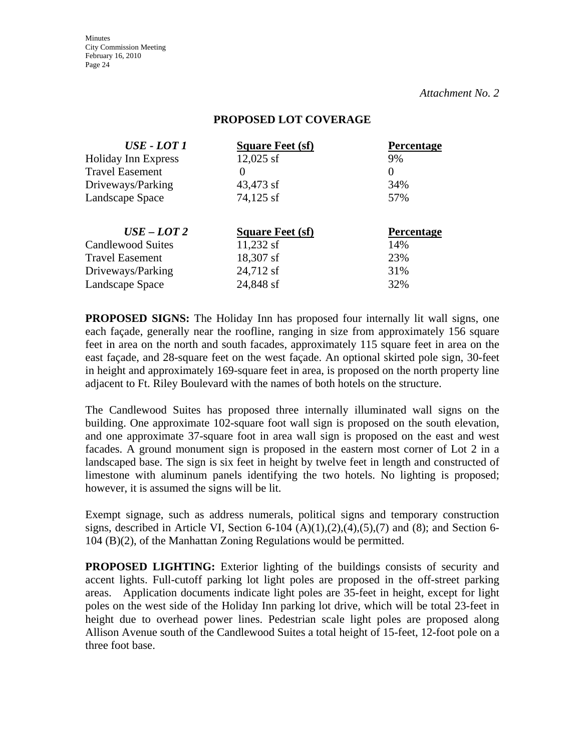**Minutes** City Commission Meeting February 16, 2010 Page 24

*Attachment No. 2*

#### **PROPOSED LOT COVERAGE**

| <b>USE - LOT 1</b>         | <b>Square Feet (sf)</b> | <b>Percentage</b> |
|----------------------------|-------------------------|-------------------|
| <b>Holiday Inn Express</b> | $12,025$ sf             | 9%                |
| <b>Travel Easement</b>     | $\theta$                | $\theta$          |
| Driveways/Parking          | 43,473 sf               | 34%               |
| Landscape Space            | 74,125 sf               | 57%               |
| $USE$ – LOT 2              | <b>Square Feet (sf)</b> | <b>Percentage</b> |
| <b>Candlewood Suites</b>   | $11,232$ sf             | 14%               |
| <b>Travel Easement</b>     | 18,307 sf               | 23%               |
| Driveways/Parking          | 24,712 sf               | 31%               |
| Landscape Space            | 24,848 sf               | 32%               |

**PROPOSED SIGNS:** The Holiday Inn has proposed four internally lit wall signs, one each façade, generally near the roofline, ranging in size from approximately 156 square feet in area on the north and south facades, approximately 115 square feet in area on the east façade, and 28-square feet on the west façade. An optional skirted pole sign, 30-feet in height and approximately 169-square feet in area, is proposed on the north property line adjacent to Ft. Riley Boulevard with the names of both hotels on the structure.

The Candlewood Suites has proposed three internally illuminated wall signs on the building. One approximate 102-square foot wall sign is proposed on the south elevation, and one approximate 37-square foot in area wall sign is proposed on the east and west facades. A ground monument sign is proposed in the eastern most corner of Lot 2 in a landscaped base. The sign is six feet in height by twelve feet in length and constructed of limestone with aluminum panels identifying the two hotels. No lighting is proposed; however, it is assumed the signs will be lit.

Exempt signage, such as address numerals, political signs and temporary construction signs, described in Article VI, Section 6-104  $(A)(1),(2),(4),(5),(7)$  and  $(8)$ ; and Section 6-104 (B)(2), of the Manhattan Zoning Regulations would be permitted.

**PROPOSED LIGHTING:** Exterior lighting of the buildings consists of security and accent lights. Full-cutoff parking lot light poles are proposed in the off-street parking areas. Application documents indicate light poles are 35-feet in height, except for light poles on the west side of the Holiday Inn parking lot drive, which will be total 23-feet in height due to overhead power lines. Pedestrian scale light poles are proposed along Allison Avenue south of the Candlewood Suites a total height of 15-feet, 12-foot pole on a three foot base.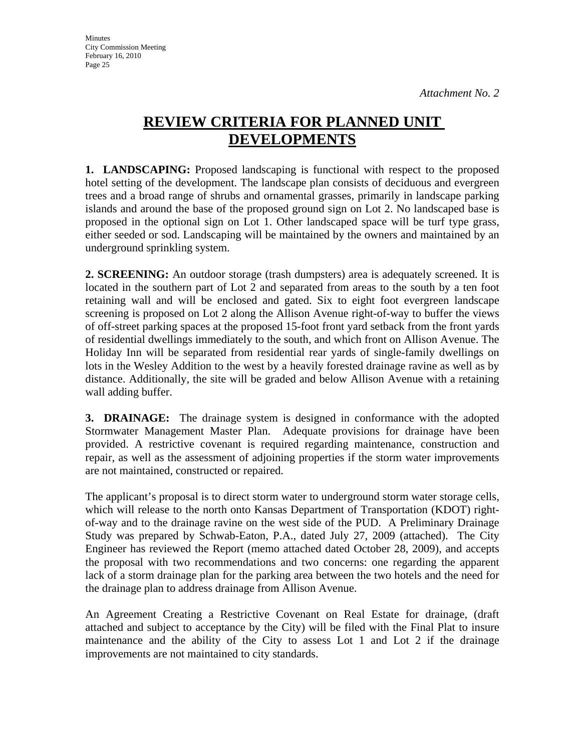# **REVIEW CRITERIA FOR PLANNED UNIT DEVELOPMENTS**

**1. LANDSCAPING:** Proposed landscaping is functional with respect to the proposed hotel setting of the development. The landscape plan consists of deciduous and evergreen trees and a broad range of shrubs and ornamental grasses, primarily in landscape parking islands and around the base of the proposed ground sign on Lot 2. No landscaped base is proposed in the optional sign on Lot 1. Other landscaped space will be turf type grass, either seeded or sod. Landscaping will be maintained by the owners and maintained by an underground sprinkling system.

**2. SCREENING:** An outdoor storage (trash dumpsters) area is adequately screened. It is located in the southern part of Lot 2 and separated from areas to the south by a ten foot retaining wall and will be enclosed and gated. Six to eight foot evergreen landscape screening is proposed on Lot 2 along the Allison Avenue right-of-way to buffer the views of off-street parking spaces at the proposed 15-foot front yard setback from the front yards of residential dwellings immediately to the south, and which front on Allison Avenue. The Holiday Inn will be separated from residential rear yards of single-family dwellings on lots in the Wesley Addition to the west by a heavily forested drainage ravine as well as by distance. Additionally, the site will be graded and below Allison Avenue with a retaining wall adding buffer.

**3. DRAINAGE:** The drainage system is designed in conformance with the adopted Stormwater Management Master Plan. Adequate provisions for drainage have been provided. A restrictive covenant is required regarding maintenance, construction and repair, as well as the assessment of adjoining properties if the storm water improvements are not maintained, constructed or repaired.

The applicant's proposal is to direct storm water to underground storm water storage cells, which will release to the north onto Kansas Department of Transportation (KDOT) rightof-way and to the drainage ravine on the west side of the PUD. A Preliminary Drainage Study was prepared by Schwab-Eaton, P.A., dated July 27, 2009 (attached). The City Engineer has reviewed the Report (memo attached dated October 28, 2009), and accepts the proposal with two recommendations and two concerns: one regarding the apparent lack of a storm drainage plan for the parking area between the two hotels and the need for the drainage plan to address drainage from Allison Avenue.

An Agreement Creating a Restrictive Covenant on Real Estate for drainage, (draft attached and subject to acceptance by the City) will be filed with the Final Plat to insure maintenance and the ability of the City to assess Lot 1 and Lot 2 if the drainage improvements are not maintained to city standards.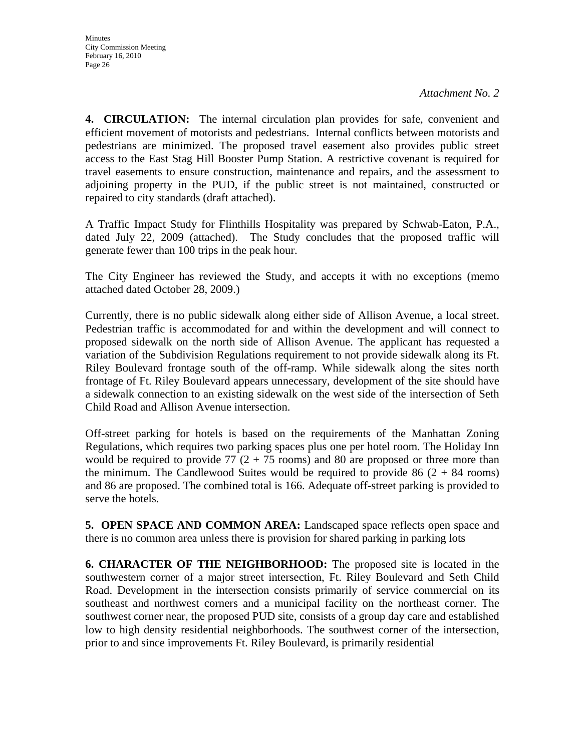**4. CIRCULATION:** The internal circulation plan provides for safe, convenient and efficient movement of motorists and pedestrians. Internal conflicts between motorists and pedestrians are minimized. The proposed travel easement also provides public street access to the East Stag Hill Booster Pump Station. A restrictive covenant is required for travel easements to ensure construction, maintenance and repairs, and the assessment to adjoining property in the PUD, if the public street is not maintained, constructed or repaired to city standards (draft attached).

A Traffic Impact Study for Flinthills Hospitality was prepared by Schwab-Eaton, P.A., dated July 22, 2009 (attached). The Study concludes that the proposed traffic will generate fewer than 100 trips in the peak hour.

The City Engineer has reviewed the Study, and accepts it with no exceptions (memo attached dated October 28, 2009.)

Currently, there is no public sidewalk along either side of Allison Avenue, a local street. Pedestrian traffic is accommodated for and within the development and will connect to proposed sidewalk on the north side of Allison Avenue. The applicant has requested a variation of the Subdivision Regulations requirement to not provide sidewalk along its Ft. Riley Boulevard frontage south of the off-ramp. While sidewalk along the sites north frontage of Ft. Riley Boulevard appears unnecessary, development of the site should have a sidewalk connection to an existing sidewalk on the west side of the intersection of Seth Child Road and Allison Avenue intersection.

Off-street parking for hotels is based on the requirements of the Manhattan Zoning Regulations, which requires two parking spaces plus one per hotel room. The Holiday Inn would be required to provide 77  $(2 + 75 \text{ rooms})$  and 80 are proposed or three more than the minimum. The Candlewood Suites would be required to provide  $86 (2 + 84$  rooms) and 86 are proposed. The combined total is 166. Adequate off-street parking is provided to serve the hotels.

**5. OPEN SPACE AND COMMON AREA:** Landscaped space reflects open space and there is no common area unless there is provision for shared parking in parking lots

**6. CHARACTER OF THE NEIGHBORHOOD:** The proposed site is located in the southwestern corner of a major street intersection, Ft. Riley Boulevard and Seth Child Road. Development in the intersection consists primarily of service commercial on its southeast and northwest corners and a municipal facility on the northeast corner. The southwest corner near, the proposed PUD site, consists of a group day care and established low to high density residential neighborhoods. The southwest corner of the intersection, prior to and since improvements Ft. Riley Boulevard, is primarily residential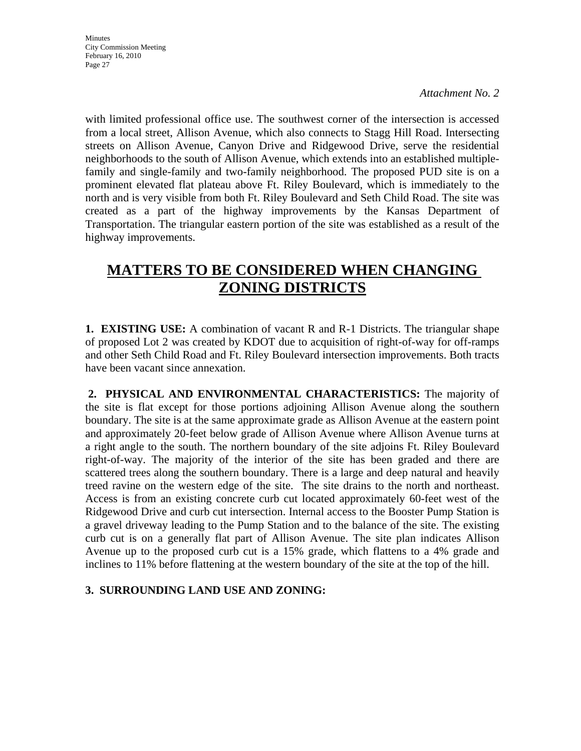with limited professional office use. The southwest corner of the intersection is accessed from a local street, Allison Avenue, which also connects to Stagg Hill Road. Intersecting streets on Allison Avenue, Canyon Drive and Ridgewood Drive, serve the residential neighborhoods to the south of Allison Avenue, which extends into an established multiplefamily and single-family and two-family neighborhood. The proposed PUD site is on a prominent elevated flat plateau above Ft. Riley Boulevard, which is immediately to the north and is very visible from both Ft. Riley Boulevard and Seth Child Road. The site was created as a part of the highway improvements by the Kansas Department of Transportation. The triangular eastern portion of the site was established as a result of the highway improvements.

# **MATTERS TO BE CONSIDERED WHEN CHANGING ZONING DISTRICTS**

**1. EXISTING USE:** A combination of vacant R and R-1 Districts. The triangular shape of proposed Lot 2 was created by KDOT due to acquisition of right-of-way for off-ramps and other Seth Child Road and Ft. Riley Boulevard intersection improvements. Both tracts have been vacant since annexation.

**2. PHYSICAL AND ENVIRONMENTAL CHARACTERISTICS:** The majority of the site is flat except for those portions adjoining Allison Avenue along the southern boundary. The site is at the same approximate grade as Allison Avenue at the eastern point and approximately 20-feet below grade of Allison Avenue where Allison Avenue turns at a right angle to the south. The northern boundary of the site adjoins Ft. Riley Boulevard right-of-way. The majority of the interior of the site has been graded and there are scattered trees along the southern boundary. There is a large and deep natural and heavily treed ravine on the western edge of the site. The site drains to the north and northeast. Access is from an existing concrete curb cut located approximately 60-feet west of the Ridgewood Drive and curb cut intersection. Internal access to the Booster Pump Station is a gravel driveway leading to the Pump Station and to the balance of the site. The existing curb cut is on a generally flat part of Allison Avenue. The site plan indicates Allison Avenue up to the proposed curb cut is a 15% grade, which flattens to a 4% grade and inclines to 11% before flattening at the western boundary of the site at the top of the hill.

### **3. SURROUNDING LAND USE AND ZONING:**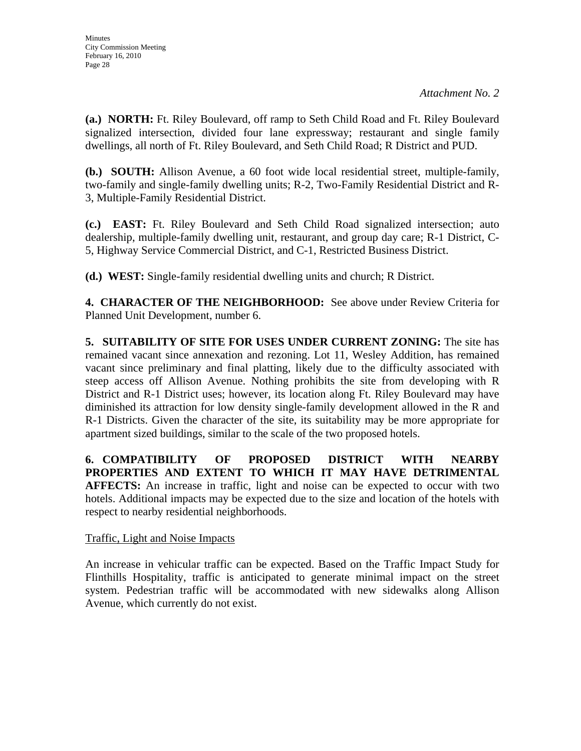**(a.) NORTH:** Ft. Riley Boulevard, off ramp to Seth Child Road and Ft. Riley Boulevard signalized intersection, divided four lane expressway; restaurant and single family dwellings, all north of Ft. Riley Boulevard, and Seth Child Road; R District and PUD.

**(b.) SOUTH:** Allison Avenue, a 60 foot wide local residential street, multiple-family, two-family and single-family dwelling units; R-2, Two-Family Residential District and R-3, Multiple-Family Residential District.

**(c.) EAST:** Ft. Riley Boulevard and Seth Child Road signalized intersection; auto dealership, multiple-family dwelling unit, restaurant, and group day care; R-1 District, C-5, Highway Service Commercial District, and C-1, Restricted Business District.

**(d.) WEST:** Single-family residential dwelling units and church; R District.

**4. CHARACTER OF THE NEIGHBORHOOD:** See above under Review Criteria for Planned Unit Development, number 6.

**5. SUITABILITY OF SITE FOR USES UNDER CURRENT ZONING:** The site has remained vacant since annexation and rezoning. Lot 11, Wesley Addition, has remained vacant since preliminary and final platting, likely due to the difficulty associated with steep access off Allison Avenue. Nothing prohibits the site from developing with R District and R-1 District uses; however, its location along Ft. Riley Boulevard may have diminished its attraction for low density single-family development allowed in the R and R-1 Districts. Given the character of the site, its suitability may be more appropriate for apartment sized buildings, similar to the scale of the two proposed hotels.

**6. COMPATIBILITY OF PROPOSED DISTRICT WITH NEARBY PROPERTIES AND EXTENT TO WHICH IT MAY HAVE DETRIMENTAL AFFECTS:** An increase in traffic, light and noise can be expected to occur with two hotels. Additional impacts may be expected due to the size and location of the hotels with respect to nearby residential neighborhoods.

#### Traffic, Light and Noise Impacts

An increase in vehicular traffic can be expected. Based on the Traffic Impact Study for Flinthills Hospitality, traffic is anticipated to generate minimal impact on the street system. Pedestrian traffic will be accommodated with new sidewalks along Allison Avenue, which currently do not exist.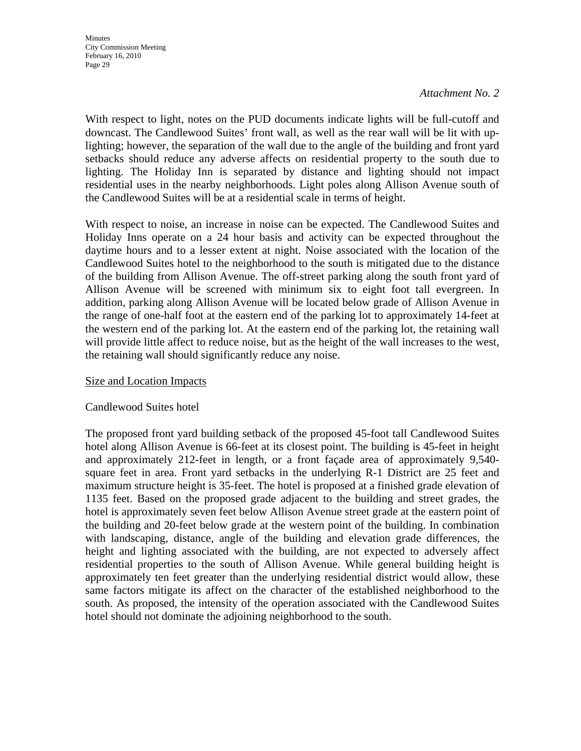With respect to light, notes on the PUD documents indicate lights will be full-cutoff and downcast. The Candlewood Suites' front wall, as well as the rear wall will be lit with uplighting; however, the separation of the wall due to the angle of the building and front yard setbacks should reduce any adverse affects on residential property to the south due to lighting. The Holiday Inn is separated by distance and lighting should not impact residential uses in the nearby neighborhoods. Light poles along Allison Avenue south of the Candlewood Suites will be at a residential scale in terms of height.

With respect to noise, an increase in noise can be expected. The Candlewood Suites and Holiday Inns operate on a 24 hour basis and activity can be expected throughout the daytime hours and to a lesser extent at night. Noise associated with the location of the Candlewood Suites hotel to the neighborhood to the south is mitigated due to the distance of the building from Allison Avenue. The off-street parking along the south front yard of Allison Avenue will be screened with minimum six to eight foot tall evergreen. In addition, parking along Allison Avenue will be located below grade of Allison Avenue in the range of one-half foot at the eastern end of the parking lot to approximately 14-feet at the western end of the parking lot. At the eastern end of the parking lot, the retaining wall will provide little affect to reduce noise, but as the height of the wall increases to the west, the retaining wall should significantly reduce any noise.

#### Size and Location Impacts

#### Candlewood Suites hotel

The proposed front yard building setback of the proposed 45-foot tall Candlewood Suites hotel along Allison Avenue is 66-feet at its closest point. The building is 45-feet in height and approximately 212-feet in length, or a front façade area of approximately 9,540 square feet in area. Front yard setbacks in the underlying R-1 District are 25 feet and maximum structure height is 35-feet. The hotel is proposed at a finished grade elevation of 1135 feet. Based on the proposed grade adjacent to the building and street grades, the hotel is approximately seven feet below Allison Avenue street grade at the eastern point of the building and 20-feet below grade at the western point of the building. In combination with landscaping, distance, angle of the building and elevation grade differences, the height and lighting associated with the building, are not expected to adversely affect residential properties to the south of Allison Avenue. While general building height is approximately ten feet greater than the underlying residential district would allow, these same factors mitigate its affect on the character of the established neighborhood to the south. As proposed, the intensity of the operation associated with the Candlewood Suites hotel should not dominate the adjoining neighborhood to the south.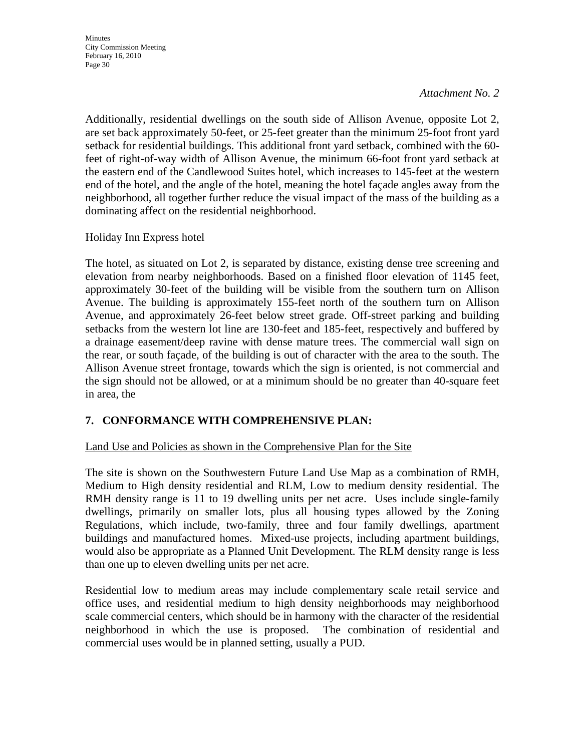**Minutes** City Commission Meeting February 16, 2010 Page 30

#### *Attachment No. 2*

Additionally, residential dwellings on the south side of Allison Avenue, opposite Lot 2, are set back approximately 50-feet, or 25-feet greater than the minimum 25-foot front yard setback for residential buildings. This additional front yard setback, combined with the 60 feet of right-of-way width of Allison Avenue, the minimum 66-foot front yard setback at the eastern end of the Candlewood Suites hotel, which increases to 145-feet at the western end of the hotel, and the angle of the hotel, meaning the hotel façade angles away from the neighborhood, all together further reduce the visual impact of the mass of the building as a dominating affect on the residential neighborhood.

Holiday Inn Express hotel

The hotel, as situated on Lot 2, is separated by distance, existing dense tree screening and elevation from nearby neighborhoods. Based on a finished floor elevation of 1145 feet, approximately 30-feet of the building will be visible from the southern turn on Allison Avenue. The building is approximately 155-feet north of the southern turn on Allison Avenue, and approximately 26-feet below street grade. Off-street parking and building setbacks from the western lot line are 130-feet and 185-feet, respectively and buffered by a drainage easement/deep ravine with dense mature trees. The commercial wall sign on the rear, or south façade, of the building is out of character with the area to the south. The Allison Avenue street frontage, towards which the sign is oriented, is not commercial and the sign should not be allowed, or at a minimum should be no greater than 40-square feet in area, the

#### **7. CONFORMANCE WITH COMPREHENSIVE PLAN:**

#### Land Use and Policies as shown in the Comprehensive Plan for the Site

The site is shown on the Southwestern Future Land Use Map as a combination of RMH, Medium to High density residential and RLM, Low to medium density residential. The RMH density range is 11 to 19 dwelling units per net acre. Uses include single-family dwellings, primarily on smaller lots, plus all housing types allowed by the Zoning Regulations, which include, two-family, three and four family dwellings, apartment buildings and manufactured homes. Mixed-use projects, including apartment buildings, would also be appropriate as a Planned Unit Development. The RLM density range is less than one up to eleven dwelling units per net acre.

Residential low to medium areas may include complementary scale retail service and office uses, and residential medium to high density neighborhoods may neighborhood scale commercial centers, which should be in harmony with the character of the residential neighborhood in which the use is proposed. The combination of residential and commercial uses would be in planned setting, usually a PUD.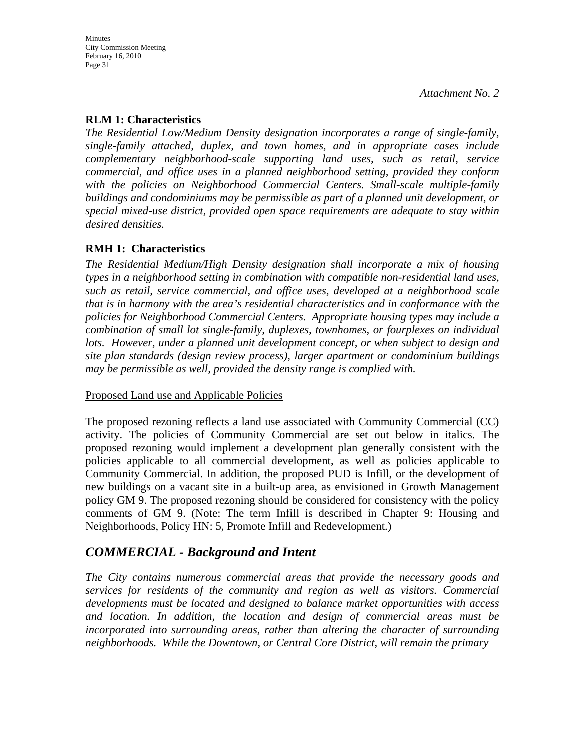### **RLM 1: Characteristics**

*The Residential Low/Medium Density designation incorporates a range of single-family, single-family attached, duplex, and town homes, and in appropriate cases include complementary neighborhood-scale supporting land uses, such as retail, service commercial, and office uses in a planned neighborhood setting, provided they conform with the policies on Neighborhood Commercial Centers. Small-scale multiple-family buildings and condominiums may be permissible as part of a planned unit development, or special mixed-use district, provided open space requirements are adequate to stay within desired densities.* 

#### **RMH 1: Characteristics**

*The Residential Medium/High Density designation shall incorporate a mix of housing types in a neighborhood setting in combination with compatible non-residential land uses, such as retail, service commercial, and office uses, developed at a neighborhood scale that is in harmony with the area's residential characteristics and in conformance with the policies for Neighborhood Commercial Centers. Appropriate housing types may include a combination of small lot single-family, duplexes, townhomes, or fourplexes on individual lots. However, under a planned unit development concept, or when subject to design and site plan standards (design review process), larger apartment or condominium buildings may be permissible as well, provided the density range is complied with.* 

#### Proposed Land use and Applicable Policies

The proposed rezoning reflects a land use associated with Community Commercial (CC) activity. The policies of Community Commercial are set out below in italics. The proposed rezoning would implement a development plan generally consistent with the policies applicable to all commercial development, as well as policies applicable to Community Commercial. In addition, the proposed PUD is Infill, or the development of new buildings on a vacant site in a built-up area, as envisioned in Growth Management policy GM 9. The proposed rezoning should be considered for consistency with the policy comments of GM 9. (Note: The term Infill is described in Chapter 9: Housing and Neighborhoods, Policy HN: 5, Promote Infill and Redevelopment.)

# *COMMERCIAL - Background and Intent*

*The City contains numerous commercial areas that provide the necessary goods and services for residents of the community and region as well as visitors. Commercial developments must be located and designed to balance market opportunities with access and location. In addition, the location and design of commercial areas must be incorporated into surrounding areas, rather than altering the character of surrounding neighborhoods. While the Downtown, or Central Core District, will remain the primary*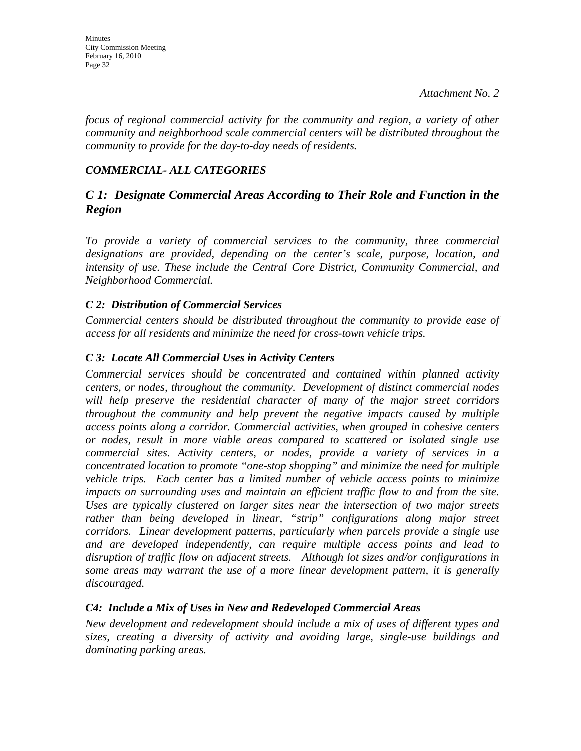*focus of regional commercial activity for the community and region, a variety of other community and neighborhood scale commercial centers will be distributed throughout the community to provide for the day-to-day needs of residents.* 

## *COMMERCIAL- ALL CATEGORIES*

# *C 1: Designate Commercial Areas According to Their Role and Function in the Region*

*To provide a variety of commercial services to the community, three commercial designations are provided, depending on the center's scale, purpose, location, and intensity of use. These include the Central Core District, Community Commercial, and Neighborhood Commercial.* 

### *C 2: Distribution of Commercial Services*

*Commercial centers should be distributed throughout the community to provide ease of access for all residents and minimize the need for cross-town vehicle trips.* 

### *C 3: Locate All Commercial Uses in Activity Centers*

*Commercial services should be concentrated and contained within planned activity centers, or nodes, throughout the community. Development of distinct commercial nodes will help preserve the residential character of many of the major street corridors throughout the community and help prevent the negative impacts caused by multiple access points along a corridor. Commercial activities, when grouped in cohesive centers or nodes, result in more viable areas compared to scattered or isolated single use commercial sites. Activity centers, or nodes, provide a variety of services in a concentrated location to promote "one-stop shopping" and minimize the need for multiple vehicle trips. Each center has a limited number of vehicle access points to minimize impacts on surrounding uses and maintain an efficient traffic flow to and from the site. Uses are typically clustered on larger sites near the intersection of two major streets*  rather than being developed in linear, "strip" configurations along major street *corridors. Linear development patterns, particularly when parcels provide a single use and are developed independently, can require multiple access points and lead to disruption of traffic flow on adjacent streets. Although lot sizes and/or configurations in some areas may warrant the use of a more linear development pattern, it is generally discouraged.* 

### *C4: Include a Mix of Uses in New and Redeveloped Commercial Areas*

*New development and redevelopment should include a mix of uses of different types and sizes, creating a diversity of activity and avoiding large, single-use buildings and dominating parking areas.*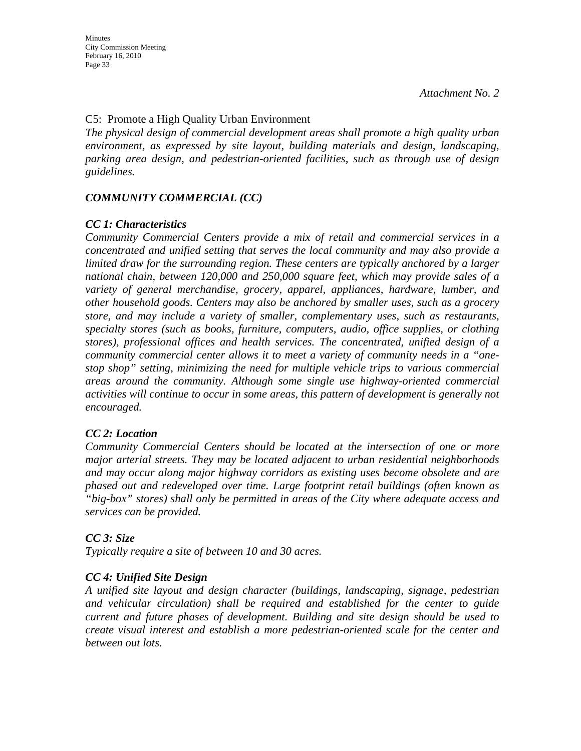### C5: Promote a High Quality Urban Environment

*The physical design of commercial development areas shall promote a high quality urban environment, as expressed by site layout, building materials and design, landscaping, parking area design, and pedestrian-oriented facilities, such as through use of design guidelines.* 

### *COMMUNITY COMMERCIAL (CC)*

#### *CC 1: Characteristics*

*Community Commercial Centers provide a mix of retail and commercial services in a concentrated and unified setting that serves the local community and may also provide a limited draw for the surrounding region. These centers are typically anchored by a larger national chain, between 120,000 and 250,000 square feet, which may provide sales of a variety of general merchandise, grocery, apparel, appliances, hardware, lumber, and other household goods. Centers may also be anchored by smaller uses, such as a grocery store, and may include a variety of smaller, complementary uses, such as restaurants, specialty stores (such as books, furniture, computers, audio, office supplies, or clothing stores), professional offices and health services. The concentrated, unified design of a community commercial center allows it to meet a variety of community needs in a "onestop shop" setting, minimizing the need for multiple vehicle trips to various commercial areas around the community. Although some single use highway-oriented commercial activities will continue to occur in some areas, this pattern of development is generally not encouraged.* 

#### *CC 2: Location*

*Community Commercial Centers should be located at the intersection of one or more major arterial streets. They may be located adjacent to urban residential neighborhoods and may occur along major highway corridors as existing uses become obsolete and are phased out and redeveloped over time. Large footprint retail buildings (often known as "big-box" stores) shall only be permitted in areas of the City where adequate access and services can be provided.* 

#### *CC 3: Size*

*Typically require a site of between 10 and 30 acres.* 

#### *CC 4: Unified Site Design*

*A unified site layout and design character (buildings, landscaping, signage, pedestrian and vehicular circulation) shall be required and established for the center to guide current and future phases of development. Building and site design should be used to create visual interest and establish a more pedestrian-oriented scale for the center and between out lots.*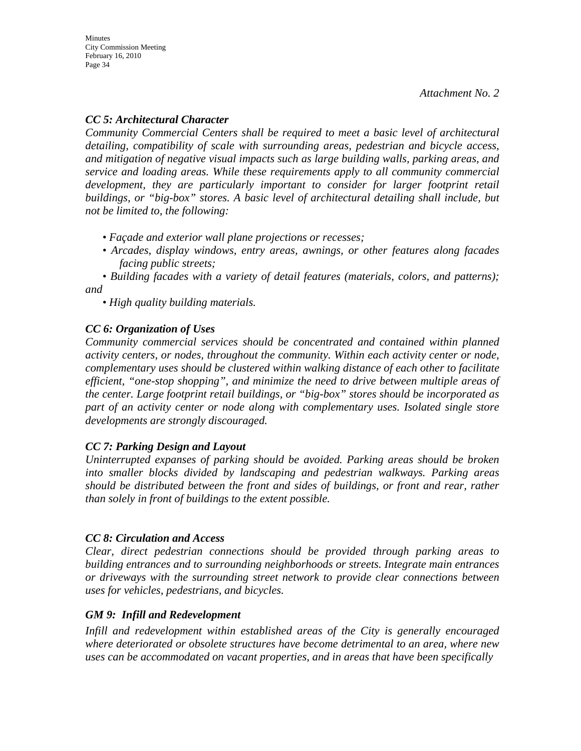### *CC 5: Architectural Character*

*Community Commercial Centers shall be required to meet a basic level of architectural detailing, compatibility of scale with surrounding areas, pedestrian and bicycle access, and mitigation of negative visual impacts such as large building walls, parking areas, and service and loading areas. While these requirements apply to all community commercial*  development, they are particularly important to consider for larger footprint retail *buildings, or "big-box" stores. A basic level of architectural detailing shall include, but not be limited to, the following:* 

- *Façade and exterior wall plane projections or recesses;*
- *Arcades, display windows, entry areas, awnings, or other features along facades facing public streets;*

*• Building facades with a variety of detail features (materials, colors, and patterns); and* 

*• High quality building materials.* 

### *CC 6: Organization of Uses*

*Community commercial services should be concentrated and contained within planned activity centers, or nodes, throughout the community. Within each activity center or node, complementary uses should be clustered within walking distance of each other to facilitate efficient, "one-stop shopping", and minimize the need to drive between multiple areas of the center. Large footprint retail buildings, or "big-box" stores should be incorporated as part of an activity center or node along with complementary uses. Isolated single store developments are strongly discouraged.* 

#### *CC 7: Parking Design and Layout*

*Uninterrupted expanses of parking should be avoided. Parking areas should be broken into smaller blocks divided by landscaping and pedestrian walkways. Parking areas should be distributed between the front and sides of buildings, or front and rear, rather than solely in front of buildings to the extent possible.* 

#### *CC 8: Circulation and Access*

*Clear, direct pedestrian connections should be provided through parking areas to building entrances and to surrounding neighborhoods or streets. Integrate main entrances or driveways with the surrounding street network to provide clear connections between uses for vehicles, pedestrians, and bicycles.* 

#### *GM 9: Infill and Redevelopment*

*Infill and redevelopment within established areas of the City is generally encouraged where deteriorated or obsolete structures have become detrimental to an area, where new uses can be accommodated on vacant properties, and in areas that have been specifically*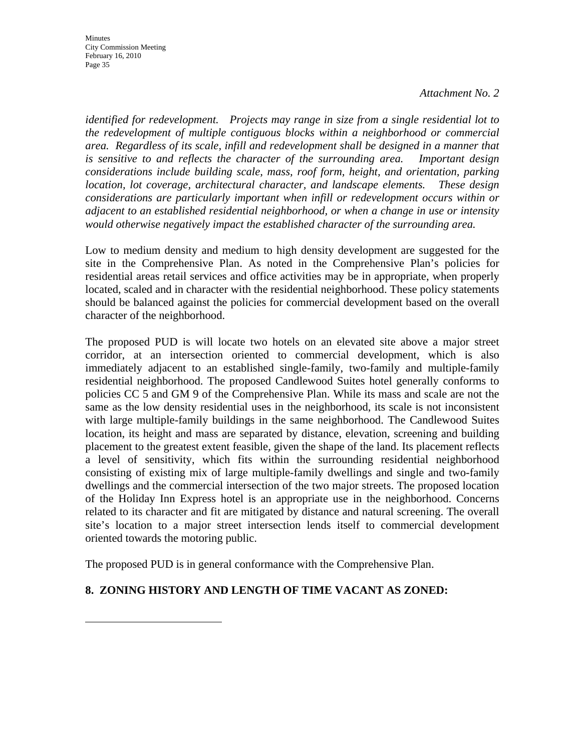**Minutes** City Commission Meeting February 16, 2010 Page 35

#### *Attachment No. 2*

*identified for redevelopment. Projects may range in size from a single residential lot to the redevelopment of multiple contiguous blocks within a neighborhood or commercial area. Regardless of its scale, infill and redevelopment shall be designed in a manner that is sensitive to and reflects the character of the surrounding area. Important design considerations include building scale, mass, roof form, height, and orientation, parking location, lot coverage, architectural character, and landscape elements. These design considerations are particularly important when infill or redevelopment occurs within or adjacent to an established residential neighborhood, or when a change in use or intensity would otherwise negatively impact the established character of the surrounding area.* 

Low to medium density and medium to high density development are suggested for the site in the Comprehensive Plan. As noted in the Comprehensive Plan's policies for residential areas retail services and office activities may be in appropriate, when properly located, scaled and in character with the residential neighborhood. These policy statements should be balanced against the policies for commercial development based on the overall character of the neighborhood.

The proposed PUD is will locate two hotels on an elevated site above a major street corridor, at an intersection oriented to commercial development, which is also immediately adjacent to an established single-family, two-family and multiple-family residential neighborhood. The proposed Candlewood Suites hotel generally conforms to policies CC 5 and GM 9 of the Comprehensive Plan. While its mass and scale are not the same as the low density residential uses in the neighborhood, its scale is not inconsistent with large multiple-family buildings in the same neighborhood. The Candlewood Suites location, its height and mass are separated by distance, elevation, screening and building placement to the greatest extent feasible, given the shape of the land. Its placement reflects a level of sensitivity, which fits within the surrounding residential neighborhood consisting of existing mix of large multiple-family dwellings and single and two-family dwellings and the commercial intersection of the two major streets. The proposed location of the Holiday Inn Express hotel is an appropriate use in the neighborhood. Concerns related to its character and fit are mitigated by distance and natural screening. The overall site's location to a major street intersection lends itself to commercial development oriented towards the motoring public.

The proposed PUD is in general conformance with the Comprehensive Plan.

### **8. ZONING HISTORY AND LENGTH OF TIME VACANT AS ZONED:**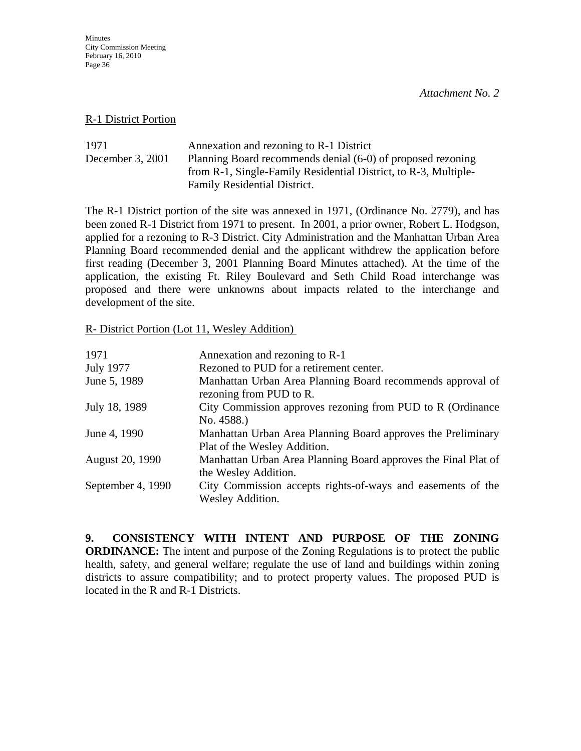#### R-1 District Portion

1971 Annexation and rezoning to R-1 District December 3, 2001 Planning Board recommends denial (6-0) of proposed rezoning from R-1, Single-Family Residential District, to R-3, Multiple-Family Residential District.

The R-1 District portion of the site was annexed in 1971, (Ordinance No. 2779), and has been zoned R-1 District from 1971 to present. In 2001, a prior owner, Robert L. Hodgson, applied for a rezoning to R-3 District. City Administration and the Manhattan Urban Area Planning Board recommended denial and the applicant withdrew the application before first reading (December 3, 2001 Planning Board Minutes attached). At the time of the application, the existing Ft. Riley Boulevard and Seth Child Road interchange was proposed and there were unknowns about impacts related to the interchange and development of the site.

### R- District Portion (Lot 11, Wesley Addition)

| 1971              | Annexation and rezoning to R-1                                                               |
|-------------------|----------------------------------------------------------------------------------------------|
| <b>July 1977</b>  | Rezoned to PUD for a retirement center.                                                      |
| June 5, 1989      | Manhattan Urban Area Planning Board recommends approval of<br>rezoning from PUD to R.        |
| July 18, 1989     | City Commission approves rezoning from PUD to R (Ordinance)<br>No. 4588.)                    |
| June 4, 1990      | Manhattan Urban Area Planning Board approves the Preliminary<br>Plat of the Wesley Addition. |
| August 20, 1990   | Manhattan Urban Area Planning Board approves the Final Plat of<br>the Wesley Addition.       |
| September 4, 1990 | City Commission accepts rights-of-ways and easements of the<br>Wesley Addition.              |

**9. CONSISTENCY WITH INTENT AND PURPOSE OF THE ZONING ORDINANCE:** The intent and purpose of the Zoning Regulations is to protect the public health, safety, and general welfare; regulate the use of land and buildings within zoning districts to assure compatibility; and to protect property values. The proposed PUD is located in the R and R-1 Districts.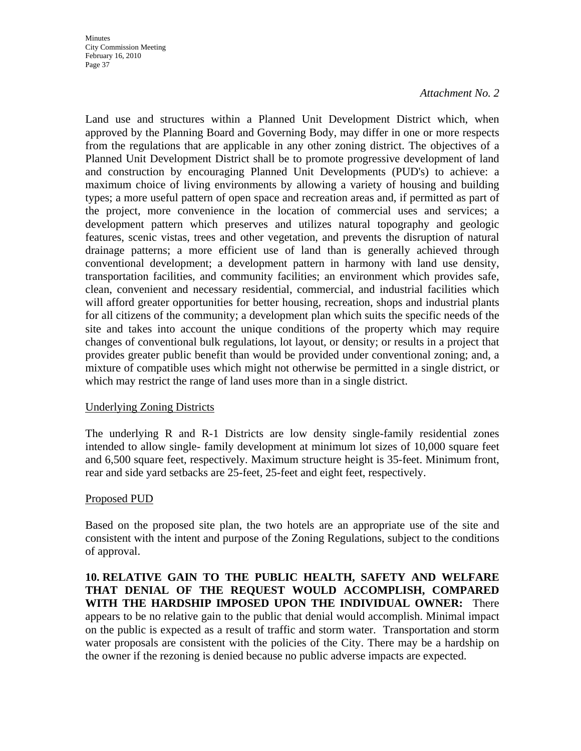Land use and structures within a Planned Unit Development District which, when approved by the Planning Board and Governing Body, may differ in one or more respects from the regulations that are applicable in any other zoning district. The objectives of a Planned Unit Development District shall be to promote progressive development of land and construction by encouraging Planned Unit Developments (PUD's) to achieve: a maximum choice of living environments by allowing a variety of housing and building types; a more useful pattern of open space and recreation areas and, if permitted as part of the project, more convenience in the location of commercial uses and services; a development pattern which preserves and utilizes natural topography and geologic features, scenic vistas, trees and other vegetation, and prevents the disruption of natural drainage patterns; a more efficient use of land than is generally achieved through conventional development; a development pattern in harmony with land use density, transportation facilities, and community facilities; an environment which provides safe, clean, convenient and necessary residential, commercial, and industrial facilities which will afford greater opportunities for better housing, recreation, shops and industrial plants for all citizens of the community; a development plan which suits the specific needs of the site and takes into account the unique conditions of the property which may require changes of conventional bulk regulations, lot layout, or density; or results in a project that provides greater public benefit than would be provided under conventional zoning; and, a mixture of compatible uses which might not otherwise be permitted in a single district, or which may restrict the range of land uses more than in a single district.

### Underlying Zoning Districts

The underlying R and R-1 Districts are low density single-family residential zones intended to allow single- family development at minimum lot sizes of 10,000 square feet and 6,500 square feet, respectively. Maximum structure height is 35-feet. Minimum front, rear and side yard setbacks are 25-feet, 25-feet and eight feet, respectively.

### Proposed PUD

Based on the proposed site plan, the two hotels are an appropriate use of the site and consistent with the intent and purpose of the Zoning Regulations, subject to the conditions of approval.

**10. RELATIVE GAIN TO THE PUBLIC HEALTH, SAFETY AND WELFARE THAT DENIAL OF THE REQUEST WOULD ACCOMPLISH, COMPARED WITH THE HARDSHIP IMPOSED UPON THE INDIVIDUAL OWNER:** There appears to be no relative gain to the public that denial would accomplish. Minimal impact on the public is expected as a result of traffic and storm water. Transportation and storm water proposals are consistent with the policies of the City. There may be a hardship on the owner if the rezoning is denied because no public adverse impacts are expected.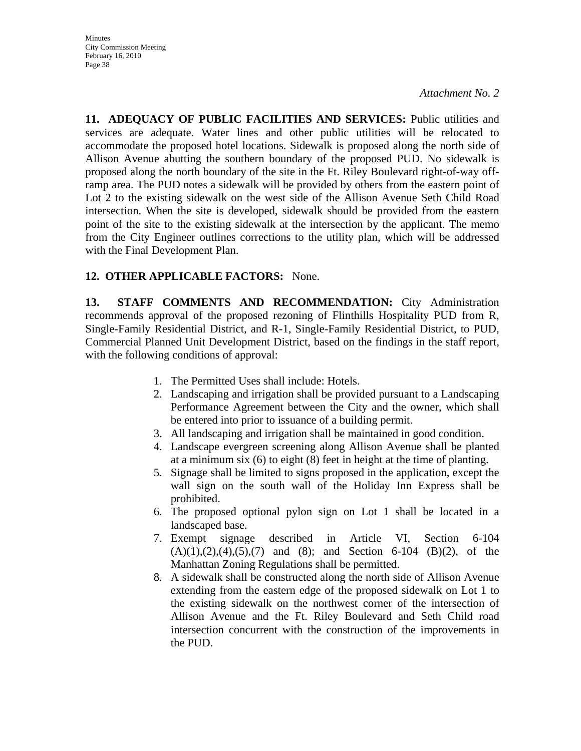**11. ADEQUACY OF PUBLIC FACILITIES AND SERVICES:** Public utilities and services are adequate. Water lines and other public utilities will be relocated to accommodate the proposed hotel locations. Sidewalk is proposed along the north side of Allison Avenue abutting the southern boundary of the proposed PUD. No sidewalk is proposed along the north boundary of the site in the Ft. Riley Boulevard right-of-way offramp area. The PUD notes a sidewalk will be provided by others from the eastern point of Lot 2 to the existing sidewalk on the west side of the Allison Avenue Seth Child Road intersection. When the site is developed, sidewalk should be provided from the eastern point of the site to the existing sidewalk at the intersection by the applicant. The memo from the City Engineer outlines corrections to the utility plan, which will be addressed with the Final Development Plan.

# **12. OTHER APPLICABLE FACTORS:** None.

**13. STAFF COMMENTS AND RECOMMENDATION:** City Administration recommends approval of the proposed rezoning of Flinthills Hospitality PUD from R, Single-Family Residential District, and R-1, Single-Family Residential District, to PUD, Commercial Planned Unit Development District, based on the findings in the staff report, with the following conditions of approval:

- 1. The Permitted Uses shall include: Hotels.
- 2. Landscaping and irrigation shall be provided pursuant to a Landscaping Performance Agreement between the City and the owner, which shall be entered into prior to issuance of a building permit.
- 3. All landscaping and irrigation shall be maintained in good condition.
- 4. Landscape evergreen screening along Allison Avenue shall be planted at a minimum six (6) to eight (8) feet in height at the time of planting.
- 5. Signage shall be limited to signs proposed in the application, except the wall sign on the south wall of the Holiday Inn Express shall be prohibited.
- 6. The proposed optional pylon sign on Lot 1 shall be located in a landscaped base.
- 7. Exempt signage described in Article VI, Section 6-104  $(A)(1),(2),(4),(5),(7)$  and  $(8)$ ; and Section 6-104  $(B)(2)$ , of the Manhattan Zoning Regulations shall be permitted.
- 8. A sidewalk shall be constructed along the north side of Allison Avenue extending from the eastern edge of the proposed sidewalk on Lot 1 to the existing sidewalk on the northwest corner of the intersection of Allison Avenue and the Ft. Riley Boulevard and Seth Child road intersection concurrent with the construction of the improvements in the PUD.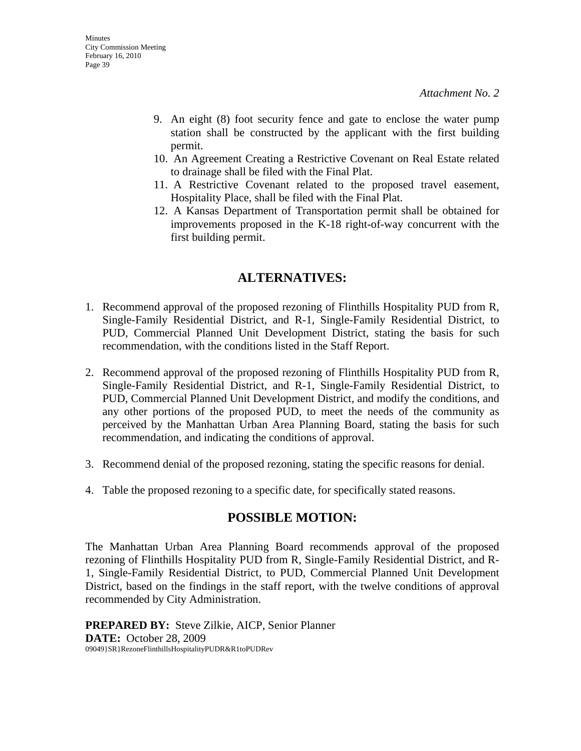- 9. An eight (8) foot security fence and gate to enclose the water pump station shall be constructed by the applicant with the first building permit.
- 10. An Agreement Creating a Restrictive Covenant on Real Estate related to drainage shall be filed with the Final Plat.
- 11. A Restrictive Covenant related to the proposed travel easement, Hospitality Place, shall be filed with the Final Plat.
- 12. A Kansas Department of Transportation permit shall be obtained for improvements proposed in the K-18 right-of-way concurrent with the first building permit.

# **ALTERNATIVES:**

- 1. Recommend approval of the proposed rezoning of Flinthills Hospitality PUD from R, Single-Family Residential District, and R-1, Single-Family Residential District, to PUD, Commercial Planned Unit Development District, stating the basis for such recommendation, with the conditions listed in the Staff Report.
- 2. Recommend approval of the proposed rezoning of Flinthills Hospitality PUD from R, Single-Family Residential District, and R-1, Single-Family Residential District, to PUD, Commercial Planned Unit Development District, and modify the conditions, and any other portions of the proposed PUD, to meet the needs of the community as perceived by the Manhattan Urban Area Planning Board, stating the basis for such recommendation, and indicating the conditions of approval.
- 3. Recommend denial of the proposed rezoning, stating the specific reasons for denial.
- 4. Table the proposed rezoning to a specific date, for specifically stated reasons.

# **POSSIBLE MOTION:**

The Manhattan Urban Area Planning Board recommends approval of the proposed rezoning of Flinthills Hospitality PUD from R, Single-Family Residential District, and R-1, Single-Family Residential District, to PUD, Commercial Planned Unit Development District, based on the findings in the staff report, with the twelve conditions of approval recommended by City Administration.

**PREPARED BY:** Steve Zilkie, AICP, Senior Planner **DATE:** October 28, 2009 09049}SR}RezoneFlinthillsHospitalityPUDR&R1toPUDRev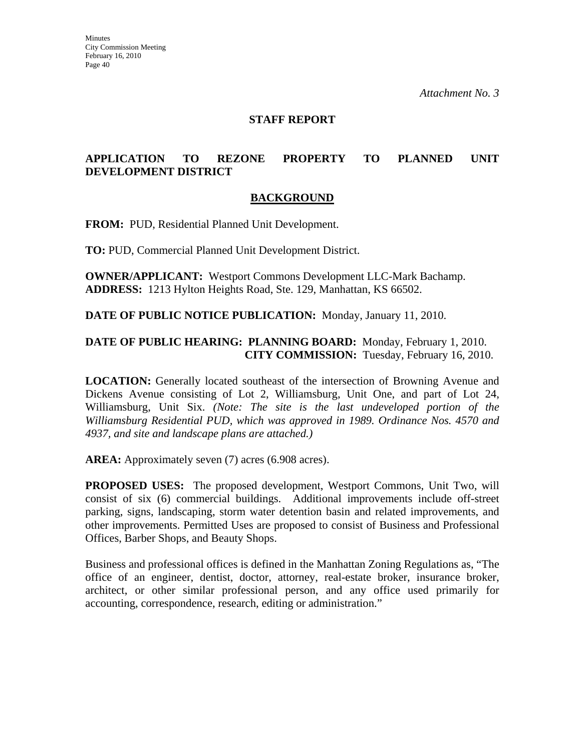### **STAFF REPORT**

## **APPLICATION TO REZONE PROPERTY TO PLANNED UNIT DEVELOPMENT DISTRICT**

### **BACKGROUND**

**FROM:** PUD, Residential Planned Unit Development.

**TO:** PUD, Commercial Planned Unit Development District.

**OWNER/APPLICANT:** Westport Commons Development LLC-Mark Bachamp. **ADDRESS:** 1213 Hylton Heights Road, Ste. 129, Manhattan, KS 66502.

**DATE OF PUBLIC NOTICE PUBLICATION:** Monday, January 11, 2010.

### **DATE OF PUBLIC HEARING: PLANNING BOARD:** Monday, February 1, 2010. **CITY COMMISSION:** Tuesday, February 16, 2010.

**LOCATION:** Generally located southeast of the intersection of Browning Avenue and Dickens Avenue consisting of Lot 2, Williamsburg, Unit One, and part of Lot 24, Williamsburg, Unit Six. *(Note: The site is the last undeveloped portion of the Williamsburg Residential PUD, which was approved in 1989. Ordinance Nos. 4570 and 4937, and site and landscape plans are attached.)*

**AREA:** Approximately seven (7) acres (6.908 acres).

**PROPOSED USES:** The proposed development, Westport Commons, Unit Two, will consist of six (6) commercial buildings. Additional improvements include off-street parking, signs, landscaping, storm water detention basin and related improvements, and other improvements. Permitted Uses are proposed to consist of Business and Professional Offices, Barber Shops, and Beauty Shops.

Business and professional offices is defined in the Manhattan Zoning Regulations as, "The office of an engineer, dentist, doctor, attorney, real-estate broker, insurance broker, architect, or other similar professional person, and any office used primarily for accounting, correspondence, research, editing or administration."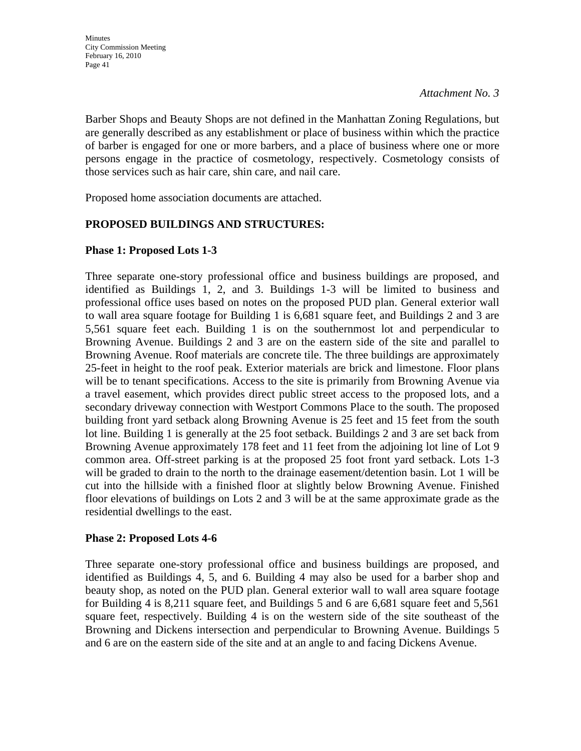Barber Shops and Beauty Shops are not defined in the Manhattan Zoning Regulations, but are generally described as any establishment or place of business within which the practice of barber is engaged for one or more barbers, and a place of business where one or more persons engage in the practice of cosmetology, respectively. Cosmetology consists of those services such as hair care, shin care, and nail care.

Proposed home association documents are attached.

# **PROPOSED BUILDINGS AND STRUCTURES:**

# **Phase 1: Proposed Lots 1-3**

Three separate one-story professional office and business buildings are proposed, and identified as Buildings 1, 2, and 3. Buildings 1-3 will be limited to business and professional office uses based on notes on the proposed PUD plan. General exterior wall to wall area square footage for Building 1 is 6,681 square feet, and Buildings 2 and 3 are 5,561 square feet each. Building 1 is on the southernmost lot and perpendicular to Browning Avenue. Buildings 2 and 3 are on the eastern side of the site and parallel to Browning Avenue. Roof materials are concrete tile. The three buildings are approximately 25-feet in height to the roof peak. Exterior materials are brick and limestone. Floor plans will be to tenant specifications. Access to the site is primarily from Browning Avenue via a travel easement, which provides direct public street access to the proposed lots, and a secondary driveway connection with Westport Commons Place to the south. The proposed building front yard setback along Browning Avenue is 25 feet and 15 feet from the south lot line. Building 1 is generally at the 25 foot setback. Buildings 2 and 3 are set back from Browning Avenue approximately 178 feet and 11 feet from the adjoining lot line of Lot 9 common area. Off-street parking is at the proposed 25 foot front yard setback. Lots 1-3 will be graded to drain to the north to the drainage easement/detention basin. Lot 1 will be cut into the hillside with a finished floor at slightly below Browning Avenue. Finished floor elevations of buildings on Lots 2 and 3 will be at the same approximate grade as the residential dwellings to the east.

### **Phase 2: Proposed Lots 4-6**

Three separate one-story professional office and business buildings are proposed, and identified as Buildings 4, 5, and 6. Building 4 may also be used for a barber shop and beauty shop, as noted on the PUD plan. General exterior wall to wall area square footage for Building 4 is 8,211 square feet, and Buildings 5 and 6 are 6,681 square feet and 5,561 square feet, respectively. Building 4 is on the western side of the site southeast of the Browning and Dickens intersection and perpendicular to Browning Avenue. Buildings 5 and 6 are on the eastern side of the site and at an angle to and facing Dickens Avenue.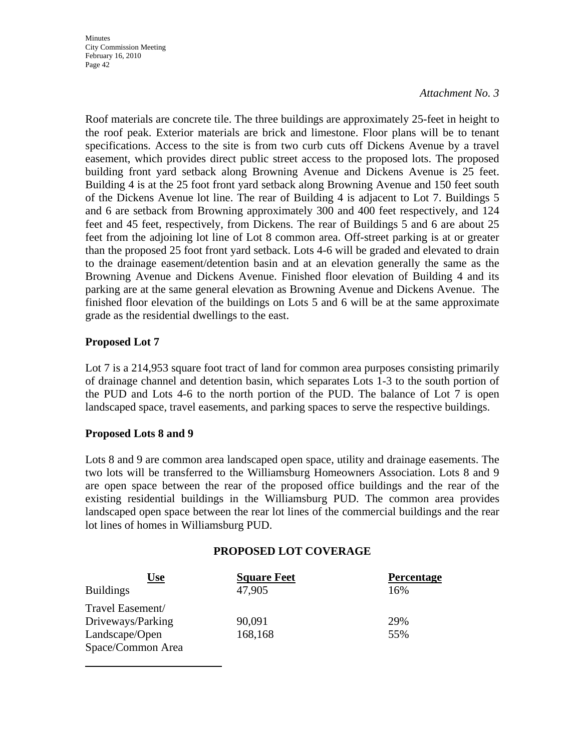**Minutes** City Commission Meeting February 16, 2010 Page 42

*Attachment No. 3*

Roof materials are concrete tile. The three buildings are approximately 25-feet in height to the roof peak. Exterior materials are brick and limestone. Floor plans will be to tenant specifications. Access to the site is from two curb cuts off Dickens Avenue by a travel easement, which provides direct public street access to the proposed lots. The proposed building front yard setback along Browning Avenue and Dickens Avenue is 25 feet. Building 4 is at the 25 foot front yard setback along Browning Avenue and 150 feet south of the Dickens Avenue lot line. The rear of Building 4 is adjacent to Lot 7. Buildings 5 and 6 are setback from Browning approximately 300 and 400 feet respectively, and 124 feet and 45 feet, respectively, from Dickens. The rear of Buildings 5 and 6 are about 25 feet from the adjoining lot line of Lot 8 common area. Off-street parking is at or greater than the proposed 25 foot front yard setback. Lots 4-6 will be graded and elevated to drain to the drainage easement/detention basin and at an elevation generally the same as the Browning Avenue and Dickens Avenue. Finished floor elevation of Building 4 and its parking are at the same general elevation as Browning Avenue and Dickens Avenue. The finished floor elevation of the buildings on Lots 5 and 6 will be at the same approximate grade as the residential dwellings to the east.

### **Proposed Lot 7**

Lot 7 is a 214,953 square foot tract of land for common area purposes consisting primarily of drainage channel and detention basin, which separates Lots 1-3 to the south portion of the PUD and Lots 4-6 to the north portion of the PUD. The balance of Lot 7 is open landscaped space, travel easements, and parking spaces to serve the respective buildings.

### **Proposed Lots 8 and 9**

Lots 8 and 9 are common area landscaped open space, utility and drainage easements. The two lots will be transferred to the Williamsburg Homeowners Association. Lots 8 and 9 are open space between the rear of the proposed office buildings and the rear of the existing residential buildings in the Williamsburg PUD. The common area provides landscaped open space between the rear lot lines of the commercial buildings and the rear lot lines of homes in Williamsburg PUD.

### **PROPOSED LOT COVERAGE**

| Use               | <b>Square Feet</b> | <b>Percentage</b> |
|-------------------|--------------------|-------------------|
| <b>Buildings</b>  | 47,905             | 16%               |
| Travel Easement/  |                    |                   |
| Driveways/Parking | 90,091             | 29%               |
| Landscape/Open    | 168,168            | 55%               |
| Space/Common Area |                    |                   |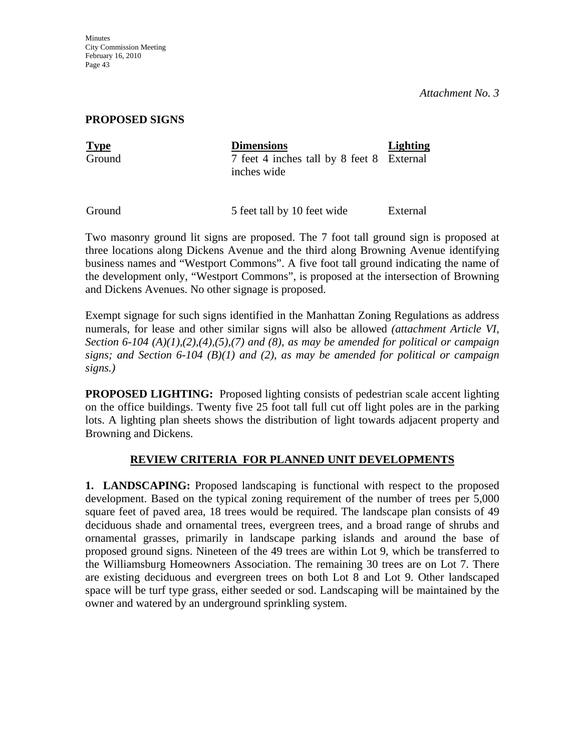**Minutes** City Commission Meeting February 16, 2010 Page 43

*Attachment No. 3*

#### **PROPOSED SIGNS**

| <b>Type</b> | <b>Dimensions</b>                                        | <b>Lighting</b> |
|-------------|----------------------------------------------------------|-----------------|
| Ground      | 7 feet 4 inches tall by 8 feet 8 External<br>inches wide |                 |

Ground 5 feet tall by 10 feet wide External

Two masonry ground lit signs are proposed. The 7 foot tall ground sign is proposed at three locations along Dickens Avenue and the third along Browning Avenue identifying business names and "Westport Commons". A five foot tall ground indicating the name of the development only, "Westport Commons", is proposed at the intersection of Browning and Dickens Avenues. No other signage is proposed.

Exempt signage for such signs identified in the Manhattan Zoning Regulations as address numerals, for lease and other similar signs will also be allowed *(attachment Article VI, Section 6-104 (A)(1),(2),(4),(5),(7) and (8), as may be amended for political or campaign signs; and Section 6-104 (B)(1) and (2), as may be amended for political or campaign signs.)*

**PROPOSED LIGHTING:** Proposed lighting consists of pedestrian scale accent lighting on the office buildings. Twenty five 25 foot tall full cut off light poles are in the parking lots. A lighting plan sheets shows the distribution of light towards adjacent property and Browning and Dickens.

### **REVIEW CRITERIA FOR PLANNED UNIT DEVELOPMENTS**

**1. LANDSCAPING:** Proposed landscaping is functional with respect to the proposed development. Based on the typical zoning requirement of the number of trees per 5,000 square feet of paved area, 18 trees would be required. The landscape plan consists of 49 deciduous shade and ornamental trees, evergreen trees, and a broad range of shrubs and ornamental grasses, primarily in landscape parking islands and around the base of proposed ground signs. Nineteen of the 49 trees are within Lot 9, which be transferred to the Williamsburg Homeowners Association. The remaining 30 trees are on Lot 7. There are existing deciduous and evergreen trees on both Lot 8 and Lot 9. Other landscaped space will be turf type grass, either seeded or sod. Landscaping will be maintained by the owner and watered by an underground sprinkling system.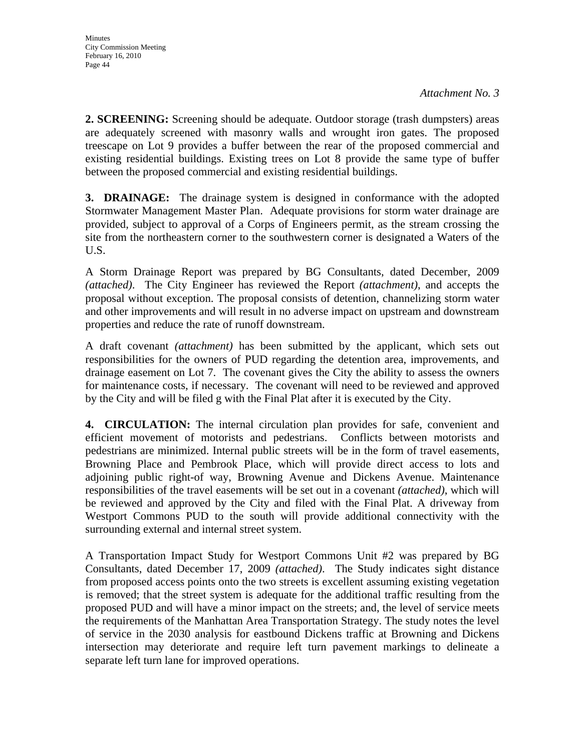**2. SCREENING:** Screening should be adequate. Outdoor storage (trash dumpsters) areas are adequately screened with masonry walls and wrought iron gates. The proposed treescape on Lot 9 provides a buffer between the rear of the proposed commercial and existing residential buildings. Existing trees on Lot 8 provide the same type of buffer between the proposed commercial and existing residential buildings.

**3. DRAINAGE:** The drainage system is designed in conformance with the adopted Stormwater Management Master Plan. Adequate provisions for storm water drainage are provided, subject to approval of a Corps of Engineers permit, as the stream crossing the site from the northeastern corner to the southwestern corner is designated a Waters of the U.S.

A Storm Drainage Report was prepared by BG Consultants, dated December, 2009 *(attached)*. The City Engineer has reviewed the Report *(attachment)*, and accepts the proposal without exception. The proposal consists of detention, channelizing storm water and other improvements and will result in no adverse impact on upstream and downstream properties and reduce the rate of runoff downstream.

A draft covenant *(attachment)* has been submitted by the applicant, which sets out responsibilities for the owners of PUD regarding the detention area, improvements, and drainage easement on Lot 7. The covenant gives the City the ability to assess the owners for maintenance costs, if necessary. The covenant will need to be reviewed and approved by the City and will be filed g with the Final Plat after it is executed by the City.

**4. CIRCULATION:** The internal circulation plan provides for safe, convenient and efficient movement of motorists and pedestrians. Conflicts between motorists and pedestrians are minimized. Internal public streets will be in the form of travel easements, Browning Place and Pembrook Place, which will provide direct access to lots and adjoining public right-of way, Browning Avenue and Dickens Avenue. Maintenance responsibilities of the travel easements will be set out in a covenant *(attached)*, which will be reviewed and approved by the City and filed with the Final Plat. A driveway from Westport Commons PUD to the south will provide additional connectivity with the surrounding external and internal street system.

A Transportation Impact Study for Westport Commons Unit #2 was prepared by BG Consultants, dated December 17, 2009 *(attached)*. The Study indicates sight distance from proposed access points onto the two streets is excellent assuming existing vegetation is removed; that the street system is adequate for the additional traffic resulting from the proposed PUD and will have a minor impact on the streets; and, the level of service meets the requirements of the Manhattan Area Transportation Strategy. The study notes the level of service in the 2030 analysis for eastbound Dickens traffic at Browning and Dickens intersection may deteriorate and require left turn pavement markings to delineate a separate left turn lane for improved operations.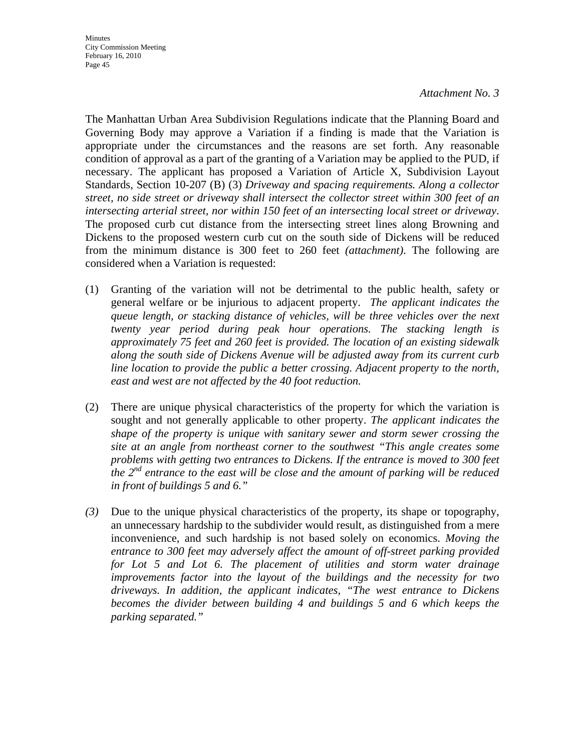The Manhattan Urban Area Subdivision Regulations indicate that the Planning Board and Governing Body may approve a Variation if a finding is made that the Variation is appropriate under the circumstances and the reasons are set forth. Any reasonable condition of approval as a part of the granting of a Variation may be applied to the PUD, if necessary. The applicant has proposed a Variation of Article X, Subdivision Layout Standards, Section 10-207 (B) (3) *Driveway and spacing requirements. Along a collector street, no side street or driveway shall intersect the collector street within 300 feet of an intersecting arterial street, nor within 150 feet of an intersecting local street or driveway*. The proposed curb cut distance from the intersecting street lines along Browning and Dickens to the proposed western curb cut on the south side of Dickens will be reduced from the minimum distance is 300 feet to 260 feet *(attachment)*. The following are considered when a Variation is requested:

- (1) Granting of the variation will not be detrimental to the public health, safety or general welfare or be injurious to adjacent property. *The applicant indicates the queue length, or stacking distance of vehicles, will be three vehicles over the next twenty year period during peak hour operations. The stacking length is approximately 75 feet and 260 feet is provided. The location of an existing sidewalk along the south side of Dickens Avenue will be adjusted away from its current curb line location to provide the public a better crossing. Adjacent property to the north, east and west are not affected by the 40 foot reduction.*
- (2) There are unique physical characteristics of the property for which the variation is sought and not generally applicable to other property. *The applicant indicates the shape of the property is unique with sanitary sewer and storm sewer crossing the site at an angle from northeast corner to the southwest "This angle creates some problems with getting two entrances to Dickens. If the entrance is moved to 300 feet the 2nd entrance to the east will be close and the amount of parking will be reduced in front of buildings 5 and 6."*
- *(3)* Due to the unique physical characteristics of the property, its shape or topography, an unnecessary hardship to the subdivider would result, as distinguished from a mere inconvenience, and such hardship is not based solely on economics. *Moving the entrance to 300 feet may adversely affect the amount of off-street parking provided for Lot 5 and Lot 6. The placement of utilities and storm water drainage improvements factor into the layout of the buildings and the necessity for two driveways. In addition, the applicant indicates, "The west entrance to Dickens becomes the divider between building 4 and buildings 5 and 6 which keeps the parking separated."*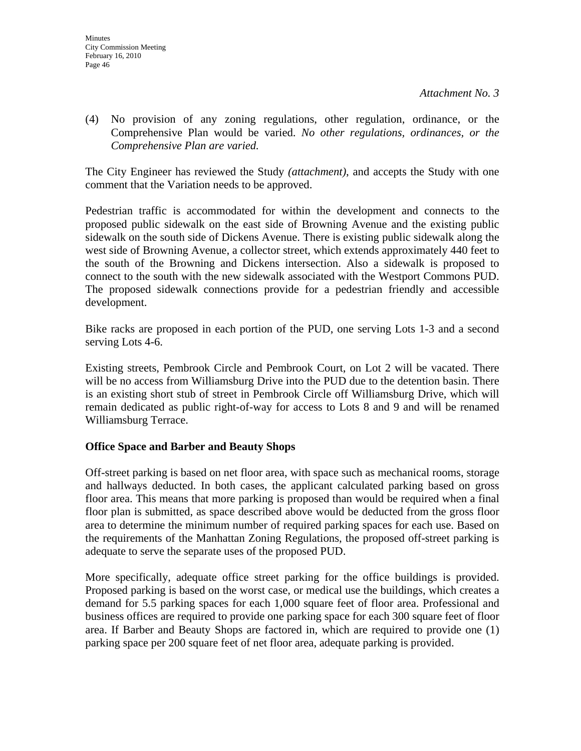(4) No provision of any zoning regulations, other regulation, ordinance, or the Comprehensive Plan would be varied. *No other regulations, ordinances, or the Comprehensive Plan are varied.*

The City Engineer has reviewed the Study *(attachment)*, and accepts the Study with one comment that the Variation needs to be approved.

Pedestrian traffic is accommodated for within the development and connects to the proposed public sidewalk on the east side of Browning Avenue and the existing public sidewalk on the south side of Dickens Avenue. There is existing public sidewalk along the west side of Browning Avenue, a collector street, which extends approximately 440 feet to the south of the Browning and Dickens intersection. Also a sidewalk is proposed to connect to the south with the new sidewalk associated with the Westport Commons PUD. The proposed sidewalk connections provide for a pedestrian friendly and accessible development.

Bike racks are proposed in each portion of the PUD, one serving Lots 1-3 and a second serving Lots 4-6.

Existing streets, Pembrook Circle and Pembrook Court, on Lot 2 will be vacated. There will be no access from Williamsburg Drive into the PUD due to the detention basin. There is an existing short stub of street in Pembrook Circle off Williamsburg Drive, which will remain dedicated as public right-of-way for access to Lots 8 and 9 and will be renamed Williamsburg Terrace.

### **Office Space and Barber and Beauty Shops**

Off-street parking is based on net floor area, with space such as mechanical rooms, storage and hallways deducted. In both cases, the applicant calculated parking based on gross floor area. This means that more parking is proposed than would be required when a final floor plan is submitted, as space described above would be deducted from the gross floor area to determine the minimum number of required parking spaces for each use. Based on the requirements of the Manhattan Zoning Regulations, the proposed off-street parking is adequate to serve the separate uses of the proposed PUD.

More specifically, adequate office street parking for the office buildings is provided. Proposed parking is based on the worst case, or medical use the buildings, which creates a demand for 5.5 parking spaces for each 1,000 square feet of floor area. Professional and business offices are required to provide one parking space for each 300 square feet of floor area. If Barber and Beauty Shops are factored in, which are required to provide one (1) parking space per 200 square feet of net floor area, adequate parking is provided.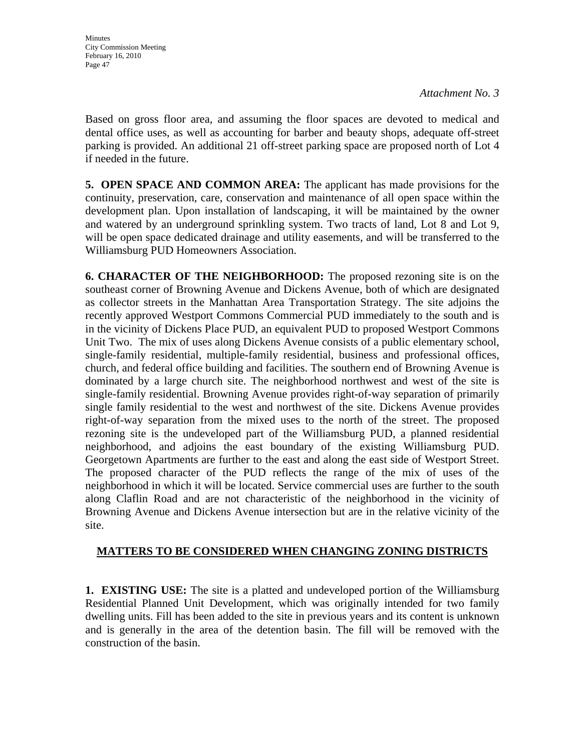Based on gross floor area, and assuming the floor spaces are devoted to medical and dental office uses, as well as accounting for barber and beauty shops, adequate off-street parking is provided. An additional 21 off-street parking space are proposed north of Lot 4 if needed in the future.

**5. OPEN SPACE AND COMMON AREA:** The applicant has made provisions for the continuity, preservation, care, conservation and maintenance of all open space within the development plan. Upon installation of landscaping, it will be maintained by the owner and watered by an underground sprinkling system. Two tracts of land, Lot 8 and Lot 9, will be open space dedicated drainage and utility easements, and will be transferred to the Williamsburg PUD Homeowners Association.

**6. CHARACTER OF THE NEIGHBORHOOD:** The proposed rezoning site is on the southeast corner of Browning Avenue and Dickens Avenue, both of which are designated as collector streets in the Manhattan Area Transportation Strategy. The site adjoins the recently approved Westport Commons Commercial PUD immediately to the south and is in the vicinity of Dickens Place PUD, an equivalent PUD to proposed Westport Commons Unit Two. The mix of uses along Dickens Avenue consists of a public elementary school, single-family residential, multiple-family residential, business and professional offices, church, and federal office building and facilities. The southern end of Browning Avenue is dominated by a large church site. The neighborhood northwest and west of the site is single-family residential. Browning Avenue provides right-of-way separation of primarily single family residential to the west and northwest of the site. Dickens Avenue provides right-of-way separation from the mixed uses to the north of the street. The proposed rezoning site is the undeveloped part of the Williamsburg PUD, a planned residential neighborhood, and adjoins the east boundary of the existing Williamsburg PUD. Georgetown Apartments are further to the east and along the east side of Westport Street. The proposed character of the PUD reflects the range of the mix of uses of the neighborhood in which it will be located. Service commercial uses are further to the south along Claflin Road and are not characteristic of the neighborhood in the vicinity of Browning Avenue and Dickens Avenue intersection but are in the relative vicinity of the site.

# **MATTERS TO BE CONSIDERED WHEN CHANGING ZONING DISTRICTS**

**1. EXISTING USE:** The site is a platted and undeveloped portion of the Williamsburg Residential Planned Unit Development, which was originally intended for two family dwelling units. Fill has been added to the site in previous years and its content is unknown and is generally in the area of the detention basin. The fill will be removed with the construction of the basin.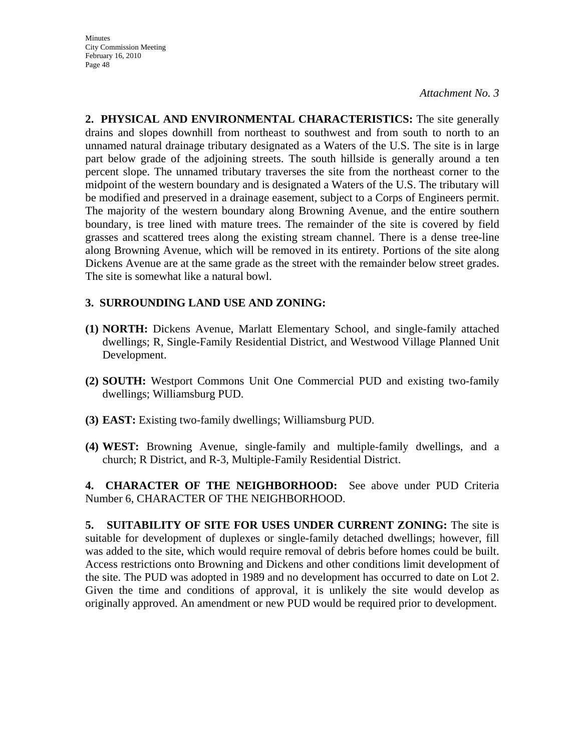**2. PHYSICAL AND ENVIRONMENTAL CHARACTERISTICS:** The site generally drains and slopes downhill from northeast to southwest and from south to north to an unnamed natural drainage tributary designated as a Waters of the U.S. The site is in large part below grade of the adjoining streets. The south hillside is generally around a ten percent slope. The unnamed tributary traverses the site from the northeast corner to the midpoint of the western boundary and is designated a Waters of the U.S. The tributary will be modified and preserved in a drainage easement, subject to a Corps of Engineers permit. The majority of the western boundary along Browning Avenue, and the entire southern boundary, is tree lined with mature trees. The remainder of the site is covered by field grasses and scattered trees along the existing stream channel. There is a dense tree-line along Browning Avenue, which will be removed in its entirety. Portions of the site along Dickens Avenue are at the same grade as the street with the remainder below street grades. The site is somewhat like a natural bowl.

# **3. SURROUNDING LAND USE AND ZONING:**

- **(1) NORTH:** Dickens Avenue, Marlatt Elementary School, and single-family attached dwellings; R, Single-Family Residential District, and Westwood Village Planned Unit Development.
- **(2) SOUTH:** Westport Commons Unit One Commercial PUD and existing two-family dwellings; Williamsburg PUD.
- **(3) EAST:** Existing two-family dwellings; Williamsburg PUD.
- **(4) WEST:** Browning Avenue, single-family and multiple-family dwellings, and a church; R District, and R-3, Multiple-Family Residential District.

**4. CHARACTER OF THE NEIGHBORHOOD:** See above under PUD Criteria Number 6, CHARACTER OF THE NEIGHBORHOOD.

**5. SUITABILITY OF SITE FOR USES UNDER CURRENT ZONING:** The site is suitable for development of duplexes or single-family detached dwellings; however, fill was added to the site, which would require removal of debris before homes could be built. Access restrictions onto Browning and Dickens and other conditions limit development of the site. The PUD was adopted in 1989 and no development has occurred to date on Lot 2. Given the time and conditions of approval, it is unlikely the site would develop as originally approved. An amendment or new PUD would be required prior to development.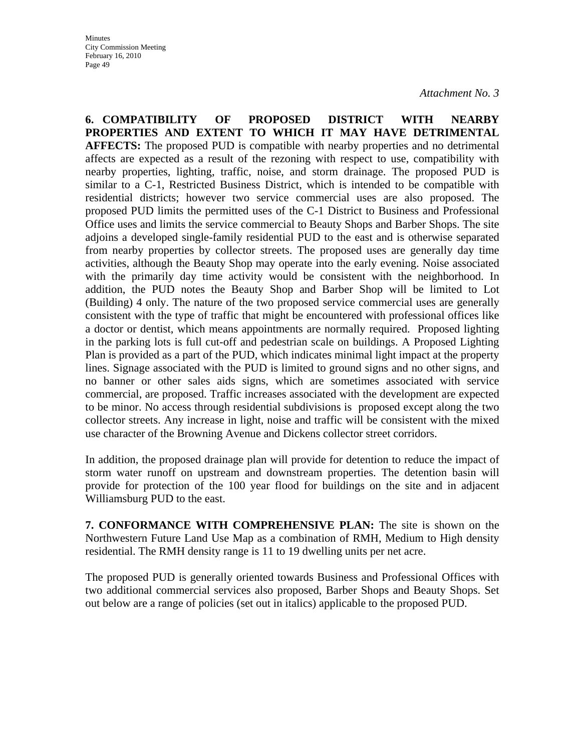**6. COMPATIBILITY OF PROPOSED DISTRICT WITH NEARBY PROPERTIES AND EXTENT TO WHICH IT MAY HAVE DETRIMENTAL AFFECTS:** The proposed PUD is compatible with nearby properties and no detrimental affects are expected as a result of the rezoning with respect to use, compatibility with nearby properties, lighting, traffic, noise, and storm drainage. The proposed PUD is similar to a C-1, Restricted Business District, which is intended to be compatible with residential districts; however two service commercial uses are also proposed. The proposed PUD limits the permitted uses of the C-1 District to Business and Professional Office uses and limits the service commercial to Beauty Shops and Barber Shops. The site adjoins a developed single-family residential PUD to the east and is otherwise separated from nearby properties by collector streets. The proposed uses are generally day time activities, although the Beauty Shop may operate into the early evening. Noise associated with the primarily day time activity would be consistent with the neighborhood. In addition, the PUD notes the Beauty Shop and Barber Shop will be limited to Lot (Building) 4 only. The nature of the two proposed service commercial uses are generally consistent with the type of traffic that might be encountered with professional offices like a doctor or dentist, which means appointments are normally required. Proposed lighting in the parking lots is full cut-off and pedestrian scale on buildings. A Proposed Lighting Plan is provided as a part of the PUD, which indicates minimal light impact at the property lines. Signage associated with the PUD is limited to ground signs and no other signs, and no banner or other sales aids signs, which are sometimes associated with service commercial, are proposed. Traffic increases associated with the development are expected to be minor. No access through residential subdivisions is proposed except along the two collector streets. Any increase in light, noise and traffic will be consistent with the mixed use character of the Browning Avenue and Dickens collector street corridors.

In addition, the proposed drainage plan will provide for detention to reduce the impact of storm water runoff on upstream and downstream properties. The detention basin will provide for protection of the 100 year flood for buildings on the site and in adjacent Williamsburg PUD to the east.

**7. CONFORMANCE WITH COMPREHENSIVE PLAN:** The site is shown on the Northwestern Future Land Use Map as a combination of RMH, Medium to High density residential. The RMH density range is 11 to 19 dwelling units per net acre.

The proposed PUD is generally oriented towards Business and Professional Offices with two additional commercial services also proposed, Barber Shops and Beauty Shops. Set out below are a range of policies (set out in italics) applicable to the proposed PUD.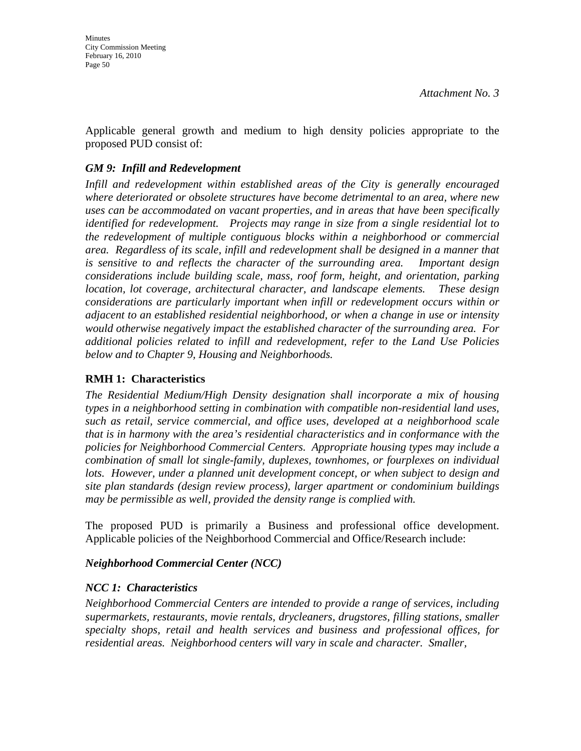Applicable general growth and medium to high density policies appropriate to the proposed PUD consist of:

## *GM 9: Infill and Redevelopment*

*Infill and redevelopment within established areas of the City is generally encouraged where deteriorated or obsolete structures have become detrimental to an area, where new uses can be accommodated on vacant properties, and in areas that have been specifically identified for redevelopment. Projects may range in size from a single residential lot to the redevelopment of multiple contiguous blocks within a neighborhood or commercial area. Regardless of its scale, infill and redevelopment shall be designed in a manner that is sensitive to and reflects the character of the surrounding area. Important design considerations include building scale, mass, roof form, height, and orientation, parking location, lot coverage, architectural character, and landscape elements. These design considerations are particularly important when infill or redevelopment occurs within or adjacent to an established residential neighborhood, or when a change in use or intensity would otherwise negatively impact the established character of the surrounding area. For additional policies related to infill and redevelopment, refer to the Land Use Policies below and to Chapter 9, Housing and Neighborhoods.* 

### **RMH 1: Characteristics**

*The Residential Medium/High Density designation shall incorporate a mix of housing types in a neighborhood setting in combination with compatible non-residential land uses, such as retail, service commercial, and office uses, developed at a neighborhood scale that is in harmony with the area's residential characteristics and in conformance with the policies for Neighborhood Commercial Centers. Appropriate housing types may include a combination of small lot single-family, duplexes, townhomes, or fourplexes on individual lots. However, under a planned unit development concept, or when subject to design and site plan standards (design review process), larger apartment or condominium buildings may be permissible as well, provided the density range is complied with.* 

The proposed PUD is primarily a Business and professional office development. Applicable policies of the Neighborhood Commercial and Office/Research include:

### *Neighborhood Commercial Center (NCC)*

### *NCC 1: Characteristics*

*Neighborhood Commercial Centers are intended to provide a range of services, including supermarkets, restaurants, movie rentals, drycleaners, drugstores, filling stations, smaller specialty shops, retail and health services and business and professional offices, for residential areas. Neighborhood centers will vary in scale and character. Smaller,*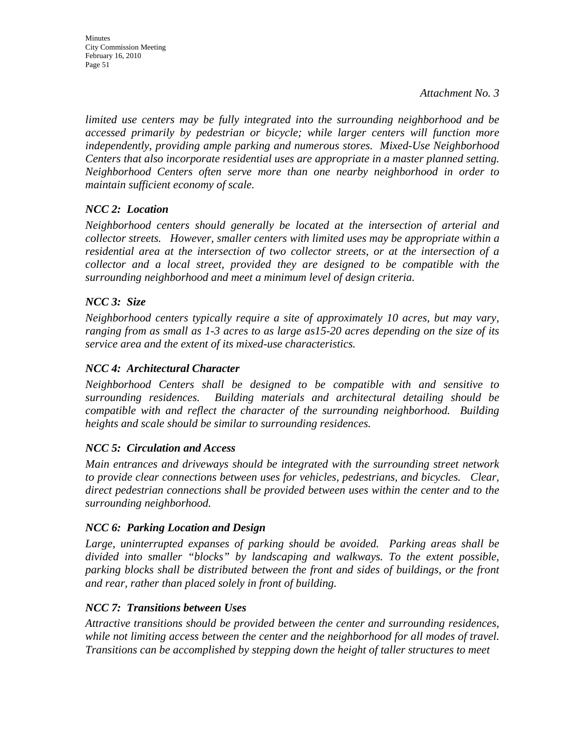City Commission Meeting February 16, 2010 Page 51

**Minutes** 

*Attachment No. 3*

*limited use centers may be fully integrated into the surrounding neighborhood and be accessed primarily by pedestrian or bicycle; while larger centers will function more independently, providing ample parking and numerous stores. Mixed-Use Neighborhood Centers that also incorporate residential uses are appropriate in a master planned setting. Neighborhood Centers often serve more than one nearby neighborhood in order to maintain sufficient economy of scale.* 

# *NCC 2: Location*

*Neighborhood centers should generally be located at the intersection of arterial and collector streets. However, smaller centers with limited uses may be appropriate within a residential area at the intersection of two collector streets, or at the intersection of a collector and a local street, provided they are designed to be compatible with the surrounding neighborhood and meet a minimum level of design criteria.* 

# *NCC 3: Size*

*Neighborhood centers typically require a site of approximately 10 acres, but may vary, ranging from as small as 1-3 acres to as large as15-20 acres depending on the size of its service area and the extent of its mixed-use characteristics.* 

# *NCC 4: Architectural Character*

*Neighborhood Centers shall be designed to be compatible with and sensitive to surrounding residences. Building materials and architectural detailing should be compatible with and reflect the character of the surrounding neighborhood. Building heights and scale should be similar to surrounding residences.* 

# *NCC 5: Circulation and Access*

*Main entrances and driveways should be integrated with the surrounding street network to provide clear connections between uses for vehicles, pedestrians, and bicycles. Clear, direct pedestrian connections shall be provided between uses within the center and to the surrounding neighborhood.* 

# *NCC 6: Parking Location and Design*

*Large, uninterrupted expanses of parking should be avoided. Parking areas shall be divided into smaller "blocks" by landscaping and walkways. To the extent possible, parking blocks shall be distributed between the front and sides of buildings, or the front and rear, rather than placed solely in front of building.* 

# *NCC 7: Transitions between Uses*

*Attractive transitions should be provided between the center and surrounding residences, while not limiting access between the center and the neighborhood for all modes of travel. Transitions can be accomplished by stepping down the height of taller structures to meet*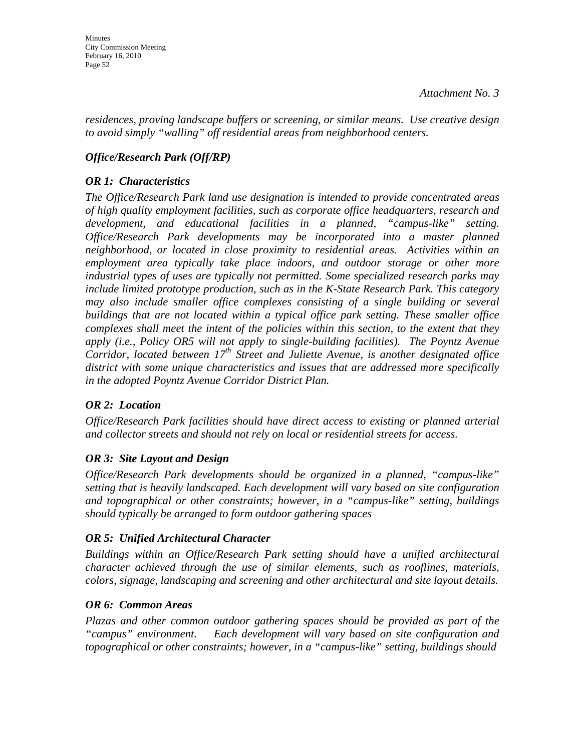*residences, proving landscape buffers or screening, or similar means. Use creative design to avoid simply "walling" off residential areas from neighborhood centers.* 

# *Office/Research Park (Off/RP)*

# *OR 1: Characteristics*

*The Office/Research Park land use designation is intended to provide concentrated areas of high quality employment facilities, such as corporate office headquarters, research and development, and educational facilities in a planned, "campus-like" setting. Office/Research Park developments may be incorporated into a master planned neighborhood, or located in close proximity to residential areas. Activities within an employment area typically take place indoors, and outdoor storage or other more industrial types of uses are typically not permitted. Some specialized research parks may include limited prototype production, such as in the K-State Research Park. This category may also include smaller office complexes consisting of a single building or several buildings that are not located within a typical office park setting. These smaller office complexes shall meet the intent of the policies within this section, to the extent that they apply (i.e., Policy OR5 will not apply to single-building facilities). The Poyntz Avenue Corridor, located between 17<sup>th</sup> Street and Juliette Avenue, is another designated office district with some unique characteristics and issues that are addressed more specifically in the adopted Poyntz Avenue Corridor District Plan.* 

### *OR 2: Location*

*Office/Research Park facilities should have direct access to existing or planned arterial and collector streets and should not rely on local or residential streets for access.* 

# *OR 3: Site Layout and Design*

*Office/Research Park developments should be organized in a planned, "campus-like" setting that is heavily landscaped. Each development will vary based on site configuration and topographical or other constraints; however, in a "campus-like" setting, buildings should typically be arranged to form outdoor gathering spaces* 

# *OR 5: Unified Architectural Character*

*Buildings within an Office/Research Park setting should have a unified architectural character achieved through the use of similar elements, such as rooflines, materials, colors, signage, landscaping and screening and other architectural and site layout details.* 

# *OR 6: Common Areas*

*Plazas and other common outdoor gathering spaces should be provided as part of the "campus" environment. Each development will vary based on site configuration and topographical or other constraints; however, in a "campus-like" setting, buildings should*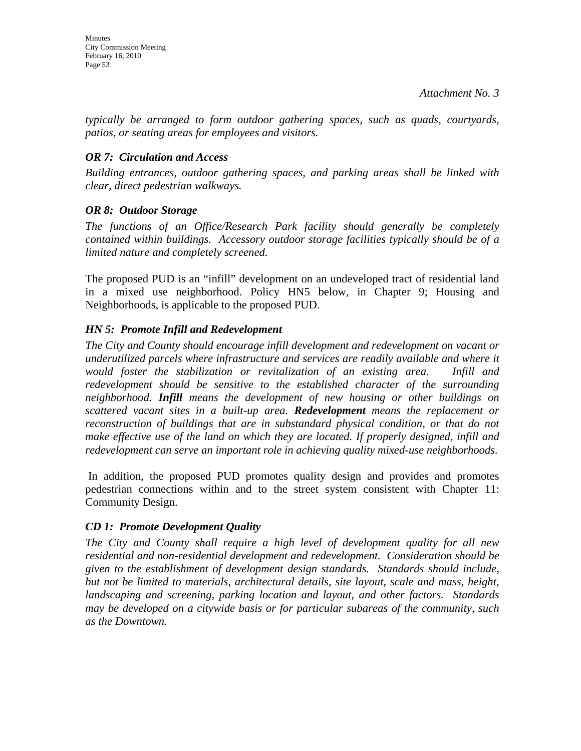*typically be arranged to form outdoor gathering spaces, such as quads, courtyards, patios, or seating areas for employees and visitors.* 

# *OR 7: Circulation and Access*

*Building entrances, outdoor gathering spaces, and parking areas shall be linked with clear, direct pedestrian walkways.* 

# *OR 8: Outdoor Storage*

*The functions of an Office/Research Park facility should generally be completely contained within buildings. Accessory outdoor storage facilities typically should be of a limited nature and completely screened.* 

The proposed PUD is an "infill" development on an undeveloped tract of residential land in a mixed use neighborhood. Policy HN5 below, in Chapter 9; Housing and Neighborhoods, is applicable to the proposed PUD.

# *HN 5: Promote Infill and Redevelopment*

*The City and County should encourage infill development and redevelopment on vacant or underutilized parcels where infrastructure and services are readily available and where it would foster the stabilization or revitalization of an existing area. Infill and redevelopment should be sensitive to the established character of the surrounding neighborhood. Infill means the development of new housing or other buildings on scattered vacant sites in a built-up area. Redevelopment means the replacement or reconstruction of buildings that are in substandard physical condition, or that do not make effective use of the land on which they are located. If properly designed, infill and redevelopment can serve an important role in achieving quality mixed-use neighborhoods.* 

 In addition, the proposed PUD promotes quality design and provides and promotes pedestrian connections within and to the street system consistent with Chapter 11: Community Design.

# *CD 1: Promote Development Quality*

*The City and County shall require a high level of development quality for all new residential and non-residential development and redevelopment. Consideration should be given to the establishment of development design standards. Standards should include, but not be limited to materials, architectural details, site layout, scale and mass, height, landscaping and screening, parking location and layout, and other factors. Standards may be developed on a citywide basis or for particular subareas of the community, such as the Downtown.*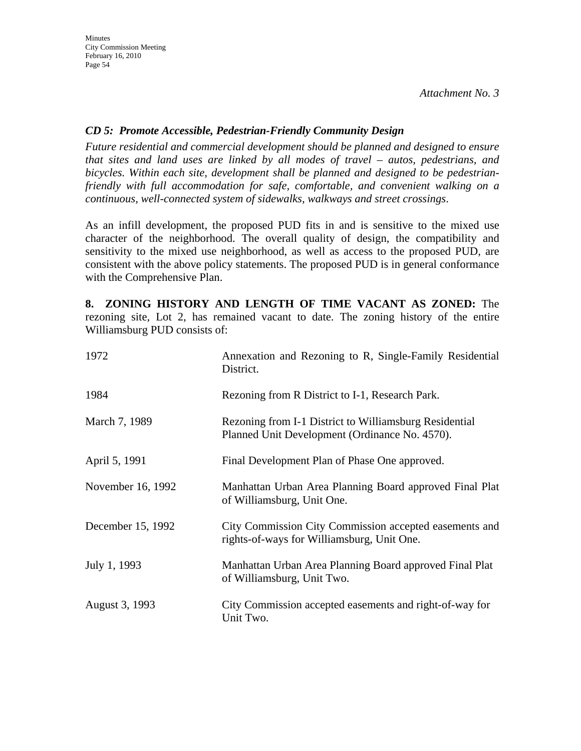## *CD 5: Promote Accessible, Pedestrian-Friendly Community Design*

*Future residential and commercial development should be planned and designed to ensure that sites and land uses are linked by all modes of travel – autos, pedestrians, and bicycles. Within each site, development shall be planned and designed to be pedestrianfriendly with full accommodation for safe, comfortable, and convenient walking on a continuous, well-connected system of sidewalks, walkways and street crossings*.

As an infill development, the proposed PUD fits in and is sensitive to the mixed use character of the neighborhood. The overall quality of design, the compatibility and sensitivity to the mixed use neighborhood, as well as access to the proposed PUD, are consistent with the above policy statements. The proposed PUD is in general conformance with the Comprehensive Plan.

**8. ZONING HISTORY AND LENGTH OF TIME VACANT AS ZONED:** The rezoning site, Lot 2, has remained vacant to date. The zoning history of the entire Williamsburg PUD consists of:

| 1972              | Annexation and Rezoning to R, Single-Family Residential<br>District.                                     |
|-------------------|----------------------------------------------------------------------------------------------------------|
| 1984              | Rezoning from R District to I-1, Research Park.                                                          |
| March 7, 1989     | Rezoning from I-1 District to Williamsburg Residential<br>Planned Unit Development (Ordinance No. 4570). |
| April 5, 1991     | Final Development Plan of Phase One approved.                                                            |
| November 16, 1992 | Manhattan Urban Area Planning Board approved Final Plat<br>of Williamsburg, Unit One.                    |
| December 15, 1992 | City Commission City Commission accepted easements and<br>rights-of-ways for Williamsburg, Unit One.     |
| July 1, 1993      | Manhattan Urban Area Planning Board approved Final Plat<br>of Williamsburg, Unit Two.                    |
| August 3, 1993    | City Commission accepted easements and right-of-way for<br>Unit Two.                                     |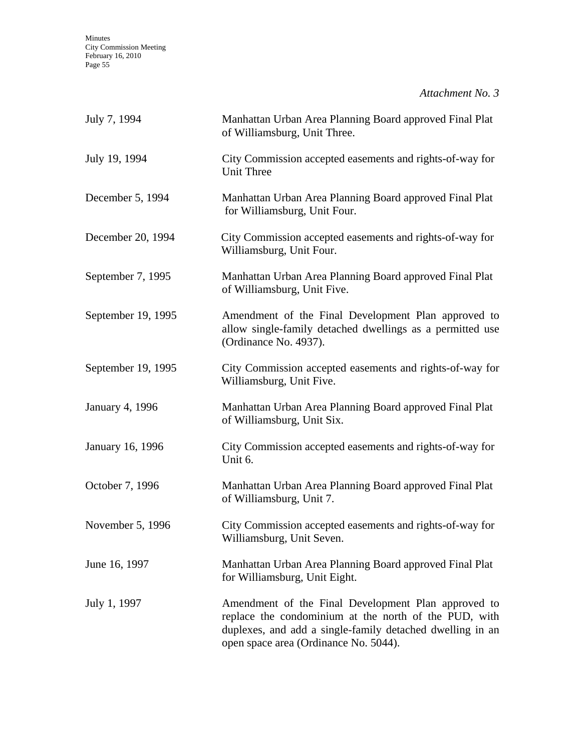| July 7, 1994           | Manhattan Urban Area Planning Board approved Final Plat<br>of Williamsburg, Unit Three.                                                                                                                            |  |
|------------------------|--------------------------------------------------------------------------------------------------------------------------------------------------------------------------------------------------------------------|--|
| July 19, 1994          | City Commission accepted easements and rights-of-way for<br><b>Unit Three</b>                                                                                                                                      |  |
| December 5, 1994       | Manhattan Urban Area Planning Board approved Final Plat<br>for Williamsburg, Unit Four.                                                                                                                            |  |
| December 20, 1994      | City Commission accepted easements and rights-of-way for<br>Williamsburg, Unit Four.                                                                                                                               |  |
| September 7, 1995      | Manhattan Urban Area Planning Board approved Final Plat<br>of Williamsburg, Unit Five.                                                                                                                             |  |
| September 19, 1995     | Amendment of the Final Development Plan approved to<br>allow single-family detached dwellings as a permitted use<br>(Ordinance No. 4937).                                                                          |  |
| September 19, 1995     | City Commission accepted easements and rights-of-way for<br>Williamsburg, Unit Five.                                                                                                                               |  |
| <b>January 4, 1996</b> | Manhattan Urban Area Planning Board approved Final Plat<br>of Williamsburg, Unit Six.                                                                                                                              |  |
| January 16, 1996       | City Commission accepted easements and rights-of-way for<br>Unit 6.                                                                                                                                                |  |
| October 7, 1996        | Manhattan Urban Area Planning Board approved Final Plat<br>of Williamsburg, Unit 7.                                                                                                                                |  |
| November 5, 1996       | City Commission accepted easements and rights-of-way for<br>Williamsburg, Unit Seven.                                                                                                                              |  |
| June 16, 1997          | Manhattan Urban Area Planning Board approved Final Plat<br>for Williamsburg, Unit Eight.                                                                                                                           |  |
| July 1, 1997           | Amendment of the Final Development Plan approved to<br>replace the condominium at the north of the PUD, with<br>duplexes, and add a single-family detached dwelling in an<br>open space area (Ordinance No. 5044). |  |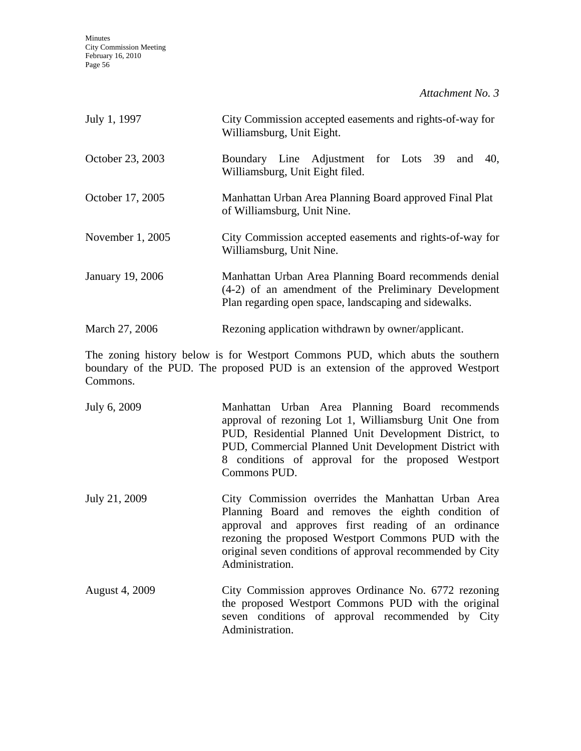| July 1, 1997     | City Commission accepted easements and rights-of-way for<br>Williamsburg, Unit Eight.                                                                                  |  |
|------------------|------------------------------------------------------------------------------------------------------------------------------------------------------------------------|--|
| October 23, 2003 | Boundary Line Adjustment for Lots 39 and<br>40.<br>Williamsburg, Unit Eight filed.                                                                                     |  |
| October 17, 2005 | Manhattan Urban Area Planning Board approved Final Plat<br>of Williamsburg, Unit Nine.                                                                                 |  |
| November 1, 2005 | City Commission accepted easements and rights-of-way for<br>Williamsburg, Unit Nine.                                                                                   |  |
| January 19, 2006 | Manhattan Urban Area Planning Board recommends denial<br>(4-2) of an amendment of the Preliminary Development<br>Plan regarding open space, landscaping and sidewalks. |  |
| March 27, 2006   | Rezoning application withdrawn by owner/applicant.                                                                                                                     |  |

The zoning history below is for Westport Commons PUD, which abuts the southern boundary of the PUD. The proposed PUD is an extension of the approved Westport Commons.

| July 6, 2009          | Manhattan Urban Area Planning Board recommends<br>approval of rezoning Lot 1, Williamsburg Unit One from<br>PUD, Residential Planned Unit Development District, to<br>PUD, Commercial Planned Unit Development District with<br>8 conditions of approval for the proposed Westport<br>Commons PUD.     |
|-----------------------|--------------------------------------------------------------------------------------------------------------------------------------------------------------------------------------------------------------------------------------------------------------------------------------------------------|
| July 21, 2009         | City Commission overrides the Manhattan Urban Area<br>Planning Board and removes the eighth condition of<br>approval and approves first reading of an ordinance<br>rezoning the proposed Westport Commons PUD with the<br>original seven conditions of approval recommended by City<br>Administration. |
| <b>August 4, 2009</b> | City Commission approves Ordinance No. 6772 rezoning<br>the proposed Westport Commons PUD with the original<br>seven conditions of approval recommended by City                                                                                                                                        |

Administration.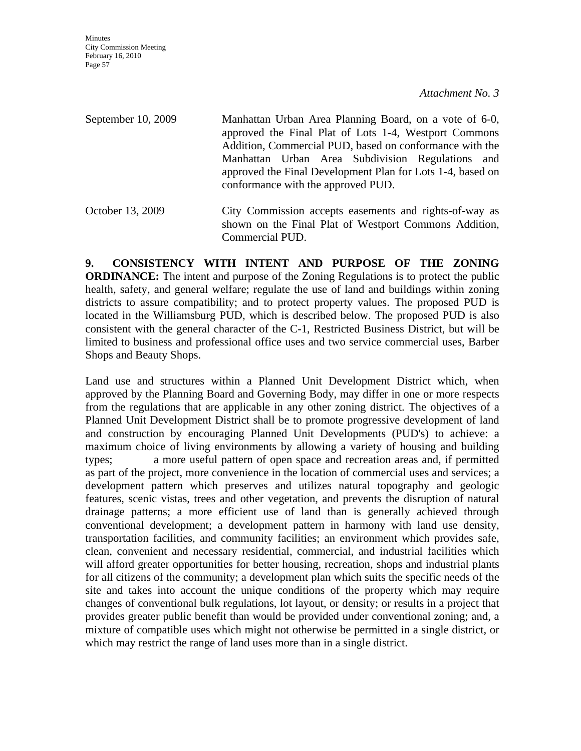**Minutes** City Commission Meeting February 16, 2010 Page 57

*Attachment No. 3*

September 10, 2009 Manhattan Urban Area Planning Board, on a vote of 6-0, approved the Final Plat of Lots 1-4, Westport Commons Addition, Commercial PUD, based on conformance with the Manhattan Urban Area Subdivision Regulations and approved the Final Development Plan for Lots 1-4, based on conformance with the approved PUD.

October 13, 2009 City Commission accepts easements and rights-of-way as shown on the Final Plat of Westport Commons Addition, Commercial PUD.

**9. CONSISTENCY WITH INTENT AND PURPOSE OF THE ZONING ORDINANCE:** The intent and purpose of the Zoning Regulations is to protect the public health, safety, and general welfare; regulate the use of land and buildings within zoning districts to assure compatibility; and to protect property values. The proposed PUD is located in the Williamsburg PUD, which is described below. The proposed PUD is also consistent with the general character of the C-1, Restricted Business District, but will be limited to business and professional office uses and two service commercial uses, Barber Shops and Beauty Shops.

Land use and structures within a Planned Unit Development District which, when approved by the Planning Board and Governing Body, may differ in one or more respects from the regulations that are applicable in any other zoning district. The objectives of a Planned Unit Development District shall be to promote progressive development of land and construction by encouraging Planned Unit Developments (PUD's) to achieve: a maximum choice of living environments by allowing a variety of housing and building types; a more useful pattern of open space and recreation areas and, if permitted as part of the project, more convenience in the location of commercial uses and services; a development pattern which preserves and utilizes natural topography and geologic features, scenic vistas, trees and other vegetation, and prevents the disruption of natural drainage patterns; a more efficient use of land than is generally achieved through conventional development; a development pattern in harmony with land use density, transportation facilities, and community facilities; an environment which provides safe, clean, convenient and necessary residential, commercial, and industrial facilities which will afford greater opportunities for better housing, recreation, shops and industrial plants for all citizens of the community; a development plan which suits the specific needs of the site and takes into account the unique conditions of the property which may require changes of conventional bulk regulations, lot layout, or density; or results in a project that provides greater public benefit than would be provided under conventional zoning; and, a mixture of compatible uses which might not otherwise be permitted in a single district, or which may restrict the range of land uses more than in a single district.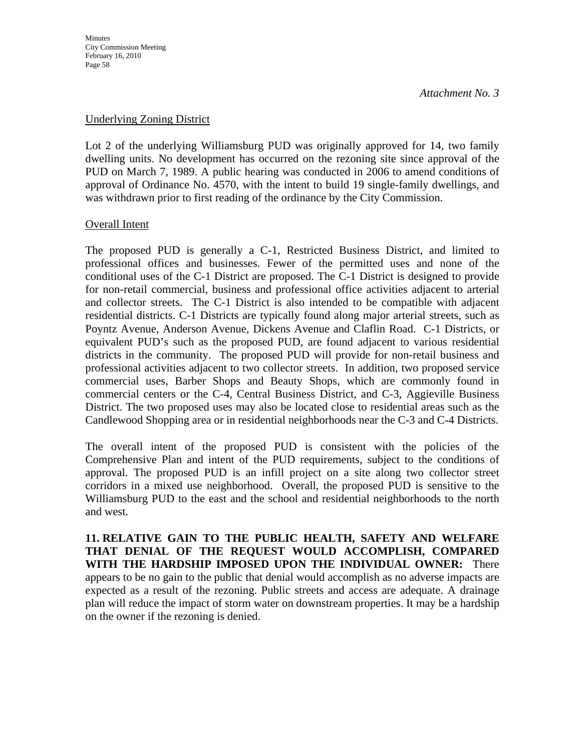**Minutes** City Commission Meeting February 16, 2010 Page 58

*Attachment No. 3*

#### Underlying Zoning District

Lot 2 of the underlying Williamsburg PUD was originally approved for 14, two family dwelling units. No development has occurred on the rezoning site since approval of the PUD on March 7, 1989. A public hearing was conducted in 2006 to amend conditions of approval of Ordinance No. 4570, with the intent to build 19 single-family dwellings, and was withdrawn prior to first reading of the ordinance by the City Commission.

#### Overall Intent

The proposed PUD is generally a C-1, Restricted Business District, and limited to professional offices and businesses. Fewer of the permitted uses and none of the conditional uses of the C-1 District are proposed. The C-1 District is designed to provide for non-retail commercial, business and professional office activities adjacent to arterial and collector streets. The C-1 District is also intended to be compatible with adjacent residential districts. C-1 Districts are typically found along major arterial streets, such as Poyntz Avenue, Anderson Avenue, Dickens Avenue and Claflin Road. C-1 Districts, or equivalent PUD's such as the proposed PUD, are found adjacent to various residential districts in the community. The proposed PUD will provide for non-retail business and professional activities adjacent to two collector streets. In addition, two proposed service commercial uses, Barber Shops and Beauty Shops, which are commonly found in commercial centers or the C-4, Central Business District, and C-3, Aggieville Business District. The two proposed uses may also be located close to residential areas such as the Candlewood Shopping area or in residential neighborhoods near the C-3 and C-4 Districts.

The overall intent of the proposed PUD is consistent with the policies of the Comprehensive Plan and intent of the PUD requirements, subject to the conditions of approval. The proposed PUD is an infill project on a site along two collector street corridors in a mixed use neighborhood. Overall, the proposed PUD is sensitive to the Williamsburg PUD to the east and the school and residential neighborhoods to the north and west.

**11. RELATIVE GAIN TO THE PUBLIC HEALTH, SAFETY AND WELFARE THAT DENIAL OF THE REQUEST WOULD ACCOMPLISH, COMPARED WITH THE HARDSHIP IMPOSED UPON THE INDIVIDUAL OWNER:** There appears to be no gain to the public that denial would accomplish as no adverse impacts are expected as a result of the rezoning. Public streets and access are adequate. A drainage plan will reduce the impact of storm water on downstream properties. It may be a hardship on the owner if the rezoning is denied.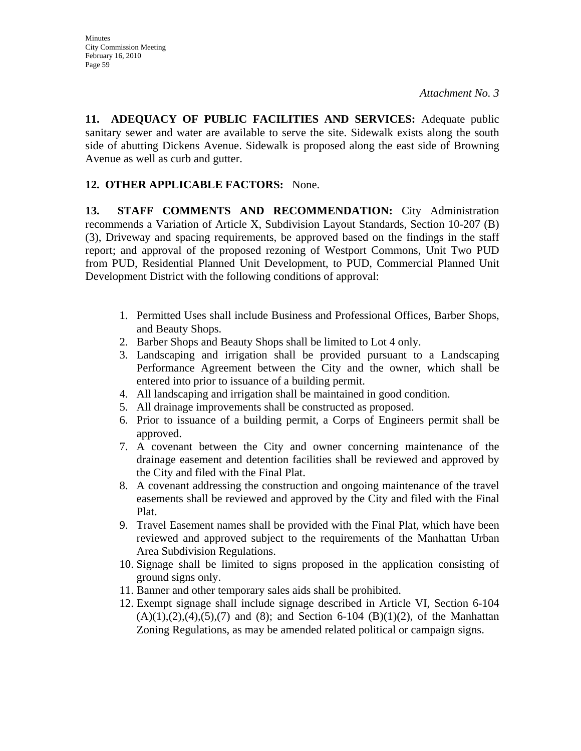**11. ADEQUACY OF PUBLIC FACILITIES AND SERVICES:** Adequate public sanitary sewer and water are available to serve the site. Sidewalk exists along the south side of abutting Dickens Avenue. Sidewalk is proposed along the east side of Browning Avenue as well as curb and gutter.

# **12. OTHER APPLICABLE FACTORS:** None.

**13. STAFF COMMENTS AND RECOMMENDATION:** City Administration recommends a Variation of Article X, Subdivision Layout Standards, Section 10-207 (B) (3), Driveway and spacing requirements, be approved based on the findings in the staff report; and approval of the proposed rezoning of Westport Commons, Unit Two PUD from PUD, Residential Planned Unit Development, to PUD, Commercial Planned Unit Development District with the following conditions of approval:

- 1. Permitted Uses shall include Business and Professional Offices, Barber Shops, and Beauty Shops.
- 2. Barber Shops and Beauty Shops shall be limited to Lot 4 only.
- 3. Landscaping and irrigation shall be provided pursuant to a Landscaping Performance Agreement between the City and the owner, which shall be entered into prior to issuance of a building permit.
- 4. All landscaping and irrigation shall be maintained in good condition.
- 5. All drainage improvements shall be constructed as proposed.
- 6. Prior to issuance of a building permit, a Corps of Engineers permit shall be approved.
- 7. A covenant between the City and owner concerning maintenance of the drainage easement and detention facilities shall be reviewed and approved by the City and filed with the Final Plat.
- 8. A covenant addressing the construction and ongoing maintenance of the travel easements shall be reviewed and approved by the City and filed with the Final Plat.
- 9. Travel Easement names shall be provided with the Final Plat, which have been reviewed and approved subject to the requirements of the Manhattan Urban Area Subdivision Regulations.
- 10. Signage shall be limited to signs proposed in the application consisting of ground signs only.
- 11. Banner and other temporary sales aids shall be prohibited.
- 12. Exempt signage shall include signage described in Article VI, Section 6-104  $(A)(1), (2), (4), (5), (7)$  and  $(8)$ ; and Section 6-104  $(B)(1)(2)$ , of the Manhattan Zoning Regulations, as may be amended related political or campaign signs.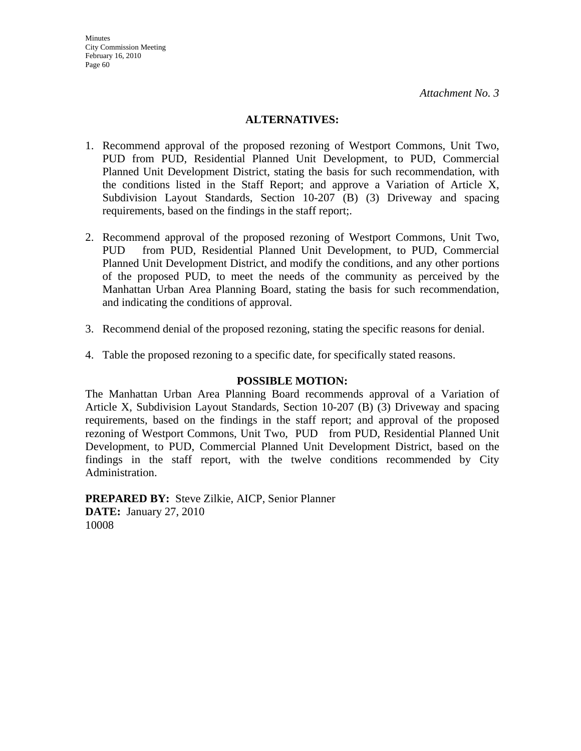### **ALTERNATIVES:**

- 1. Recommend approval of the proposed rezoning of Westport Commons, Unit Two, PUD from PUD, Residential Planned Unit Development, to PUD, Commercial Planned Unit Development District, stating the basis for such recommendation, with the conditions listed in the Staff Report; and approve a Variation of Article X, Subdivision Layout Standards, Section 10-207 (B) (3) Driveway and spacing requirements, based on the findings in the staff report;.
- 2. Recommend approval of the proposed rezoning of Westport Commons, Unit Two, PUD from PUD, Residential Planned Unit Development, to PUD, Commercial Planned Unit Development District, and modify the conditions, and any other portions of the proposed PUD, to meet the needs of the community as perceived by the Manhattan Urban Area Planning Board, stating the basis for such recommendation, and indicating the conditions of approval.
- 3. Recommend denial of the proposed rezoning, stating the specific reasons for denial.
- 4. Table the proposed rezoning to a specific date, for specifically stated reasons.

### **POSSIBLE MOTION:**

The Manhattan Urban Area Planning Board recommends approval of a Variation of Article X, Subdivision Layout Standards, Section 10-207 (B) (3) Driveway and spacing requirements, based on the findings in the staff report; and approval of the proposed rezoning of Westport Commons, Unit Two, PUD from PUD, Residential Planned Unit Development, to PUD, Commercial Planned Unit Development District, based on the findings in the staff report, with the twelve conditions recommended by City Administration.

**PREPARED BY:** Steve Zilkie, AICP, Senior Planner **DATE:** January 27, 2010 10008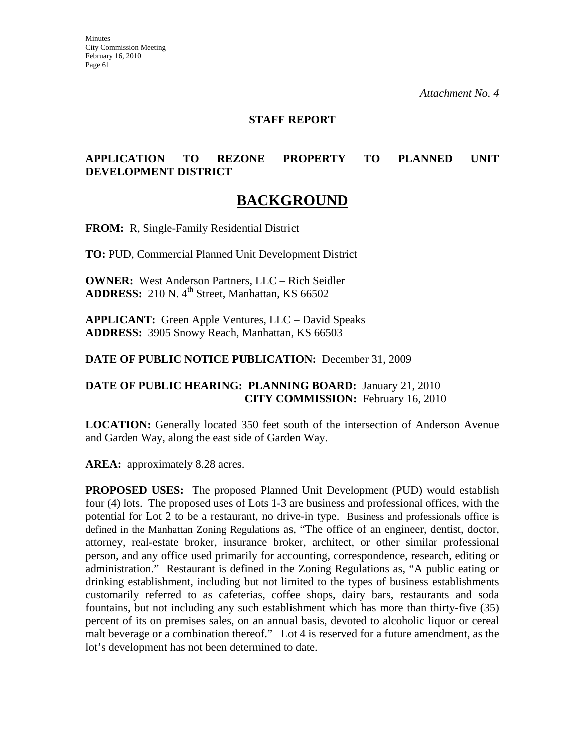### **STAFF REPORT**

## **APPLICATION TO REZONE PROPERTY TO PLANNED UNIT DEVELOPMENT DISTRICT**

# **BACKGROUND**

**FROM:** R, Single-Family Residential District

**TO:** PUD, Commercial Planned Unit Development District

**OWNER:** West Anderson Partners, LLC – Rich Seidler **ADDRESS:** 210 N. 4<sup>th</sup> Street, Manhattan, KS 66502

**APPLICANT:** Green Apple Ventures, LLC – David Speaks **ADDRESS:** 3905 Snowy Reach, Manhattan, KS 66503

**DATE OF PUBLIC NOTICE PUBLICATION:** December 31, 2009

### **DATE OF PUBLIC HEARING: PLANNING BOARD:** January 21, 2010 **CITY COMMISSION:** February 16, 2010

**LOCATION:** Generally located 350 feet south of the intersection of Anderson Avenue and Garden Way, along the east side of Garden Way.

AREA: approximately 8.28 acres.

**PROPOSED USES:** The proposed Planned Unit Development (PUD) would establish four (4) lots. The proposed uses of Lots 1-3 are business and professional offices, with the potential for Lot 2 to be a restaurant, no drive-in type. Business and professionals office is defined in the Manhattan Zoning Regulations as, "The office of an engineer, dentist, doctor, attorney, real-estate broker, insurance broker, architect, or other similar professional person, and any office used primarily for accounting, correspondence, research, editing or administration." Restaurant is defined in the Zoning Regulations as, "A public eating or drinking establishment, including but not limited to the types of business establishments customarily referred to as cafeterias, coffee shops, dairy bars, restaurants and soda fountains, but not including any such establishment which has more than thirty-five (35) percent of its on premises sales, on an annual basis, devoted to alcoholic liquor or cereal malt beverage or a combination thereof." Lot 4 is reserved for a future amendment, as the lot's development has not been determined to date.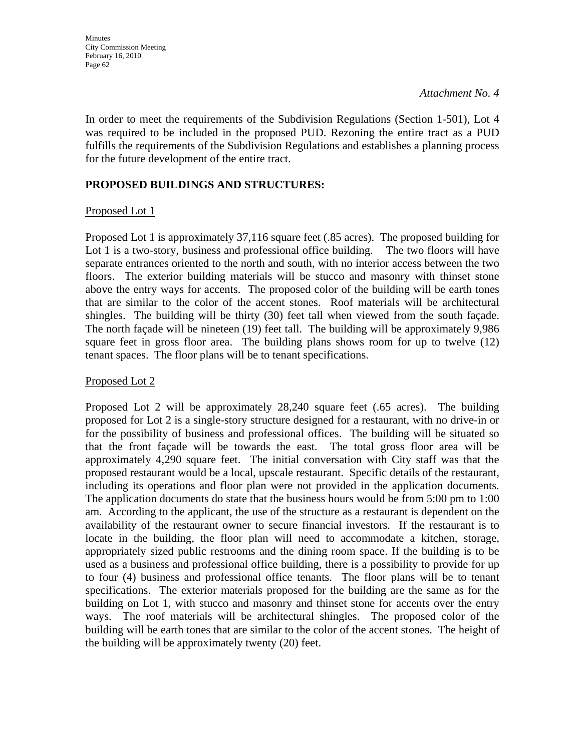In order to meet the requirements of the Subdivision Regulations (Section 1-501), Lot 4 was required to be included in the proposed PUD. Rezoning the entire tract as a PUD fulfills the requirements of the Subdivision Regulations and establishes a planning process for the future development of the entire tract.

## **PROPOSED BUILDINGS AND STRUCTURES:**

### Proposed Lot 1

Proposed Lot 1 is approximately 37,116 square feet (.85 acres). The proposed building for Lot 1 is a two-story, business and professional office building. The two floors will have separate entrances oriented to the north and south, with no interior access between the two floors. The exterior building materials will be stucco and masonry with thinset stone above the entry ways for accents. The proposed color of the building will be earth tones that are similar to the color of the accent stones. Roof materials will be architectural shingles. The building will be thirty (30) feet tall when viewed from the south façade. The north façade will be nineteen (19) feet tall. The building will be approximately 9,986 square feet in gross floor area. The building plans shows room for up to twelve (12) tenant spaces. The floor plans will be to tenant specifications.

### Proposed Lot 2

Proposed Lot 2 will be approximately 28,240 square feet (.65 acres). The building proposed for Lot 2 is a single-story structure designed for a restaurant, with no drive-in or for the possibility of business and professional offices. The building will be situated so that the front façade will be towards the east. The total gross floor area will be approximately 4,290 square feet. The initial conversation with City staff was that the proposed restaurant would be a local, upscale restaurant. Specific details of the restaurant, including its operations and floor plan were not provided in the application documents. The application documents do state that the business hours would be from 5:00 pm to 1:00 am. According to the applicant, the use of the structure as a restaurant is dependent on the availability of the restaurant owner to secure financial investors. If the restaurant is to locate in the building, the floor plan will need to accommodate a kitchen, storage, appropriately sized public restrooms and the dining room space. If the building is to be used as a business and professional office building, there is a possibility to provide for up to four (4) business and professional office tenants. The floor plans will be to tenant specifications. The exterior materials proposed for the building are the same as for the building on Lot 1, with stucco and masonry and thinset stone for accents over the entry ways. The roof materials will be architectural shingles. The proposed color of the building will be earth tones that are similar to the color of the accent stones. The height of the building will be approximately twenty (20) feet.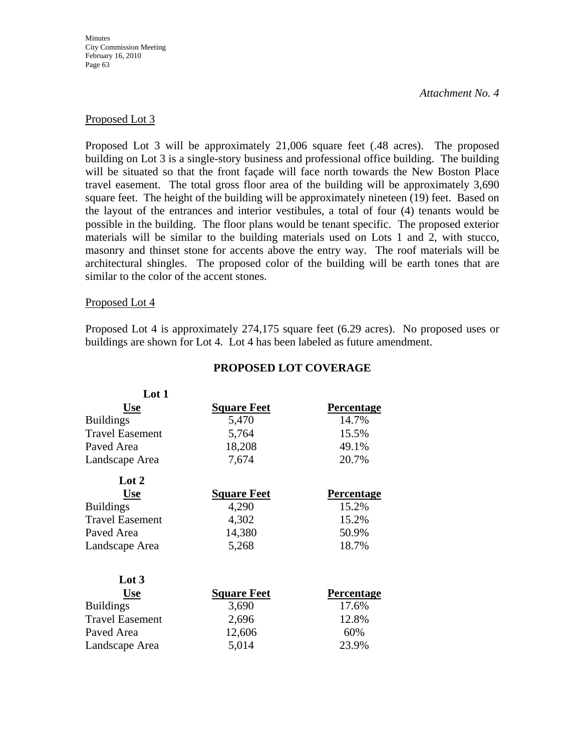**Minutes** City Commission Meeting February 16, 2010 Page 63

#### *Attachment No. 4*

#### Proposed Lot 3

Proposed Lot 3 will be approximately 21,006 square feet (.48 acres). The proposed building on Lot 3 is a single-story business and professional office building. The building will be situated so that the front façade will face north towards the New Boston Place travel easement. The total gross floor area of the building will be approximately 3,690 square feet. The height of the building will be approximately nineteen (19) feet. Based on the layout of the entrances and interior vestibules, a total of four (4) tenants would be possible in the building. The floor plans would be tenant specific. The proposed exterior materials will be similar to the building materials used on Lots 1 and 2, with stucco, masonry and thinset stone for accents above the entry way. The roof materials will be architectural shingles. The proposed color of the building will be earth tones that are similar to the color of the accent stones.

#### Proposed Lot 4

Proposed Lot 4 is approximately 274,175 square feet (6.29 acres). No proposed uses or buildings are shown for Lot 4. Lot 4 has been labeled as future amendment.

| Lot 1                  |                    |                   |
|------------------------|--------------------|-------------------|
| <b>Use</b>             | <b>Square Feet</b> | <b>Percentage</b> |
| <b>Buildings</b>       | 5,470              | 14.7%             |
| <b>Travel Easement</b> | 5,764              | 15.5%             |
| Paved Area             | 18,208             | 49.1%             |
| Landscape Area         | 7,674              | 20.7%             |
| Lot $2$                |                    |                   |
| <b>Use</b>             | <b>Square Feet</b> | <b>Percentage</b> |
| <b>Buildings</b>       | 4,290              | 15.2%             |
| <b>Travel Easement</b> | 4,302              | 15.2%             |
| Paved Area             | 14,380             | 50.9%             |
| Landscape Area         | 5,268              | 18.7%             |
| $\text{Lot } 3$        |                    |                   |
| <b>Use</b>             | <b>Square Feet</b> | <b>Percentage</b> |
| <b>Buildings</b>       | 3,690              | 17.6%             |
| <b>Travel Easement</b> | 2,696              | 12.8%             |
| Paved Area             | 12,606             | 60%               |
| Landscape Area         | 5,014              | 23.9%             |

#### **PROPOSED LOT COVERAGE**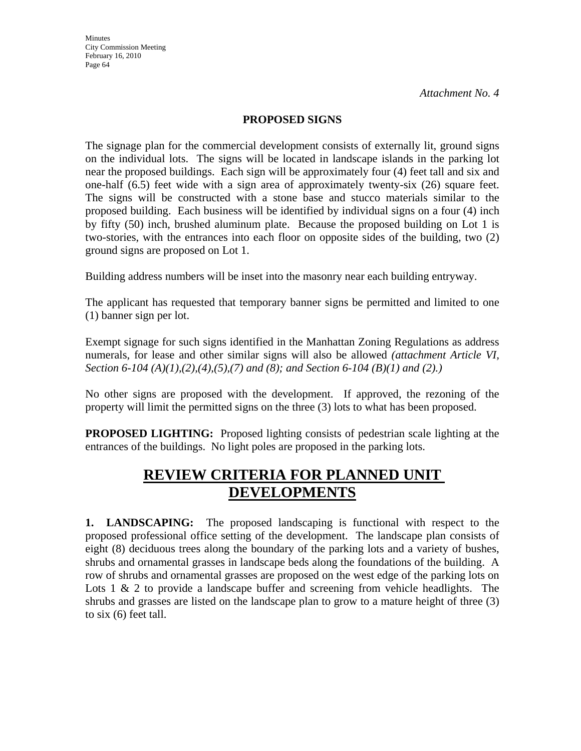**Minutes** City Commission Meeting February 16, 2010 Page 64

*Attachment No. 4*

### **PROPOSED SIGNS**

The signage plan for the commercial development consists of externally lit, ground signs on the individual lots. The signs will be located in landscape islands in the parking lot near the proposed buildings. Each sign will be approximately four (4) feet tall and six and one-half (6.5) feet wide with a sign area of approximately twenty-six (26) square feet. The signs will be constructed with a stone base and stucco materials similar to the proposed building. Each business will be identified by individual signs on a four (4) inch by fifty (50) inch, brushed aluminum plate. Because the proposed building on Lot 1 is two-stories, with the entrances into each floor on opposite sides of the building, two (2) ground signs are proposed on Lot 1.

Building address numbers will be inset into the masonry near each building entryway.

The applicant has requested that temporary banner signs be permitted and limited to one (1) banner sign per lot.

Exempt signage for such signs identified in the Manhattan Zoning Regulations as address numerals, for lease and other similar signs will also be allowed *(attachment Article VI, Section 6-104 (A)(1),(2),(4),(5),(7) and (8); and Section 6-104 (B)(1) and (2).)*

No other signs are proposed with the development. If approved, the rezoning of the property will limit the permitted signs on the three (3) lots to what has been proposed.

**PROPOSED LIGHTING:** Proposed lighting consists of pedestrian scale lighting at the entrances of the buildings. No light poles are proposed in the parking lots.

# **REVIEW CRITERIA FOR PLANNED UNIT DEVELOPMENTS**

**1. LANDSCAPING:** The proposed landscaping is functional with respect to the proposed professional office setting of the development. The landscape plan consists of eight (8) deciduous trees along the boundary of the parking lots and a variety of bushes, shrubs and ornamental grasses in landscape beds along the foundations of the building. A row of shrubs and ornamental grasses are proposed on the west edge of the parking lots on Lots  $1 \& 2$  to provide a landscape buffer and screening from vehicle headlights. The shrubs and grasses are listed on the landscape plan to grow to a mature height of three (3) to six (6) feet tall.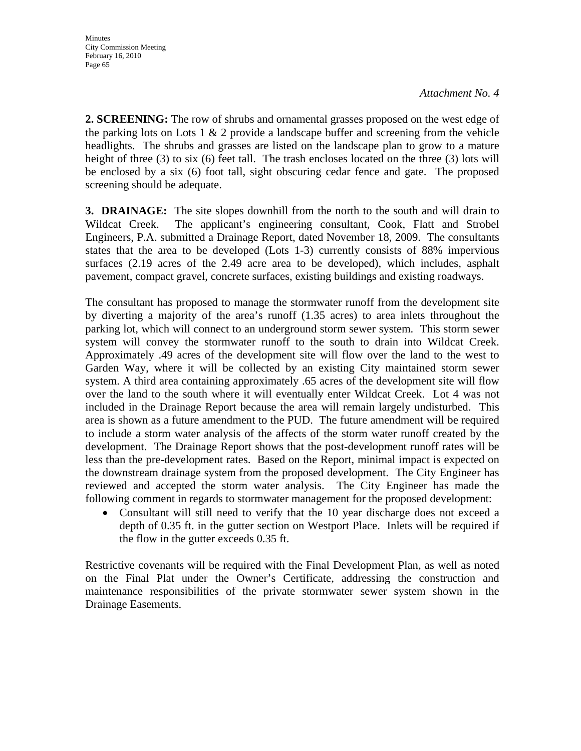**2. SCREENING:** The row of shrubs and ornamental grasses proposed on the west edge of the parking lots on Lots 1  $\&$  2 provide a landscape buffer and screening from the vehicle headlights. The shrubs and grasses are listed on the landscape plan to grow to a mature height of three (3) to six (6) feet tall. The trash encloses located on the three (3) lots will be enclosed by a six (6) foot tall, sight obscuring cedar fence and gate. The proposed screening should be adequate.

**3. DRAINAGE:** The site slopes downhill from the north to the south and will drain to Wildcat Creek. The applicant's engineering consultant, Cook, Flatt and Strobel Engineers, P.A. submitted a Drainage Report, dated November 18, 2009. The consultants states that the area to be developed (Lots 1-3) currently consists of 88% impervious surfaces (2.19 acres of the 2.49 acre area to be developed), which includes, asphalt pavement, compact gravel, concrete surfaces, existing buildings and existing roadways.

The consultant has proposed to manage the stormwater runoff from the development site by diverting a majority of the area's runoff (1.35 acres) to area inlets throughout the parking lot, which will connect to an underground storm sewer system. This storm sewer system will convey the stormwater runoff to the south to drain into Wildcat Creek. Approximately .49 acres of the development site will flow over the land to the west to Garden Way, where it will be collected by an existing City maintained storm sewer system. A third area containing approximately .65 acres of the development site will flow over the land to the south where it will eventually enter Wildcat Creek. Lot 4 was not included in the Drainage Report because the area will remain largely undisturbed. This area is shown as a future amendment to the PUD. The future amendment will be required to include a storm water analysis of the affects of the storm water runoff created by the development. The Drainage Report shows that the post-development runoff rates will be less than the pre-development rates. Based on the Report, minimal impact is expected on the downstream drainage system from the proposed development. The City Engineer has reviewed and accepted the storm water analysis. The City Engineer has made the following comment in regards to stormwater management for the proposed development:

• Consultant will still need to verify that the 10 year discharge does not exceed a depth of 0.35 ft. in the gutter section on Westport Place. Inlets will be required if the flow in the gutter exceeds 0.35 ft.

Restrictive covenants will be required with the Final Development Plan, as well as noted on the Final Plat under the Owner's Certificate, addressing the construction and maintenance responsibilities of the private stormwater sewer system shown in the Drainage Easements.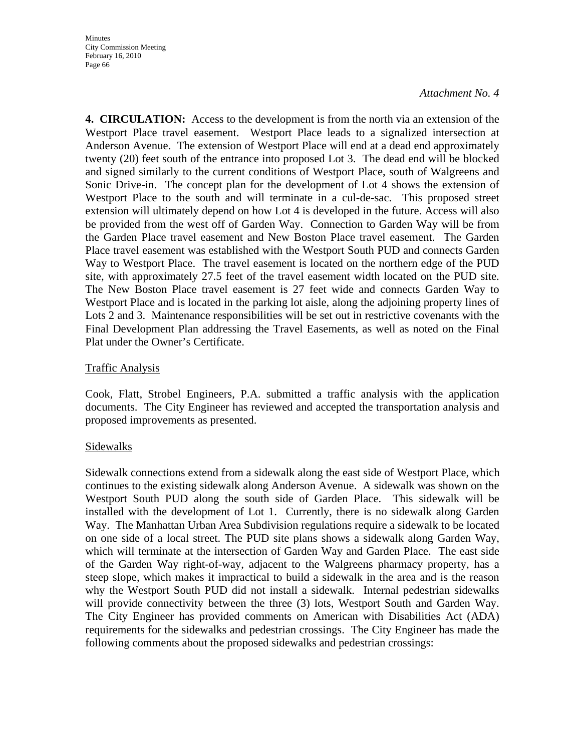**4. CIRCULATION:** Access to the development is from the north via an extension of the Westport Place travel easement. Westport Place leads to a signalized intersection at Anderson Avenue. The extension of Westport Place will end at a dead end approximately twenty (20) feet south of the entrance into proposed Lot 3. The dead end will be blocked and signed similarly to the current conditions of Westport Place, south of Walgreens and Sonic Drive-in. The concept plan for the development of Lot 4 shows the extension of Westport Place to the south and will terminate in a cul-de-sac. This proposed street extension will ultimately depend on how Lot 4 is developed in the future. Access will also be provided from the west off of Garden Way. Connection to Garden Way will be from the Garden Place travel easement and New Boston Place travel easement. The Garden Place travel easement was established with the Westport South PUD and connects Garden Way to Westport Place. The travel easement is located on the northern edge of the PUD site, with approximately 27.5 feet of the travel easement width located on the PUD site. The New Boston Place travel easement is 27 feet wide and connects Garden Way to Westport Place and is located in the parking lot aisle, along the adjoining property lines of Lots 2 and 3. Maintenance responsibilities will be set out in restrictive covenants with the Final Development Plan addressing the Travel Easements, as well as noted on the Final Plat under the Owner's Certificate.

### Traffic Analysis

Cook, Flatt, Strobel Engineers, P.A. submitted a traffic analysis with the application documents. The City Engineer has reviewed and accepted the transportation analysis and proposed improvements as presented.

# Sidewalks

Sidewalk connections extend from a sidewalk along the east side of Westport Place, which continues to the existing sidewalk along Anderson Avenue. A sidewalk was shown on the Westport South PUD along the south side of Garden Place. This sidewalk will be installed with the development of Lot 1. Currently, there is no sidewalk along Garden Way. The Manhattan Urban Area Subdivision regulations require a sidewalk to be located on one side of a local street. The PUD site plans shows a sidewalk along Garden Way, which will terminate at the intersection of Garden Way and Garden Place. The east side of the Garden Way right-of-way, adjacent to the Walgreens pharmacy property, has a steep slope, which makes it impractical to build a sidewalk in the area and is the reason why the Westport South PUD did not install a sidewalk. Internal pedestrian sidewalks will provide connectivity between the three (3) lots, Westport South and Garden Way. The City Engineer has provided comments on American with Disabilities Act (ADA) requirements for the sidewalks and pedestrian crossings. The City Engineer has made the following comments about the proposed sidewalks and pedestrian crossings: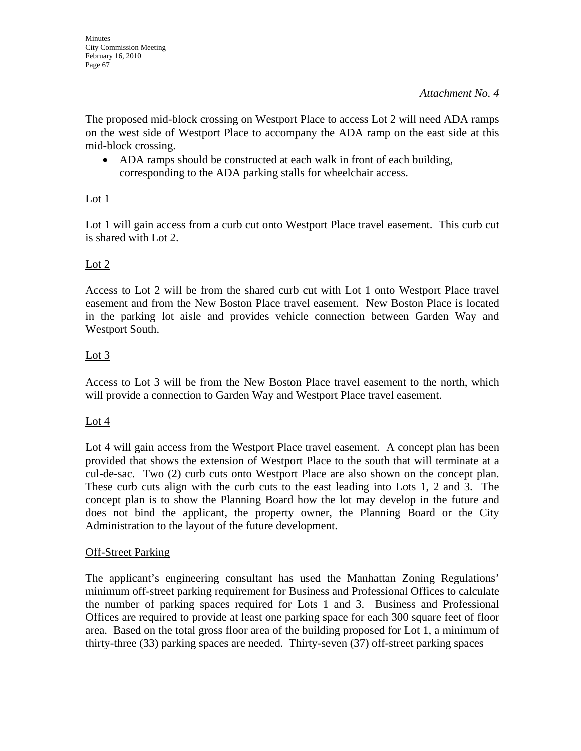The proposed mid-block crossing on Westport Place to access Lot 2 will need ADA ramps on the west side of Westport Place to accompany the ADA ramp on the east side at this mid-block crossing.

• ADA ramps should be constructed at each walk in front of each building, corresponding to the ADA parking stalls for wheelchair access.

# Lot 1

Lot 1 will gain access from a curb cut onto Westport Place travel easement. This curb cut is shared with Lot 2.

# Lot 2

Access to Lot 2 will be from the shared curb cut with Lot 1 onto Westport Place travel easement and from the New Boston Place travel easement. New Boston Place is located in the parking lot aisle and provides vehicle connection between Garden Way and Westport South.

# Lot 3

Access to Lot 3 will be from the New Boston Place travel easement to the north, which will provide a connection to Garden Way and Westport Place travel easement.

# Lot 4

Lot 4 will gain access from the Westport Place travel easement. A concept plan has been provided that shows the extension of Westport Place to the south that will terminate at a cul-de-sac. Two (2) curb cuts onto Westport Place are also shown on the concept plan. These curb cuts align with the curb cuts to the east leading into Lots 1, 2 and 3. The concept plan is to show the Planning Board how the lot may develop in the future and does not bind the applicant, the property owner, the Planning Board or the City Administration to the layout of the future development.

### Off-Street Parking

The applicant's engineering consultant has used the Manhattan Zoning Regulations' minimum off-street parking requirement for Business and Professional Offices to calculate the number of parking spaces required for Lots 1 and 3. Business and Professional Offices are required to provide at least one parking space for each 300 square feet of floor area. Based on the total gross floor area of the building proposed for Lot 1, a minimum of thirty-three (33) parking spaces are needed. Thirty-seven (37) off-street parking spaces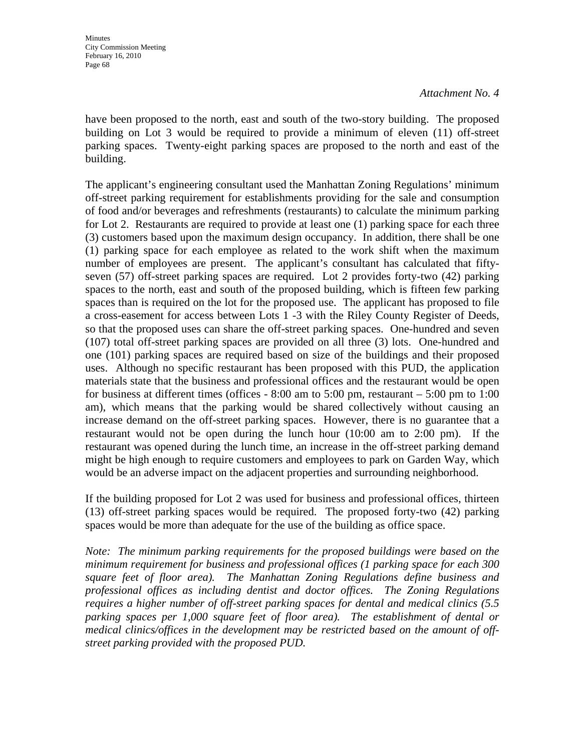have been proposed to the north, east and south of the two-story building. The proposed building on Lot 3 would be required to provide a minimum of eleven (11) off-street parking spaces. Twenty-eight parking spaces are proposed to the north and east of the building.

The applicant's engineering consultant used the Manhattan Zoning Regulations' minimum off-street parking requirement for establishments providing for the sale and consumption of food and/or beverages and refreshments (restaurants) to calculate the minimum parking for Lot 2. Restaurants are required to provide at least one (1) parking space for each three (3) customers based upon the maximum design occupancy. In addition, there shall be one (1) parking space for each employee as related to the work shift when the maximum number of employees are present. The applicant's consultant has calculated that fiftyseven (57) off-street parking spaces are required. Lot 2 provides forty-two (42) parking spaces to the north, east and south of the proposed building, which is fifteen few parking spaces than is required on the lot for the proposed use. The applicant has proposed to file a cross-easement for access between Lots 1 -3 with the Riley County Register of Deeds, so that the proposed uses can share the off-street parking spaces. One-hundred and seven (107) total off-street parking spaces are provided on all three (3) lots. One-hundred and one (101) parking spaces are required based on size of the buildings and their proposed uses. Although no specific restaurant has been proposed with this PUD, the application materials state that the business and professional offices and the restaurant would be open for business at different times (offices - 8:00 am to 5:00 pm, restaurant – 5:00 pm to 1:00 am), which means that the parking would be shared collectively without causing an increase demand on the off-street parking spaces. However, there is no guarantee that a restaurant would not be open during the lunch hour (10:00 am to 2:00 pm). If the restaurant was opened during the lunch time, an increase in the off-street parking demand might be high enough to require customers and employees to park on Garden Way, which would be an adverse impact on the adjacent properties and surrounding neighborhood.

If the building proposed for Lot 2 was used for business and professional offices, thirteen (13) off-street parking spaces would be required. The proposed forty-two (42) parking spaces would be more than adequate for the use of the building as office space.

*Note: The minimum parking requirements for the proposed buildings were based on the minimum requirement for business and professional offices (1 parking space for each 300 square feet of floor area). The Manhattan Zoning Regulations define business and professional offices as including dentist and doctor offices. The Zoning Regulations requires a higher number of off-street parking spaces for dental and medical clinics (5.5 parking spaces per 1,000 square feet of floor area). The establishment of dental or medical clinics/offices in the development may be restricted based on the amount of offstreet parking provided with the proposed PUD.*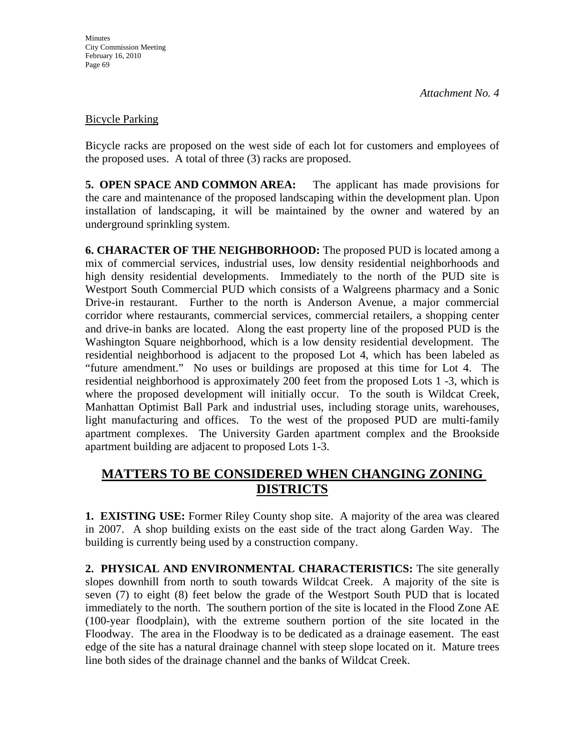### Bicycle Parking

Bicycle racks are proposed on the west side of each lot for customers and employees of the proposed uses. A total of three (3) racks are proposed.

**5. OPEN SPACE AND COMMON AREA:** The applicant has made provisions for the care and maintenance of the proposed landscaping within the development plan. Upon installation of landscaping, it will be maintained by the owner and watered by an underground sprinkling system.

**6. CHARACTER OF THE NEIGHBORHOOD:** The proposed PUD is located among a mix of commercial services, industrial uses, low density residential neighborhoods and high density residential developments. Immediately to the north of the PUD site is Westport South Commercial PUD which consists of a Walgreens pharmacy and a Sonic Drive-in restaurant. Further to the north is Anderson Avenue, a major commercial corridor where restaurants, commercial services, commercial retailers, a shopping center and drive-in banks are located. Along the east property line of the proposed PUD is the Washington Square neighborhood, which is a low density residential development. The residential neighborhood is adjacent to the proposed Lot 4, which has been labeled as "future amendment." No uses or buildings are proposed at this time for Lot 4. The residential neighborhood is approximately 200 feet from the proposed Lots 1 -3, which is where the proposed development will initially occur. To the south is Wildcat Creek, Manhattan Optimist Ball Park and industrial uses, including storage units, warehouses, light manufacturing and offices. To the west of the proposed PUD are multi-family apartment complexes. The University Garden apartment complex and the Brookside apartment building are adjacent to proposed Lots 1-3.

# **MATTERS TO BE CONSIDERED WHEN CHANGING ZONING DISTRICTS**

**1. EXISTING USE:** Former Riley County shop site. A majority of the area was cleared in 2007. A shop building exists on the east side of the tract along Garden Way. The building is currently being used by a construction company.

**2. PHYSICAL AND ENVIRONMENTAL CHARACTERISTICS:** The site generally slopes downhill from north to south towards Wildcat Creek. A majority of the site is seven (7) to eight (8) feet below the grade of the Westport South PUD that is located immediately to the north. The southern portion of the site is located in the Flood Zone AE (100-year floodplain), with the extreme southern portion of the site located in the Floodway. The area in the Floodway is to be dedicated as a drainage easement. The east edge of the site has a natural drainage channel with steep slope located on it. Mature trees line both sides of the drainage channel and the banks of Wildcat Creek.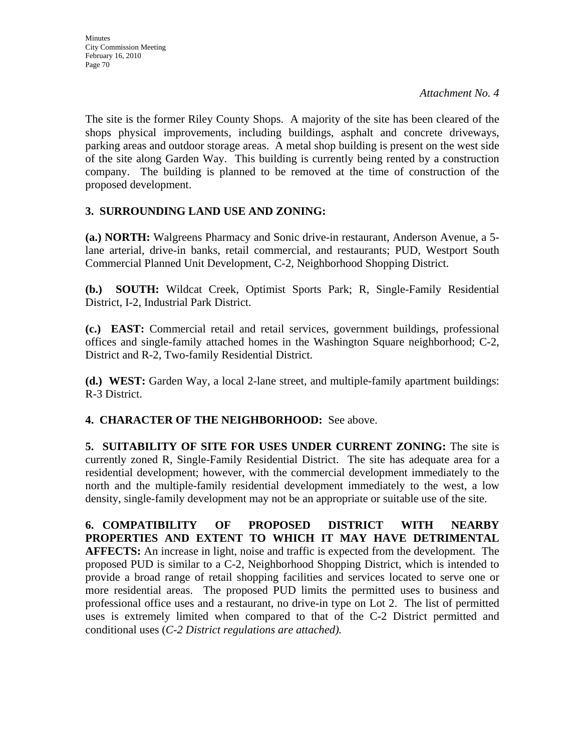The site is the former Riley County Shops. A majority of the site has been cleared of the shops physical improvements, including buildings, asphalt and concrete driveways, parking areas and outdoor storage areas. A metal shop building is present on the west side of the site along Garden Way. This building is currently being rented by a construction company. The building is planned to be removed at the time of construction of the proposed development.

# **3. SURROUNDING LAND USE AND ZONING:**

**(a.) NORTH:** Walgreens Pharmacy and Sonic drive-in restaurant, Anderson Avenue, a 5 lane arterial, drive-in banks, retail commercial, and restaurants; PUD, Westport South Commercial Planned Unit Development, C-2, Neighborhood Shopping District.

**(b.) SOUTH:** Wildcat Creek, Optimist Sports Park; R, Single-Family Residential District, I-2, Industrial Park District.

**(c.) EAST:** Commercial retail and retail services, government buildings, professional offices and single-family attached homes in the Washington Square neighborhood; C-2, District and R-2, Two-family Residential District.

**(d.) WEST:** Garden Way, a local 2-lane street, and multiple-family apartment buildings: R-3 District.

**4. CHARACTER OF THE NEIGHBORHOOD:** See above.

**5. SUITABILITY OF SITE FOR USES UNDER CURRENT ZONING:** The site is currently zoned R, Single-Family Residential District. The site has adequate area for a residential development; however, with the commercial development immediately to the north and the multiple-family residential development immediately to the west, a low density, single-family development may not be an appropriate or suitable use of the site.

**6. COMPATIBILITY OF PROPOSED DISTRICT WITH NEARBY PROPERTIES AND EXTENT TO WHICH IT MAY HAVE DETRIMENTAL AFFECTS:** An increase in light, noise and traffic is expected from the development. The proposed PUD is similar to a C-2, Neighborhood Shopping District, which is intended to provide a broad range of retail shopping facilities and services located to serve one or more residential areas. The proposed PUD limits the permitted uses to business and professional office uses and a restaurant, no drive-in type on Lot 2. The list of permitted uses is extremely limited when compared to that of the C-2 District permitted and conditional uses (*C-2 District regulations are attached).*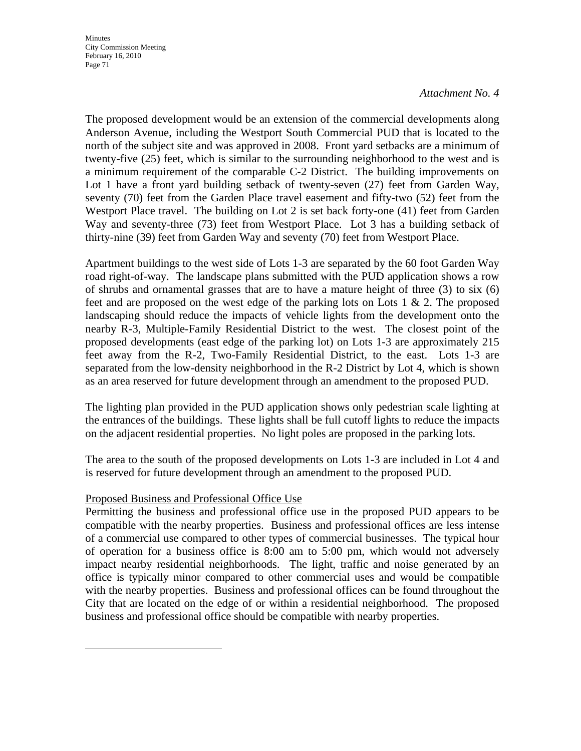The proposed development would be an extension of the commercial developments along Anderson Avenue, including the Westport South Commercial PUD that is located to the north of the subject site and was approved in 2008. Front yard setbacks are a minimum of twenty-five (25) feet, which is similar to the surrounding neighborhood to the west and is a minimum requirement of the comparable C-2 District. The building improvements on Lot 1 have a front yard building setback of twenty-seven (27) feet from Garden Way, seventy (70) feet from the Garden Place travel easement and fifty-two (52) feet from the Westport Place travel. The building on Lot 2 is set back forty-one (41) feet from Garden Way and seventy-three (73) feet from Westport Place. Lot 3 has a building setback of thirty-nine (39) feet from Garden Way and seventy (70) feet from Westport Place.

Apartment buildings to the west side of Lots 1-3 are separated by the 60 foot Garden Way road right-of-way. The landscape plans submitted with the PUD application shows a row of shrubs and ornamental grasses that are to have a mature height of three (3) to six (6) feet and are proposed on the west edge of the parking lots on Lots 1 & 2. The proposed landscaping should reduce the impacts of vehicle lights from the development onto the nearby R-3, Multiple-Family Residential District to the west. The closest point of the proposed developments (east edge of the parking lot) on Lots 1-3 are approximately 215 feet away from the R-2, Two-Family Residential District, to the east. Lots 1-3 are separated from the low-density neighborhood in the R-2 District by Lot 4, which is shown as an area reserved for future development through an amendment to the proposed PUD.

The lighting plan provided in the PUD application shows only pedestrian scale lighting at the entrances of the buildings. These lights shall be full cutoff lights to reduce the impacts on the adjacent residential properties. No light poles are proposed in the parking lots.

The area to the south of the proposed developments on Lots 1-3 are included in Lot 4 and is reserved for future development through an amendment to the proposed PUD.

### Proposed Business and Professional Office Use

Permitting the business and professional office use in the proposed PUD appears to be compatible with the nearby properties. Business and professional offices are less intense of a commercial use compared to other types of commercial businesses. The typical hour of operation for a business office is 8:00 am to 5:00 pm, which would not adversely impact nearby residential neighborhoods. The light, traffic and noise generated by an office is typically minor compared to other commercial uses and would be compatible with the nearby properties. Business and professional offices can be found throughout the City that are located on the edge of or within a residential neighborhood. The proposed business and professional office should be compatible with nearby properties.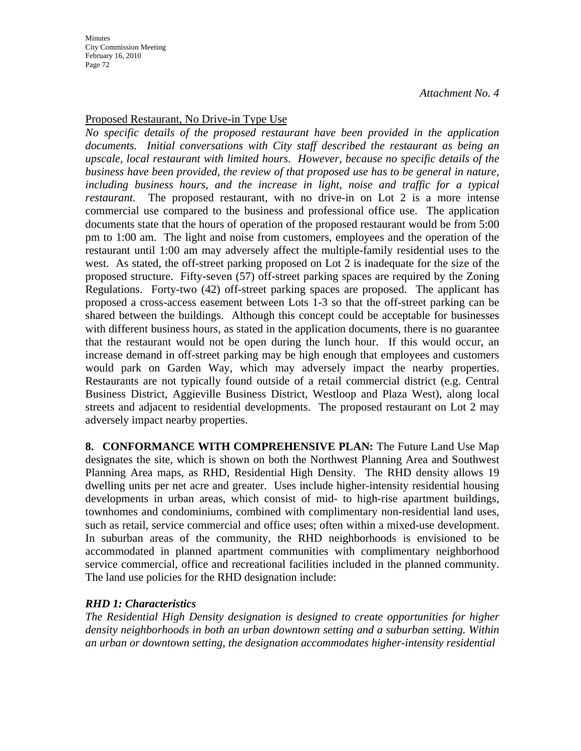**Minutes** City Commission Meeting February 16, 2010 Page 72

*Attachment No. 4*

#### Proposed Restaurant, No Drive-in Type Use

*No specific details of the proposed restaurant have been provided in the application documents. Initial conversations with City staff described the restaurant as being an upscale, local restaurant with limited hours. However, because no specific details of the business have been provided, the review of that proposed use has to be general in nature, including business hours, and the increase in light, noise and traffic for a typical restaurant.* The proposed restaurant, with no drive-in on Lot 2 is a more intense commercial use compared to the business and professional office use. The application documents state that the hours of operation of the proposed restaurant would be from 5:00 pm to 1:00 am. The light and noise from customers, employees and the operation of the restaurant until 1:00 am may adversely affect the multiple-family residential uses to the west. As stated, the off-street parking proposed on Lot 2 is inadequate for the size of the proposed structure. Fifty-seven (57) off-street parking spaces are required by the Zoning Regulations. Forty-two (42) off-street parking spaces are proposed. The applicant has proposed a cross-access easement between Lots 1-3 so that the off-street parking can be shared between the buildings. Although this concept could be acceptable for businesses with different business hours, as stated in the application documents, there is no guarantee that the restaurant would not be open during the lunch hour. If this would occur, an increase demand in off-street parking may be high enough that employees and customers would park on Garden Way, which may adversely impact the nearby properties. Restaurants are not typically found outside of a retail commercial district (e.g. Central Business District, Aggieville Business District, Westloop and Plaza West), along local streets and adjacent to residential developments. The proposed restaurant on Lot 2 may adversely impact nearby properties.

**8. CONFORMANCE WITH COMPREHENSIVE PLAN:** The Future Land Use Map designates the site, which is shown on both the Northwest Planning Area and Southwest Planning Area maps, as RHD, Residential High Density. The RHD density allows 19 dwelling units per net acre and greater. Uses include higher-intensity residential housing developments in urban areas, which consist of mid- to high-rise apartment buildings, townhomes and condominiums, combined with complimentary non-residential land uses, such as retail, service commercial and office uses; often within a mixed-use development. In suburban areas of the community, the RHD neighborhoods is envisioned to be accommodated in planned apartment communities with complimentary neighborhood service commercial, office and recreational facilities included in the planned community. The land use policies for the RHD designation include:

#### *RHD 1: Characteristics*

*The Residential High Density designation is designed to create opportunities for higher density neighborhoods in both an urban downtown setting and a suburban setting. Within an urban or downtown setting, the designation accommodates higher-intensity residential*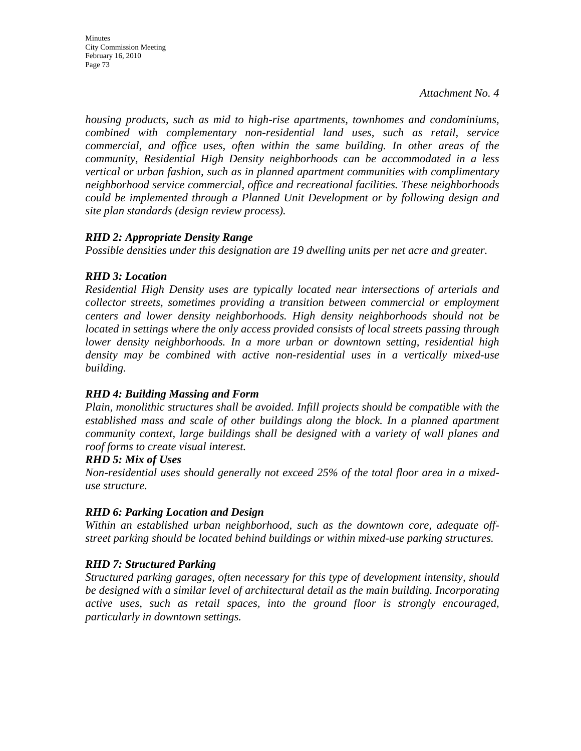*housing products, such as mid to high-rise apartments, townhomes and condominiums, combined with complementary non-residential land uses, such as retail, service commercial, and office uses, often within the same building. In other areas of the community, Residential High Density neighborhoods can be accommodated in a less vertical or urban fashion, such as in planned apartment communities with complimentary neighborhood service commercial, office and recreational facilities. These neighborhoods could be implemented through a Planned Unit Development or by following design and site plan standards (design review process).* 

## *RHD 2: Appropriate Density Range*

*Possible densities under this designation are 19 dwelling units per net acre and greater.* 

## *RHD 3: Location*

*Residential High Density uses are typically located near intersections of arterials and collector streets, sometimes providing a transition between commercial or employment centers and lower density neighborhoods. High density neighborhoods should not be located in settings where the only access provided consists of local streets passing through lower density neighborhoods. In a more urban or downtown setting, residential high density may be combined with active non-residential uses in a vertically mixed-use building.* 

#### *RHD 4: Building Massing and Form*

*Plain, monolithic structures shall be avoided. Infill projects should be compatible with the established mass and scale of other buildings along the block. In a planned apartment community context, large buildings shall be designed with a variety of wall planes and roof forms to create visual interest.* 

#### *RHD 5: Mix of Uses*

*Non-residential uses should generally not exceed 25% of the total floor area in a mixeduse structure.* 

# *RHD 6: Parking Location and Design*

*Within an established urban neighborhood, such as the downtown core, adequate offstreet parking should be located behind buildings or within mixed-use parking structures.* 

# *RHD 7: Structured Parking*

*Structured parking garages, often necessary for this type of development intensity, should be designed with a similar level of architectural detail as the main building. Incorporating active uses, such as retail spaces, into the ground floor is strongly encouraged, particularly in downtown settings.*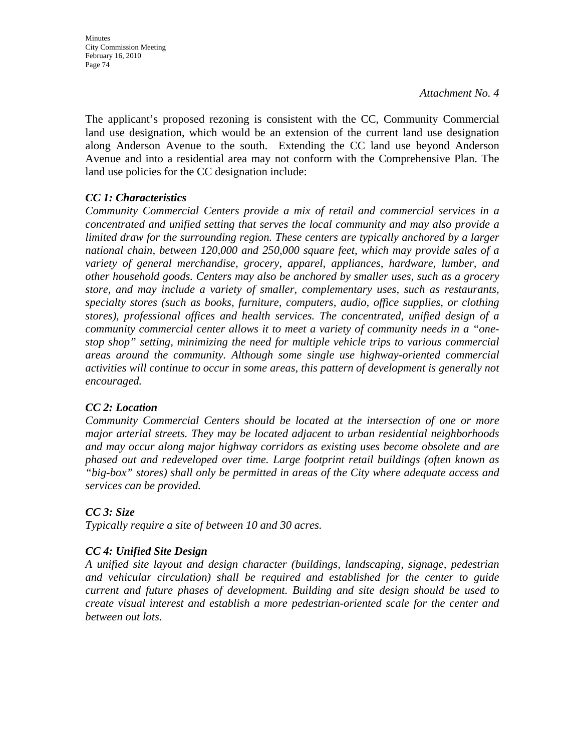The applicant's proposed rezoning is consistent with the CC, Community Commercial land use designation, which would be an extension of the current land use designation along Anderson Avenue to the south. Extending the CC land use beyond Anderson Avenue and into a residential area may not conform with the Comprehensive Plan. The land use policies for the CC designation include:

# *CC 1: Characteristics*

*Community Commercial Centers provide a mix of retail and commercial services in a concentrated and unified setting that serves the local community and may also provide a limited draw for the surrounding region. These centers are typically anchored by a larger national chain, between 120,000 and 250,000 square feet, which may provide sales of a variety of general merchandise, grocery, apparel, appliances, hardware, lumber, and other household goods. Centers may also be anchored by smaller uses, such as a grocery store, and may include a variety of smaller, complementary uses, such as restaurants, specialty stores (such as books, furniture, computers, audio, office supplies, or clothing stores), professional offices and health services. The concentrated, unified design of a community commercial center allows it to meet a variety of community needs in a "onestop shop" setting, minimizing the need for multiple vehicle trips to various commercial areas around the community. Although some single use highway-oriented commercial activities will continue to occur in some areas, this pattern of development is generally not encouraged.* 

#### *CC 2: Location*

*Community Commercial Centers should be located at the intersection of one or more major arterial streets. They may be located adjacent to urban residential neighborhoods and may occur along major highway corridors as existing uses become obsolete and are phased out and redeveloped over time. Large footprint retail buildings (often known as "big-box" stores) shall only be permitted in areas of the City where adequate access and services can be provided.* 

# *CC 3: Size*

*Typically require a site of between 10 and 30 acres.* 

# *CC 4: Unified Site Design*

*A unified site layout and design character (buildings, landscaping, signage, pedestrian and vehicular circulation) shall be required and established for the center to guide current and future phases of development. Building and site design should be used to create visual interest and establish a more pedestrian-oriented scale for the center and between out lots.*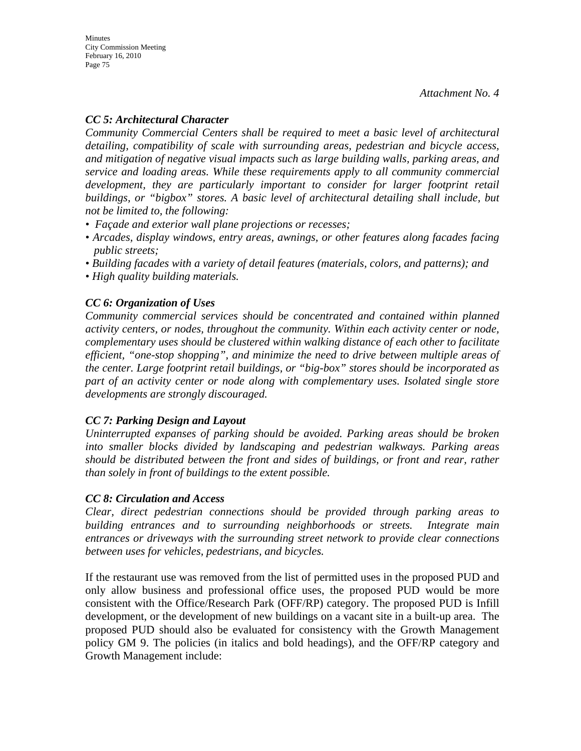## *CC 5: Architectural Character*

*Community Commercial Centers shall be required to meet a basic level of architectural detailing, compatibility of scale with surrounding areas, pedestrian and bicycle access, and mitigation of negative visual impacts such as large building walls, parking areas, and service and loading areas. While these requirements apply to all community commercial*  development, they are particularly important to consider for larger footprint retail *buildings, or "bigbox" stores. A basic level of architectural detailing shall include, but not be limited to, the following:* 

- *Façade and exterior wall plane projections or recesses;*
- *Arcades, display windows, entry areas, awnings, or other features along facades facing public streets;*
- *Building facades with a variety of detail features (materials, colors, and patterns); and*
- *High quality building materials.*

# *CC 6: Organization of Uses*

*Community commercial services should be concentrated and contained within planned activity centers, or nodes, throughout the community. Within each activity center or node, complementary uses should be clustered within walking distance of each other to facilitate efficient, "one-stop shopping", and minimize the need to drive between multiple areas of the center. Large footprint retail buildings, or "big-box" stores should be incorporated as part of an activity center or node along with complementary uses. Isolated single store developments are strongly discouraged.* 

# *CC 7: Parking Design and Layout*

*Uninterrupted expanses of parking should be avoided. Parking areas should be broken into smaller blocks divided by landscaping and pedestrian walkways. Parking areas should be distributed between the front and sides of buildings, or front and rear, rather than solely in front of buildings to the extent possible.* 

#### *CC 8: Circulation and Access*

*Clear, direct pedestrian connections should be provided through parking areas to building entrances and to surrounding neighborhoods or streets. Integrate main entrances or driveways with the surrounding street network to provide clear connections between uses for vehicles, pedestrians, and bicycles.* 

If the restaurant use was removed from the list of permitted uses in the proposed PUD and only allow business and professional office uses, the proposed PUD would be more consistent with the Office/Research Park (OFF/RP) category. The proposed PUD is Infill development, or the development of new buildings on a vacant site in a built-up area. The proposed PUD should also be evaluated for consistency with the Growth Management policy GM 9. The policies (in italics and bold headings), and the OFF/RP category and Growth Management include: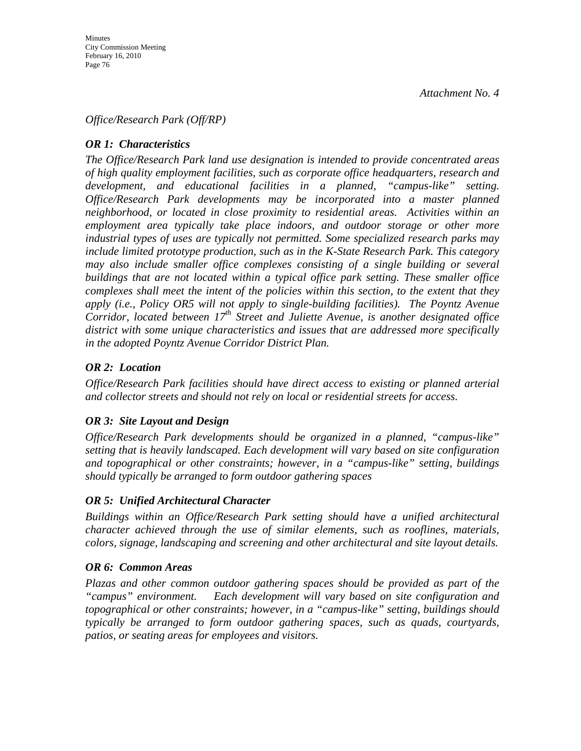#### *Office/Research Park (Off/RP)*

## *OR 1: Characteristics*

*The Office/Research Park land use designation is intended to provide concentrated areas of high quality employment facilities, such as corporate office headquarters, research and development, and educational facilities in a planned, "campus-like" setting. Office/Research Park developments may be incorporated into a master planned neighborhood, or located in close proximity to residential areas. Activities within an employment area typically take place indoors, and outdoor storage or other more industrial types of uses are typically not permitted. Some specialized research parks may include limited prototype production, such as in the K-State Research Park. This category may also include smaller office complexes consisting of a single building or several buildings that are not located within a typical office park setting. These smaller office complexes shall meet the intent of the policies within this section, to the extent that they apply (i.e., Policy OR5 will not apply to single-building facilities). The Poyntz Avenue Corridor, located between 17<sup>th</sup> Street and Juliette Avenue, is another designated office district with some unique characteristics and issues that are addressed more specifically in the adopted Poyntz Avenue Corridor District Plan.* 

## *OR 2: Location*

*Office/Research Park facilities should have direct access to existing or planned arterial and collector streets and should not rely on local or residential streets for access.* 

#### *OR 3: Site Layout and Design*

*Office/Research Park developments should be organized in a planned, "campus-like" setting that is heavily landscaped. Each development will vary based on site configuration and topographical or other constraints; however, in a "campus-like" setting, buildings should typically be arranged to form outdoor gathering spaces* 

#### *OR 5: Unified Architectural Character*

*Buildings within an Office/Research Park setting should have a unified architectural character achieved through the use of similar elements, such as rooflines, materials, colors, signage, landscaping and screening and other architectural and site layout details.* 

#### *OR 6: Common Areas*

*Plazas and other common outdoor gathering spaces should be provided as part of the "campus" environment. Each development will vary based on site configuration and topographical or other constraints; however, in a "campus-like" setting, buildings should typically be arranged to form outdoor gathering spaces, such as quads, courtyards, patios, or seating areas for employees and visitors.*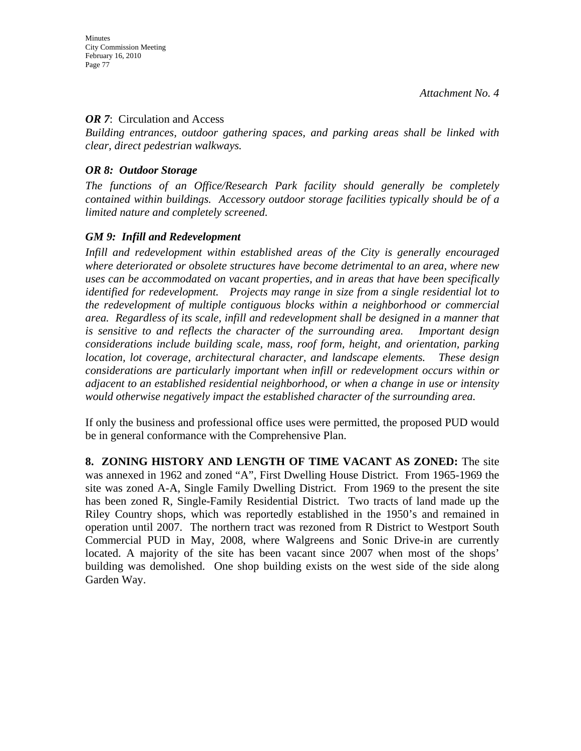#### *OR* 7: Circulation and Access

*Building entrances, outdoor gathering spaces, and parking areas shall be linked with clear, direct pedestrian walkways.* 

#### *OR 8: Outdoor Storage*

*The functions of an Office/Research Park facility should generally be completely contained within buildings. Accessory outdoor storage facilities typically should be of a limited nature and completely screened.* 

#### *GM 9: Infill and Redevelopment*

*Infill and redevelopment within established areas of the City is generally encouraged where deteriorated or obsolete structures have become detrimental to an area, where new uses can be accommodated on vacant properties, and in areas that have been specifically identified for redevelopment. Projects may range in size from a single residential lot to the redevelopment of multiple contiguous blocks within a neighborhood or commercial area. Regardless of its scale, infill and redevelopment shall be designed in a manner that is sensitive to and reflects the character of the surrounding area. Important design considerations include building scale, mass, roof form, height, and orientation, parking location, lot coverage, architectural character, and landscape elements. These design considerations are particularly important when infill or redevelopment occurs within or adjacent to an established residential neighborhood, or when a change in use or intensity would otherwise negatively impact the established character of the surrounding area.* 

If only the business and professional office uses were permitted, the proposed PUD would be in general conformance with the Comprehensive Plan.

**8. ZONING HISTORY AND LENGTH OF TIME VACANT AS ZONED:** The site was annexed in 1962 and zoned "A", First Dwelling House District. From 1965-1969 the site was zoned A-A, Single Family Dwelling District. From 1969 to the present the site has been zoned R, Single-Family Residential District. Two tracts of land made up the Riley Country shops, which was reportedly established in the 1950's and remained in operation until 2007. The northern tract was rezoned from R District to Westport South Commercial PUD in May, 2008, where Walgreens and Sonic Drive-in are currently located. A majority of the site has been vacant since 2007 when most of the shops' building was demolished. One shop building exists on the west side of the side along Garden Way.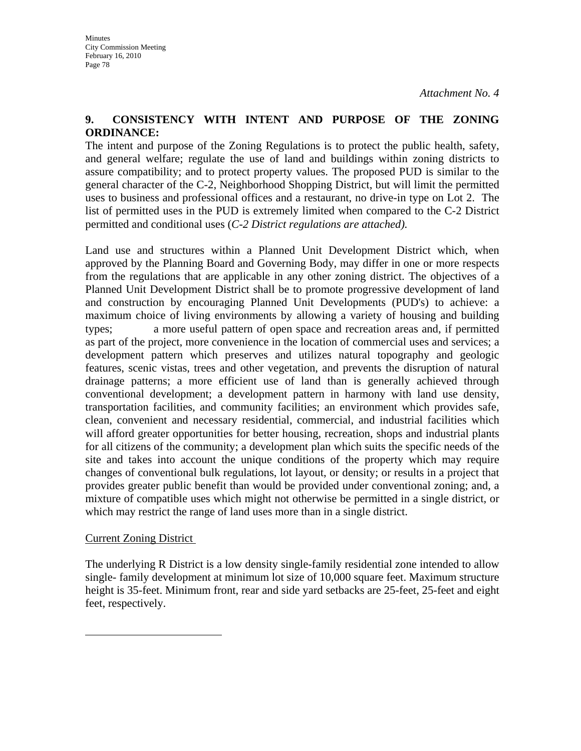#### **9. CONSISTENCY WITH INTENT AND PURPOSE OF THE ZONING ORDINANCE:**

The intent and purpose of the Zoning Regulations is to protect the public health, safety, and general welfare; regulate the use of land and buildings within zoning districts to assure compatibility; and to protect property values. The proposed PUD is similar to the general character of the C-2, Neighborhood Shopping District, but will limit the permitted uses to business and professional offices and a restaurant, no drive-in type on Lot 2. The list of permitted uses in the PUD is extremely limited when compared to the C-2 District permitted and conditional uses (*C-2 District regulations are attached).* 

Land use and structures within a Planned Unit Development District which, when approved by the Planning Board and Governing Body, may differ in one or more respects from the regulations that are applicable in any other zoning district. The objectives of a Planned Unit Development District shall be to promote progressive development of land and construction by encouraging Planned Unit Developments (PUD's) to achieve: a maximum choice of living environments by allowing a variety of housing and building types; a more useful pattern of open space and recreation areas and, if permitted as part of the project, more convenience in the location of commercial uses and services; a development pattern which preserves and utilizes natural topography and geologic features, scenic vistas, trees and other vegetation, and prevents the disruption of natural drainage patterns; a more efficient use of land than is generally achieved through conventional development; a development pattern in harmony with land use density, transportation facilities, and community facilities; an environment which provides safe, clean, convenient and necessary residential, commercial, and industrial facilities which will afford greater opportunities for better housing, recreation, shops and industrial plants for all citizens of the community; a development plan which suits the specific needs of the site and takes into account the unique conditions of the property which may require changes of conventional bulk regulations, lot layout, or density; or results in a project that provides greater public benefit than would be provided under conventional zoning; and, a mixture of compatible uses which might not otherwise be permitted in a single district, or which may restrict the range of land uses more than in a single district.

#### Current Zoning District

The underlying R District is a low density single-family residential zone intended to allow single- family development at minimum lot size of 10,000 square feet. Maximum structure height is 35-feet. Minimum front, rear and side yard setbacks are 25-feet, 25-feet and eight feet, respectively.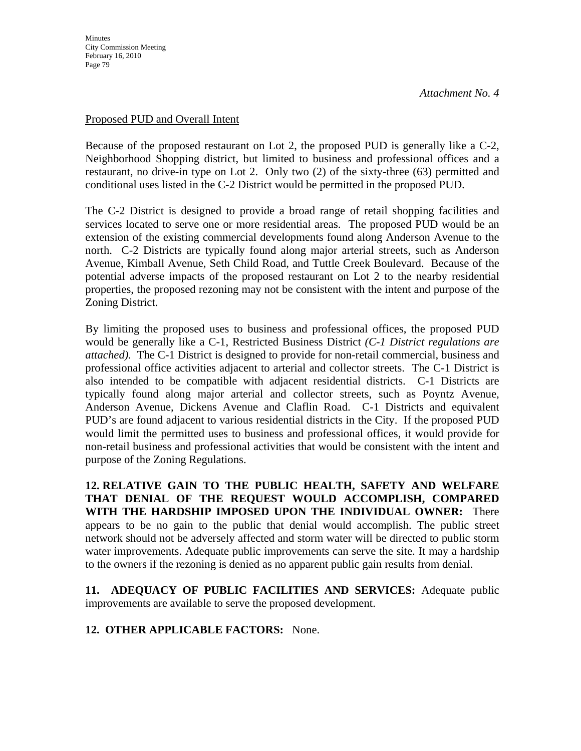#### Proposed PUD and Overall Intent

Because of the proposed restaurant on Lot 2, the proposed PUD is generally like a C-2, Neighborhood Shopping district, but limited to business and professional offices and a restaurant, no drive-in type on Lot 2. Only two (2) of the sixty-three (63) permitted and conditional uses listed in the C-2 District would be permitted in the proposed PUD.

The C-2 District is designed to provide a broad range of retail shopping facilities and services located to serve one or more residential areas. The proposed PUD would be an extension of the existing commercial developments found along Anderson Avenue to the north. C-2 Districts are typically found along major arterial streets, such as Anderson Avenue, Kimball Avenue, Seth Child Road, and Tuttle Creek Boulevard. Because of the potential adverse impacts of the proposed restaurant on Lot 2 to the nearby residential properties, the proposed rezoning may not be consistent with the intent and purpose of the Zoning District.

By limiting the proposed uses to business and professional offices, the proposed PUD would be generally like a C-1, Restricted Business District *(C-1 District regulations are attached).* The C-1 District is designed to provide for non-retail commercial, business and professional office activities adjacent to arterial and collector streets. The C-1 District is also intended to be compatible with adjacent residential districts. C-1 Districts are typically found along major arterial and collector streets, such as Poyntz Avenue, Anderson Avenue, Dickens Avenue and Claflin Road. C-1 Districts and equivalent PUD's are found adjacent to various residential districts in the City. If the proposed PUD would limit the permitted uses to business and professional offices, it would provide for non-retail business and professional activities that would be consistent with the intent and purpose of the Zoning Regulations.

**12. RELATIVE GAIN TO THE PUBLIC HEALTH, SAFETY AND WELFARE THAT DENIAL OF THE REQUEST WOULD ACCOMPLISH, COMPARED WITH THE HARDSHIP IMPOSED UPON THE INDIVIDUAL OWNER:** There appears to be no gain to the public that denial would accomplish. The public street network should not be adversely affected and storm water will be directed to public storm water improvements. Adequate public improvements can serve the site. It may a hardship to the owners if the rezoning is denied as no apparent public gain results from denial.

**11. ADEQUACY OF PUBLIC FACILITIES AND SERVICES:** Adequate public improvements are available to serve the proposed development.

**12. OTHER APPLICABLE FACTORS:** None.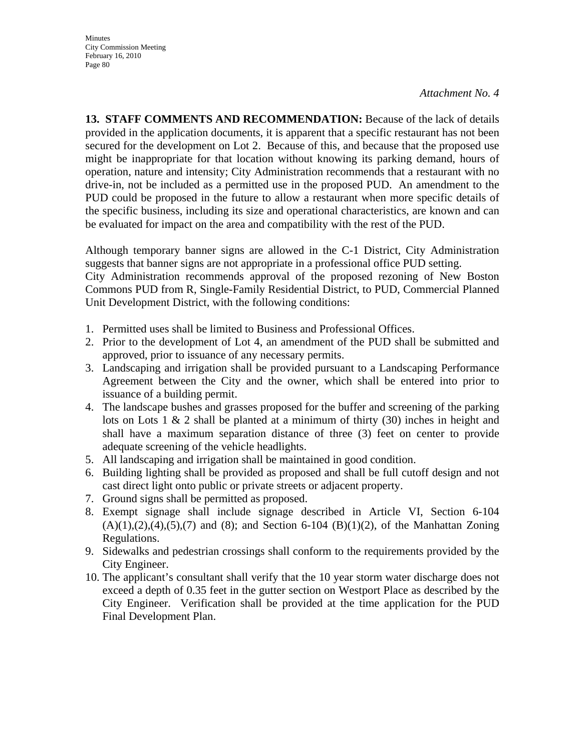**13. STAFF COMMENTS AND RECOMMENDATION:** Because of the lack of details provided in the application documents, it is apparent that a specific restaurant has not been secured for the development on Lot 2. Because of this, and because that the proposed use might be inappropriate for that location without knowing its parking demand, hours of operation, nature and intensity; City Administration recommends that a restaurant with no drive-in, not be included as a permitted use in the proposed PUD. An amendment to the PUD could be proposed in the future to allow a restaurant when more specific details of the specific business, including its size and operational characteristics, are known and can be evaluated for impact on the area and compatibility with the rest of the PUD.

Although temporary banner signs are allowed in the C-1 District, City Administration suggests that banner signs are not appropriate in a professional office PUD setting.

City Administration recommends approval of the proposed rezoning of New Boston Commons PUD from R, Single-Family Residential District, to PUD, Commercial Planned Unit Development District, with the following conditions:

- 1. Permitted uses shall be limited to Business and Professional Offices.
- 2. Prior to the development of Lot 4, an amendment of the PUD shall be submitted and approved, prior to issuance of any necessary permits.
- 3. Landscaping and irrigation shall be provided pursuant to a Landscaping Performance Agreement between the City and the owner, which shall be entered into prior to issuance of a building permit.
- 4. The landscape bushes and grasses proposed for the buffer and screening of the parking lots on Lots 1 & 2 shall be planted at a minimum of thirty (30) inches in height and shall have a maximum separation distance of three (3) feet on center to provide adequate screening of the vehicle headlights.
- 5. All landscaping and irrigation shall be maintained in good condition.
- 6. Building lighting shall be provided as proposed and shall be full cutoff design and not cast direct light onto public or private streets or adjacent property.
- 7. Ground signs shall be permitted as proposed.
- 8. Exempt signage shall include signage described in Article VI, Section 6-104  $(A)(1),(2),(4),(5),(7)$  and  $(8)$ ; and Section 6-104  $(B)(1)(2)$ , of the Manhattan Zoning Regulations.
- 9. Sidewalks and pedestrian crossings shall conform to the requirements provided by the City Engineer.
- 10. The applicant's consultant shall verify that the 10 year storm water discharge does not exceed a depth of 0.35 feet in the gutter section on Westport Place as described by the City Engineer. Verification shall be provided at the time application for the PUD Final Development Plan.